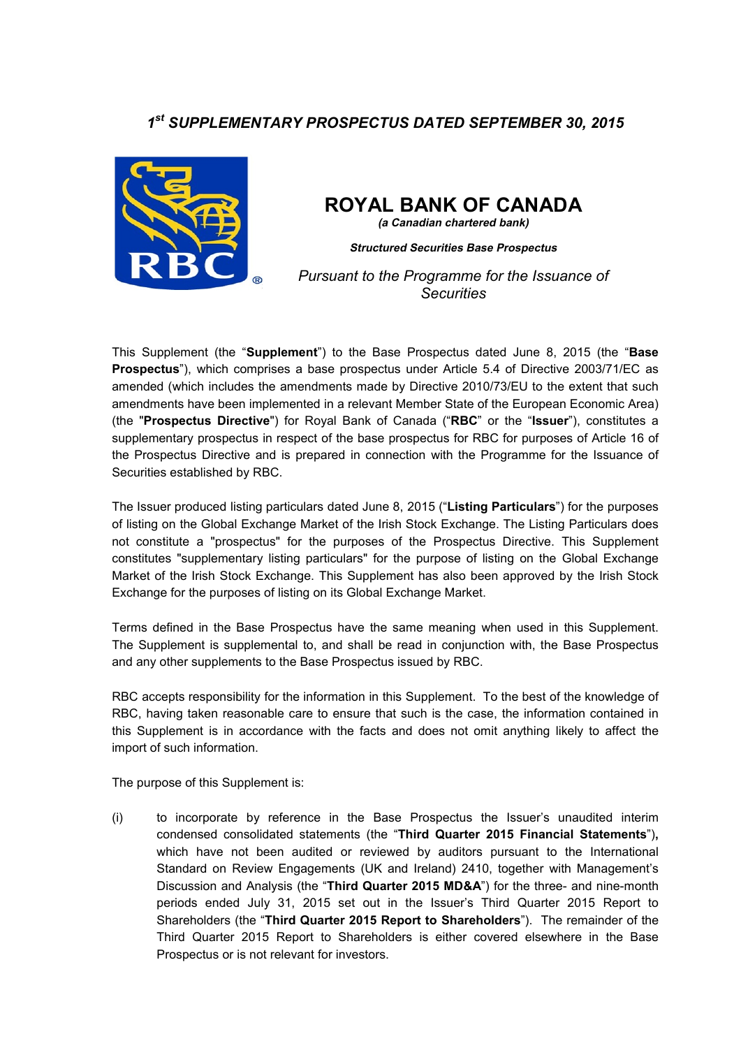## *1 st SUPPLEMENTARY PROSPECTUS DATED SEPTEMBER 30, 2015*



# **ROYAL BANK OF CANADA**

**(a Canadian chartered bank)**

**Structured Securities Base Prospectus**

*Pursuant to the Programme for the Issuance of Securities*

This Supplement (the "**Supplement**") to the Base Prospectus dated June 8, 2015 (the "**Base Prospectus**"), which comprises a base prospectus under Article 5.4 of Directive 2003/71/EC as amended (which includes the amendments made by Directive 2010/73/EU to the extent that such amendments have been implemented in a relevant Member State of the European Economic Area) (the "**Prospectus Directive**") for Royal Bank of Canada ("**RBC**" or the "**Issuer**"), constitutes a supplementary prospectus in respect of the base prospectus for RBC for purposes of Article 16 of the Prospectus Directive and is prepared in connection with the Programme for the Issuance of Securities established by RBC.

The Issuer produced listing particulars dated June 8, 2015 ("**Listing Particulars**") for the purposes of listing on the Global Exchange Market of the Irish Stock Exchange. The Listing Particulars does not constitute a "prospectus" for the purposes of the Prospectus Directive. This Supplement constitutes "supplementary listing particulars" for the purpose of listing on the Global Exchange Market of the Irish Stock Exchange. This Supplement has also been approved by the Irish Stock Exchange for the purposes of listing on its Global Exchange Market.

Terms defined in the Base Prospectus have the same meaning when used in this Supplement. The Supplement is supplemental to, and shall be read in conjunction with, the Base Prospectus and any other supplements to the Base Prospectus issued by RBC.

RBC accepts responsibility for the information in this Supplement. To the best of the knowledge of RBC, having taken reasonable care to ensure that such is the case, the information contained in this Supplement is in accordance with the facts and does not omit anything likely to affect the import of such information.

The purpose of this Supplement is:

(i) to incorporate by reference in the Base Prospectus the Issuer's unaudited interim condensed consolidated statements (the "**Third Quarter 2015 Financial Statements**")**,**  which have not been audited or reviewed by auditors pursuant to the International Standard on Review Engagements (UK and Ireland) 2410, together with Management's Discussion and Analysis (the "**Third Quarter 2015 MD&A**") for the three- and nine-month periods ended July 31, 2015 set out in the Issuer's Third Quarter 2015 Report to Shareholders (the "**Third Quarter 2015 Report to Shareholders**"). The remainder of the Third Quarter 2015 Report to Shareholders is either covered elsewhere in the Base Prospectus or is not relevant for investors.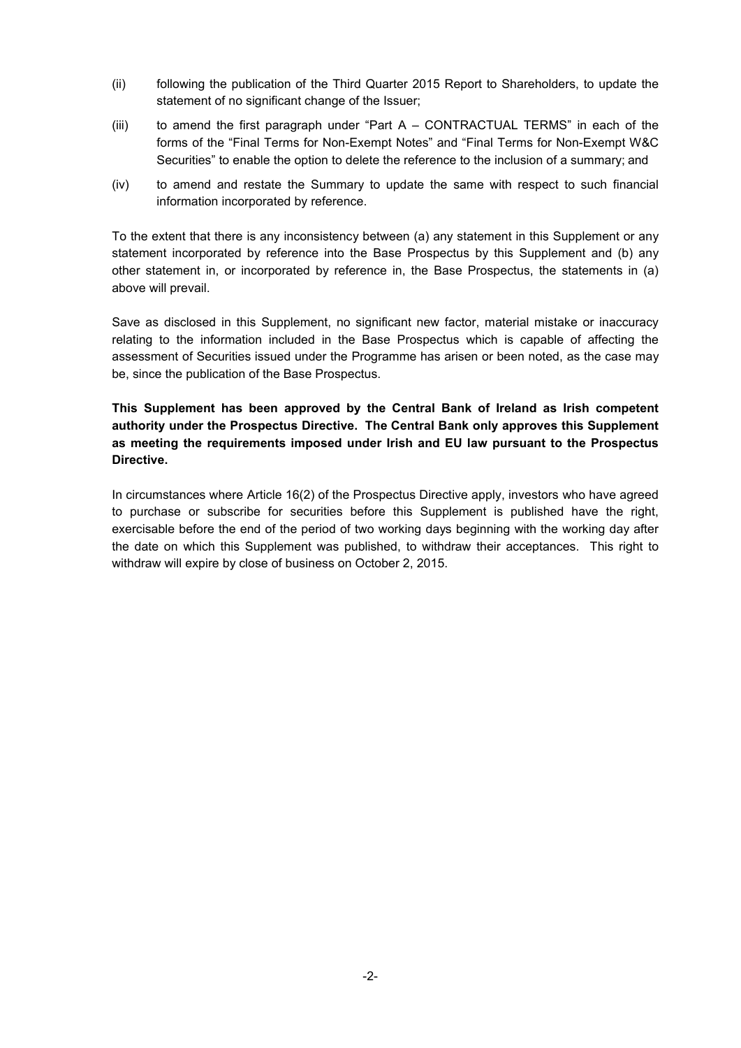- (ii) following the publication of the Third Quarter 2015 Report to Shareholders, to update the statement of no significant change of the Issuer;
- (iii) to amend the first paragraph under "Part A CONTRACTUAL TERMS" in each of the forms of the "Final Terms for Non-Exempt Notes" and "Final Terms for Non-Exempt W&C Securities" to enable the option to delete the reference to the inclusion of a summary; and
- (iv) to amend and restate the Summary to update the same with respect to such financial information incorporated by reference.

To the extent that there is any inconsistency between (a) any statement in this Supplement or any statement incorporated by reference into the Base Prospectus by this Supplement and (b) any other statement in, or incorporated by reference in, the Base Prospectus, the statements in (a) above will prevail.

Save as disclosed in this Supplement, no significant new factor, material mistake or inaccuracy relating to the information included in the Base Prospectus which is capable of affecting the assessment of Securities issued under the Programme has arisen or been noted, as the case may be, since the publication of the Base Prospectus.

## **This Supplement has been approved by the Central Bank of Ireland as Irish competent authority under the Prospectus Directive. The Central Bank only approves this Supplement as meeting the requirements imposed under Irish and EU law pursuant to the Prospectus Directive.**

In circumstances where Article 16(2) of the Prospectus Directive apply, investors who have agreed to purchase or subscribe for securities before this Supplement is published have the right, exercisable before the end of the period of two working days beginning with the working day after the date on which this Supplement was published, to withdraw their acceptances. This right to withdraw will expire by close of business on October 2, 2015.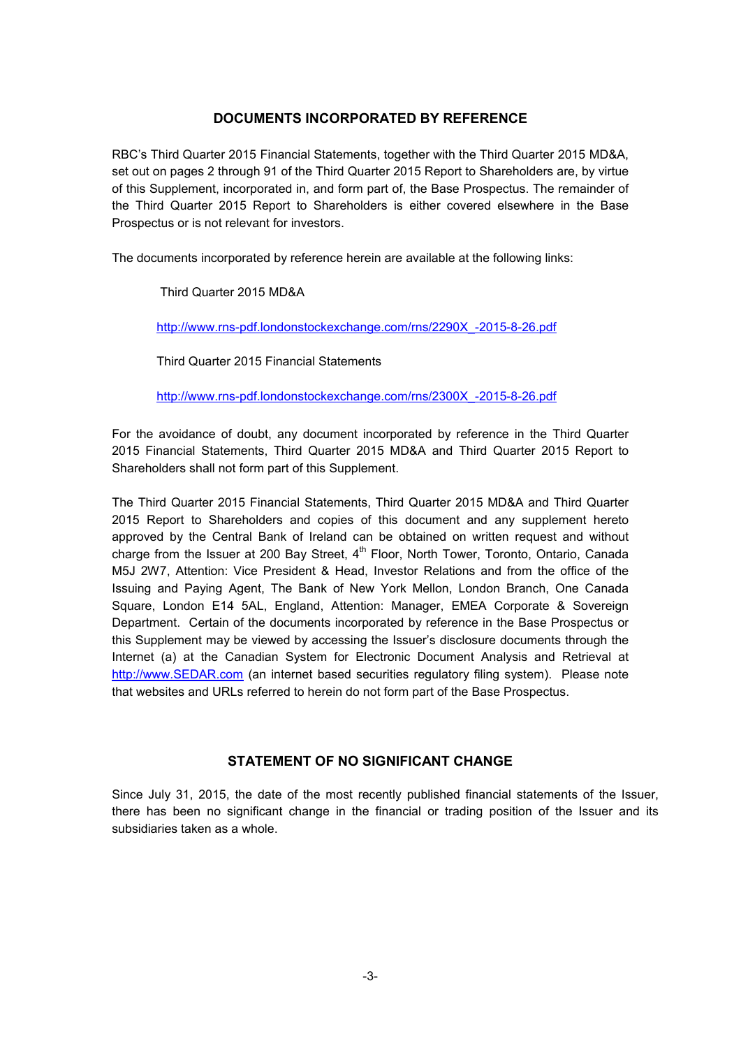#### **DOCUMENTS INCORPORATED BY REFERENCE**

RBC's Third Quarter 2015 Financial Statements, together with the Third Quarter 2015 MD&A, set out on pages 2 through 91 of the Third Quarter 2015 Report to Shareholders are, by virtue of this Supplement, incorporated in, and form part of, the Base Prospectus. The remainder of the Third Quarter 2015 Report to Shareholders is either covered elsewhere in the Base Prospectus or is not relevant for investors.

The documents incorporated by reference herein are available at the following links:

Third Quarter 2015 MD&A

http://www.rns-pdf.londonstockexchange.com/rns/2290X\_-2015-8-26.pdf

Third Quarter 2015 Financial Statements

http://www.rns-pdf.londonstockexchange.com/rns/2300X\_-2015-8-26.pdf

For the avoidance of doubt, any document incorporated by reference in the Third Quarter 2015 Financial Statements, Third Quarter 2015 MD&A and Third Quarter 2015 Report to Shareholders shall not form part of this Supplement.

The Third Quarter 2015 Financial Statements, Third Quarter 2015 MD&A and Third Quarter 2015 Report to Shareholders and copies of this document and any supplement hereto approved by the Central Bank of Ireland can be obtained on written request and without charge from the Issuer at 200 Bay Street, 4<sup>th</sup> Floor, North Tower, Toronto, Ontario, Canada M5J 2W7, Attention: Vice President & Head, Investor Relations and from the office of the Issuing and Paying Agent, The Bank of New York Mellon, London Branch, One Canada Square, London E14 5AL, England, Attention: Manager, EMEA Corporate & Sovereign Department.Certain of the documents incorporated by reference in the Base Prospectus or this Supplement may be viewed by accessing the Issuer's disclosure documents through the Internet (a) at the Canadian System for Electronic Document Analysis and Retrieval at http://www.SEDAR.com (an internet based securities regulatory filing system). Please note that websites and URLs referred to herein do not form part of the Base Prospectus.

#### **STATEMENT OF NO SIGNIFICANT CHANGE**

Since July 31, 2015, the date of the most recently published financial statements of the Issuer, there has been no significant change in the financial or trading position of the Issuer and its subsidiaries taken as a whole.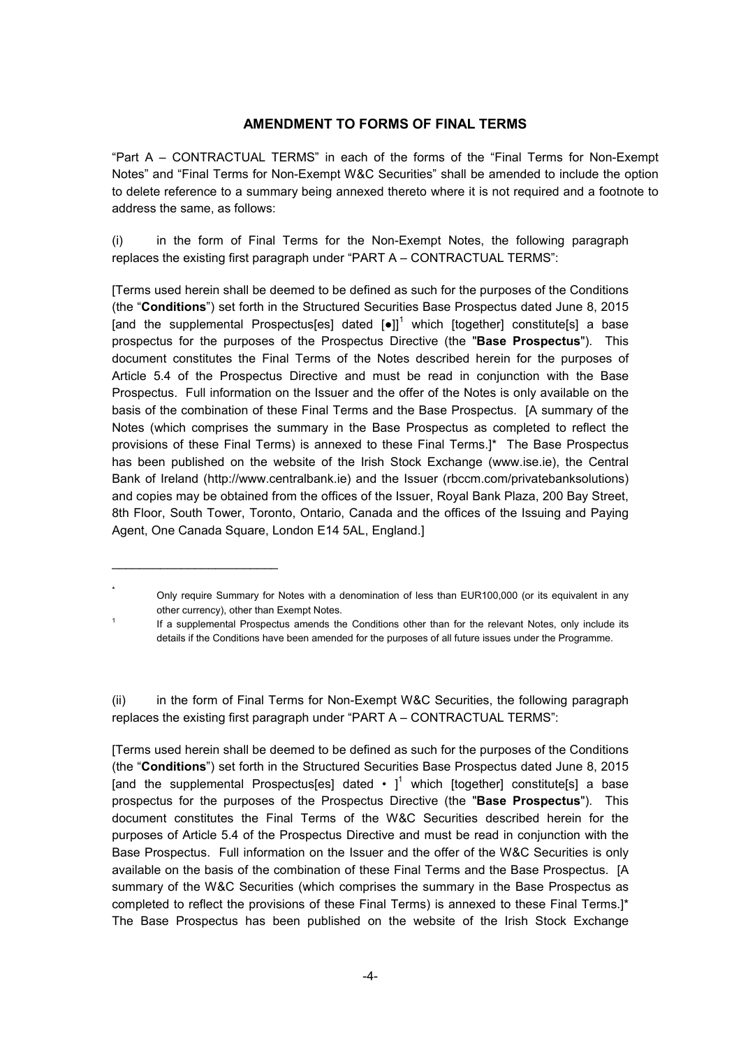### **AMENDMENT TO FORMS OF FINAL TERMS**

"Part A – CONTRACTUAL TERMS" in each of the forms of the "Final Terms for Non-Exempt Notes" and "Final Terms for Non-Exempt W&C Securities" shall be amended to include the option to delete reference to a summary being annexed thereto where it is not required and a footnote to address the same, as follows:

(i) in the form of Final Terms for the Non-Exempt Notes, the following paragraph replaces the existing first paragraph under "PART A – CONTRACTUAL TERMS":

[Terms used herein shall be deemed to be defined as such for the purposes of the Conditions (the "**Conditions**") set forth in the Structured Securities Base Prospectus dated June 8, 2015 [and the supplemental Prospectus[es] dated  $[e1]$ <sup>1</sup> which [together] constitute[s] a base prospectus for the purposes of the Prospectus Directive (the "**Base Prospectus**"). This document constitutes the Final Terms of the Notes described herein for the purposes of Article 5.4 of the Prospectus Directive and must be read in conjunction with the Base Prospectus. Full information on the Issuer and the offer of the Notes is only available on the basis of the combination of these Final Terms and the Base Prospectus. [A summary of the Notes (which comprises the summary in the Base Prospectus as completed to reflect the provisions of these Final Terms) is annexed to these Final Terms.]\* The Base Prospectus has been published on the website of the Irish Stock Exchange (www.ise.ie), the Central Bank of Ireland (http://www.centralbank.ie) and the Issuer (rbccm.com/privatebanksolutions) and copies may be obtained from the offices of the Issuer, Royal Bank Plaza, 200 Bay Street, 8th Floor, South Tower, Toronto, Ontario, Canada and the offices of the Issuing and Paying Agent, One Canada Square, London E14 5AL, England.]

\_\_\_\_\_\_\_\_\_\_\_\_\_\_\_\_\_\_\_\_\_\_\_\_

\*

1

(ii) in the form of Final Terms for Non-Exempt W&C Securities, the following paragraph replaces the existing first paragraph under "PART A – CONTRACTUAL TERMS":

[Terms used herein shall be deemed to be defined as such for the purposes of the Conditions (the "**Conditions**") set forth in the Structured Securities Base Prospectus dated June 8, 2015 [and the supplemental Prospectus[es] dated  $\cdot$  ]<sup>1</sup> which [together] constitute[s] a base prospectus for the purposes of the Prospectus Directive (the "**Base Prospectus**"). This document constitutes the Final Terms of the W&C Securities described herein for the purposes of Article 5.4 of the Prospectus Directive and must be read in conjunction with the Base Prospectus. Full information on the Issuer and the offer of the W&C Securities is only available on the basis of the combination of these Final Terms and the Base Prospectus. [A summary of the W&C Securities (which comprises the summary in the Base Prospectus as completed to reflect the provisions of these Final Terms) is annexed to these Final Terms.]\* The Base Prospectus has been published on the website of the Irish Stock Exchange

Only require Summary for Notes with a denomination of less than EUR100,000 (or its equivalent in any other currency), other than Exempt Notes.

If a supplemental Prospectus amends the Conditions other than for the relevant Notes, only include its details if the Conditions have been amended for the purposes of all future issues under the Programme.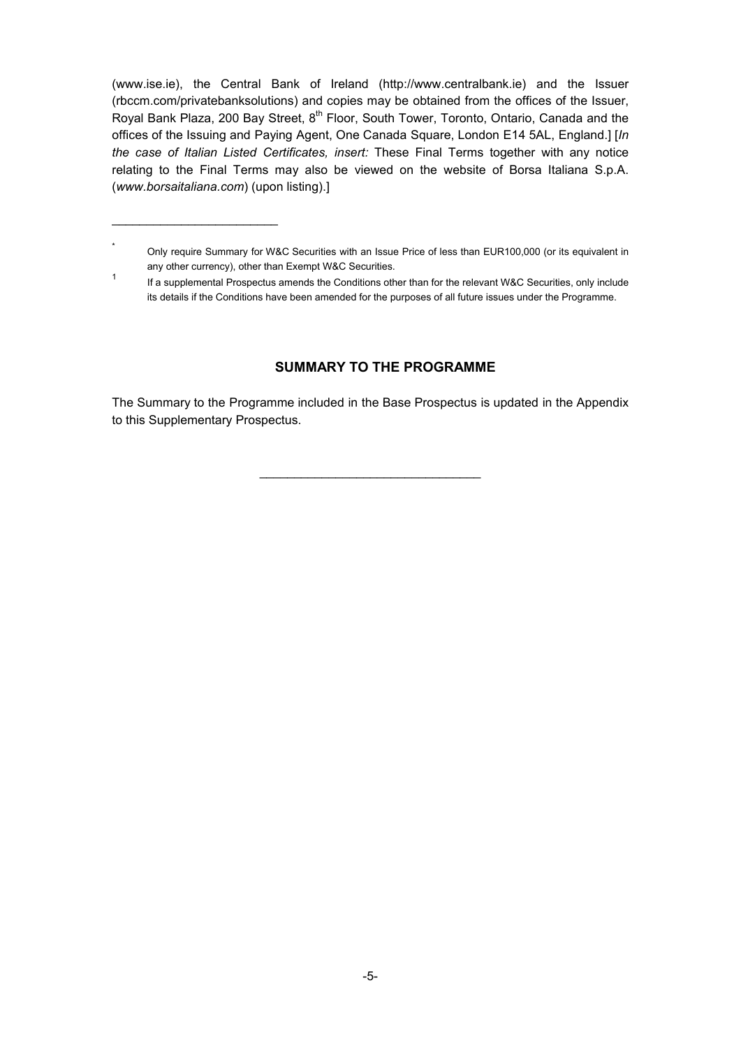(www.ise.ie), the Central Bank of Ireland (http://www.centralbank.ie) and the Issuer (rbccm.com/privatebanksolutions) and copies may be obtained from the offices of the Issuer, Royal Bank Plaza, 200 Bay Street, 8<sup>th</sup> Floor, South Tower, Toronto, Ontario, Canada and the offices of the Issuing and Paying Agent, One Canada Square, London E14 5AL, England.] [*In the case of Italian Listed Certificates, insert:* These Final Terms together with any notice relating to the Final Terms may also be viewed on the website of Borsa Italiana S.p.A. (*www.borsaitaliana.com*) (upon listing).]

 $\overline{\phantom{a}}$  , where  $\overline{\phantom{a}}$  , where  $\overline{\phantom{a}}$  , where  $\overline{\phantom{a}}$ 

#### **SUMMARY TO THE PROGRAMME**

The Summary to the Programme included in the Base Prospectus is updated in the Appendix to this Supplementary Prospectus.

\_\_\_\_\_\_\_\_\_\_\_\_\_\_\_\_\_\_\_\_\_\_\_\_\_\_\_\_\_\_\_\_

<sup>\*</sup> Only require Summary for W&C Securities with an Issue Price of less than EUR100,000 (or its equivalent in any other currency), other than Exempt W&C Securities.

<sup>1</sup> If a supplemental Prospectus amends the Conditions other than for the relevant W&C Securities, only include its details if the Conditions have been amended for the purposes of all future issues under the Programme.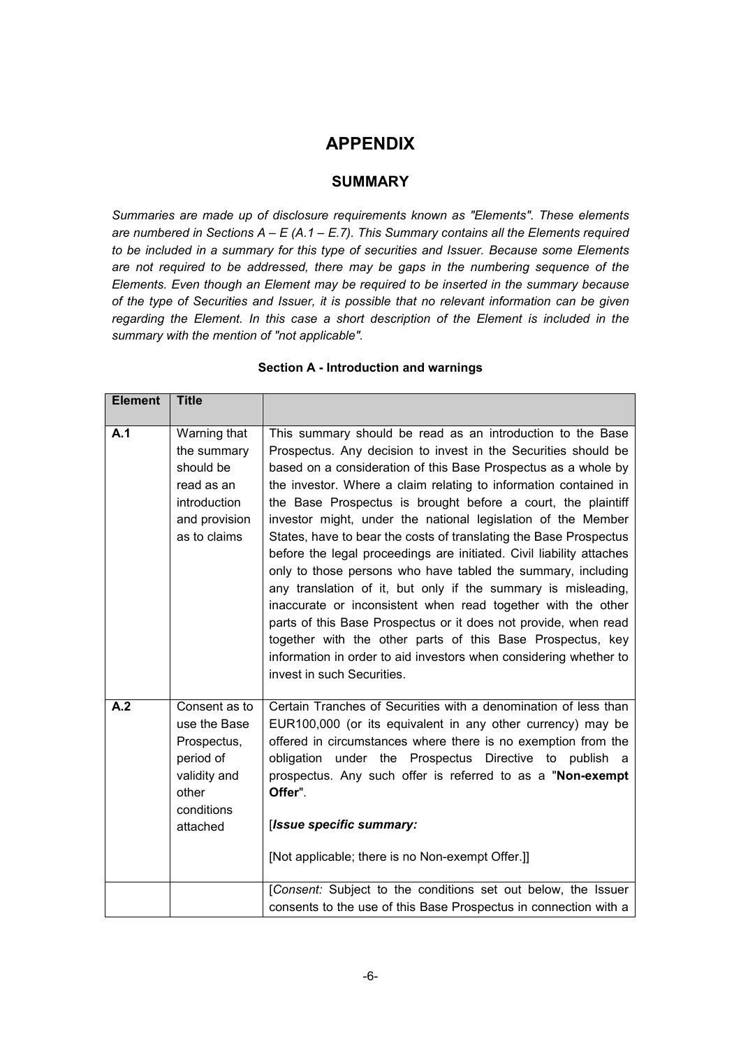## **APPENDIX**

## **SUMMARY**

*Summaries are made up of disclosure requirements known as "Elements". These elements are numbered in Sections A – E (A.1 – E.7). This Summary contains all the Elements required to be included in a summary for this type of securities and Issuer. Because some Elements are not required to be addressed, there may be gaps in the numbering sequence of the Elements. Even though an Element may be required to be inserted in the summary because of the type of Securities and Issuer, it is possible that no relevant information can be given regarding the Element. In this case a short description of the Element is included in the summary with the mention of "not applicable".*

| <b>Element</b> | <b>Title</b>                                                                                                 |                                                                                                                                                                                                                                                                                                                                                                                                                                                                                                                                                                                                                                                                                                                                                                                                                                                                                                                                                                                      |
|----------------|--------------------------------------------------------------------------------------------------------------|--------------------------------------------------------------------------------------------------------------------------------------------------------------------------------------------------------------------------------------------------------------------------------------------------------------------------------------------------------------------------------------------------------------------------------------------------------------------------------------------------------------------------------------------------------------------------------------------------------------------------------------------------------------------------------------------------------------------------------------------------------------------------------------------------------------------------------------------------------------------------------------------------------------------------------------------------------------------------------------|
| A.1            | Warning that<br>the summary<br>should be<br>read as an<br>introduction<br>and provision<br>as to claims      | This summary should be read as an introduction to the Base<br>Prospectus. Any decision to invest in the Securities should be<br>based on a consideration of this Base Prospectus as a whole by<br>the investor. Where a claim relating to information contained in<br>the Base Prospectus is brought before a court, the plaintiff<br>investor might, under the national legislation of the Member<br>States, have to bear the costs of translating the Base Prospectus<br>before the legal proceedings are initiated. Civil liability attaches<br>only to those persons who have tabled the summary, including<br>any translation of it, but only if the summary is misleading,<br>inaccurate or inconsistent when read together with the other<br>parts of this Base Prospectus or it does not provide, when read<br>together with the other parts of this Base Prospectus, key<br>information in order to aid investors when considering whether to<br>invest in such Securities. |
| A.2            | Consent as to<br>use the Base<br>Prospectus,<br>period of<br>validity and<br>other<br>conditions<br>attached | Certain Tranches of Securities with a denomination of less than<br>EUR100,000 (or its equivalent in any other currency) may be<br>offered in circumstances where there is no exemption from the<br>obligation under the Prospectus Directive to publish a<br>prospectus. Any such offer is referred to as a "Non-exempt<br>Offer".<br>[Issue specific summary:<br>[Not applicable; there is no Non-exempt Offer.]]<br>[Consent: Subject to the conditions set out below, the Issuer                                                                                                                                                                                                                                                                                                                                                                                                                                                                                                  |
|                |                                                                                                              | consents to the use of this Base Prospectus in connection with a                                                                                                                                                                                                                                                                                                                                                                                                                                                                                                                                                                                                                                                                                                                                                                                                                                                                                                                     |

#### **Section A - Introduction and warnings**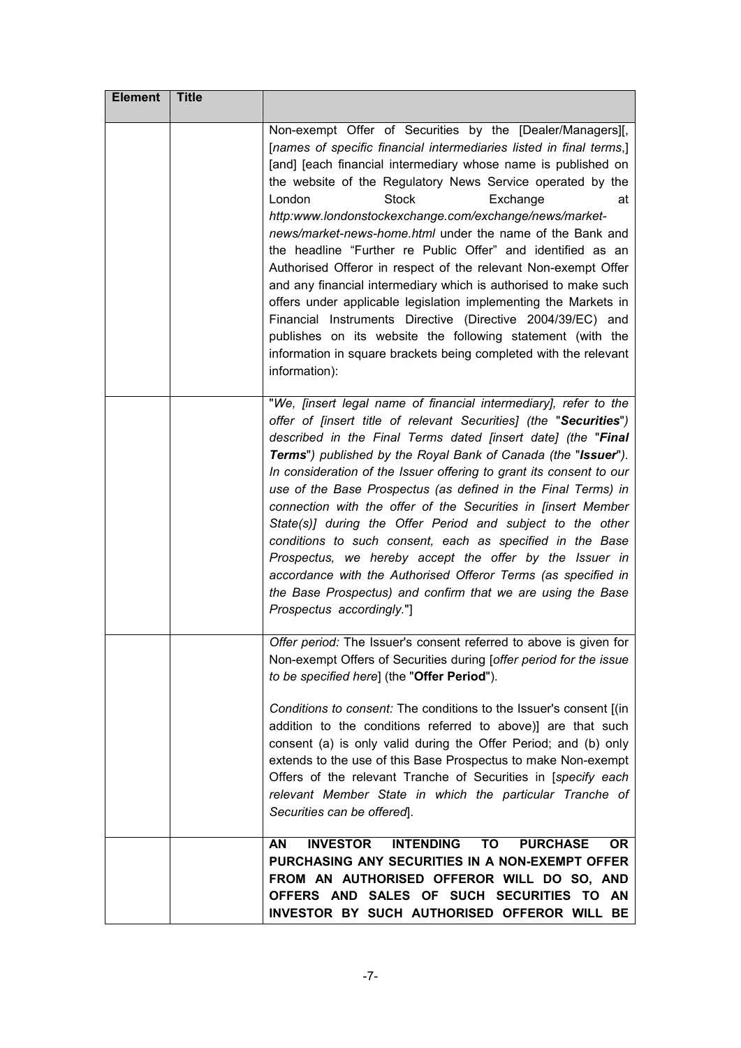| <b>Element</b> | <b>Title</b> |                                                                                                                                                                                                                                                                                                                                                                                                                                                                                                                                                                                                                                                                                                                                                                                                                                                                                                                            |
|----------------|--------------|----------------------------------------------------------------------------------------------------------------------------------------------------------------------------------------------------------------------------------------------------------------------------------------------------------------------------------------------------------------------------------------------------------------------------------------------------------------------------------------------------------------------------------------------------------------------------------------------------------------------------------------------------------------------------------------------------------------------------------------------------------------------------------------------------------------------------------------------------------------------------------------------------------------------------|
|                |              | Non-exempt Offer of Securities by the [Dealer/Managers][,<br>[names of specific financial intermediaries listed in final terms,]<br>[and] [each financial intermediary whose name is published on<br>the website of the Regulatory News Service operated by the<br>London<br><b>Stock</b><br>Exchange<br>at<br>http:www.londonstockexchange.com/exchange/news/market-<br>news/market-news-home.html under the name of the Bank and<br>the headline "Further re Public Offer" and identified as an<br>Authorised Offeror in respect of the relevant Non-exempt Offer<br>and any financial intermediary which is authorised to make such<br>offers under applicable legislation implementing the Markets in<br>Financial Instruments Directive (Directive 2004/39/EC) and<br>publishes on its website the following statement (with the<br>information in square brackets being completed with the relevant<br>information): |
|                |              | "We, [insert legal name of financial intermediary], refer to the<br>offer of [insert title of relevant Securities] (the "Securities")<br>described in the Final Terms dated [insert date] (the "Final<br>Terms") published by the Royal Bank of Canada (the "Issuer").<br>In consideration of the Issuer offering to grant its consent to our<br>use of the Base Prospectus (as defined in the Final Terms) in<br>connection with the offer of the Securities in [insert Member<br>State(s)] during the Offer Period and subject to the other<br>conditions to such consent, each as specified in the Base<br>Prospectus, we hereby accept the offer by the Issuer in<br>accordance with the Authorised Offeror Terms (as specified in<br>the Base Prospectus) and confirm that we are using the Base<br>Prospectus accordingly."]                                                                                         |
|                |              | Offer period: The Issuer's consent referred to above is given for<br>Non-exempt Offers of Securities during [offer period for the issue<br>to be specified here] (the "Offer Period").<br>Conditions to consent: The conditions to the Issuer's consent [(in<br>addition to the conditions referred to above)] are that such<br>consent (a) is only valid during the Offer Period; and (b) only<br>extends to the use of this Base Prospectus to make Non-exempt<br>Offers of the relevant Tranche of Securities in [specify each<br>relevant Member State in which the particular Tranche of<br>Securities can be offered].                                                                                                                                                                                                                                                                                               |
|                |              | <b>INVESTOR</b><br><b>INTENDING</b><br>TO<br><b>PURCHASE</b><br>AN<br>OR.<br>PURCHASING ANY SECURITIES IN A NON-EXEMPT OFFER<br>FROM AN AUTHORISED OFFEROR WILL DO SO, AND<br>OFFERS AND SALES OF SUCH SECURITIES TO AN<br>INVESTOR BY SUCH AUTHORISED OFFEROR WILL BE                                                                                                                                                                                                                                                                                                                                                                                                                                                                                                                                                                                                                                                     |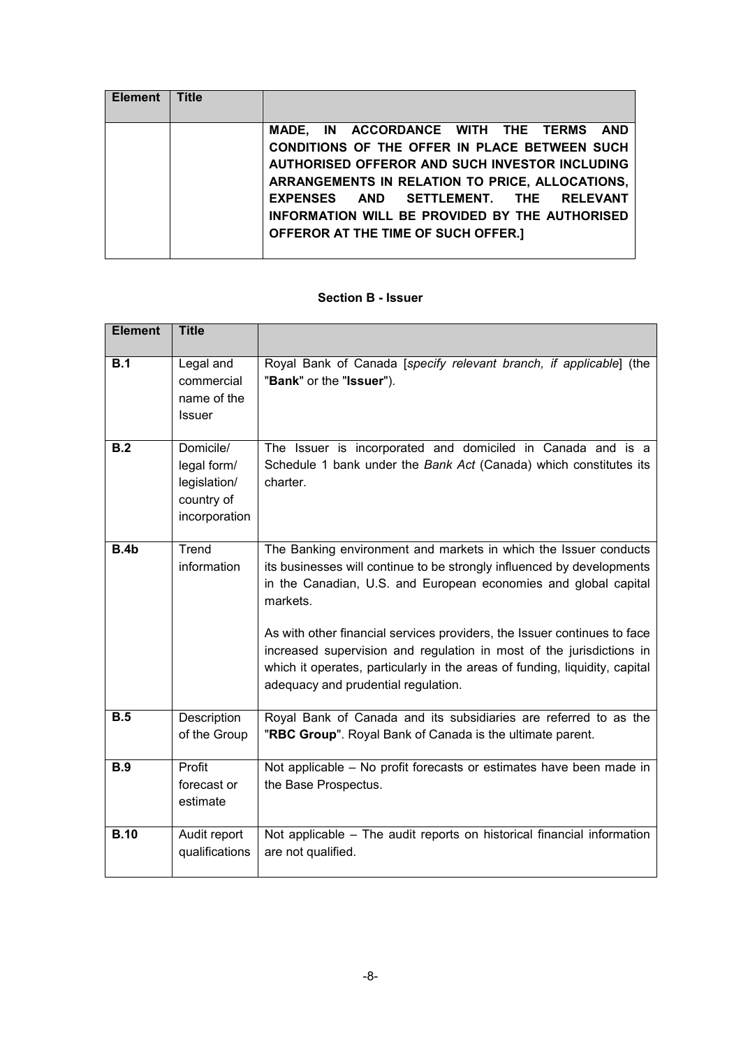| <b>Element</b> | <b>Title</b> |                                                 |
|----------------|--------------|-------------------------------------------------|
|                |              |                                                 |
|                |              | MADE, IN ACCORDANCE WITH THE TERMS AND          |
|                |              | CONDITIONS OF THE OFFER IN PLACE BETWEEN SUCH   |
|                |              | AUTHORISED OFFEROR AND SUCH INVESTOR INCLUDING  |
|                |              | ARRANGEMENTS IN RELATION TO PRICE, ALLOCATIONS, |
|                |              | EXPENSES AND SETTLEMENT. THE RELEVANT           |
|                |              | INFORMATION WILL BE PROVIDED BY THE AUTHORISED  |
|                |              | OFFEROR AT THE TIME OF SUCH OFFER.]             |
|                |              |                                                 |

#### **Section B - Issuer**

| <b>Element</b>   | <b>Title</b>                                                            |                                                                                                                                                                                                                                                                        |
|------------------|-------------------------------------------------------------------------|------------------------------------------------------------------------------------------------------------------------------------------------------------------------------------------------------------------------------------------------------------------------|
| B.1              | Legal and<br>commercial<br>name of the<br><b>Issuer</b>                 | Royal Bank of Canada [specify relevant branch, if applicable] (the<br>"Bank" or the "Issuer").                                                                                                                                                                         |
| $\overline{B.2}$ | Domicile/<br>legal form/<br>legislation/<br>country of<br>incorporation | The Issuer is incorporated and domiciled in Canada and is a<br>Schedule 1 bank under the Bank Act (Canada) which constitutes its<br>charter.                                                                                                                           |
| B.4b             | Trend<br>information                                                    | The Banking environment and markets in which the Issuer conducts<br>its businesses will continue to be strongly influenced by developments<br>in the Canadian, U.S. and European economies and global capital<br>markets.                                              |
|                  |                                                                         | As with other financial services providers, the Issuer continues to face<br>increased supervision and regulation in most of the jurisdictions in<br>which it operates, particularly in the areas of funding, liquidity, capital<br>adequacy and prudential regulation. |
| B.5              | Description<br>of the Group                                             | Royal Bank of Canada and its subsidiaries are referred to as the<br>"RBC Group". Royal Bank of Canada is the ultimate parent.                                                                                                                                          |
| <b>B.9</b>       | Profit<br>forecast or<br>estimate                                       | Not applicable – No profit forecasts or estimates have been made in<br>the Base Prospectus.                                                                                                                                                                            |
| <b>B.10</b>      | Audit report<br>qualifications                                          | Not applicable - The audit reports on historical financial information<br>are not qualified.                                                                                                                                                                           |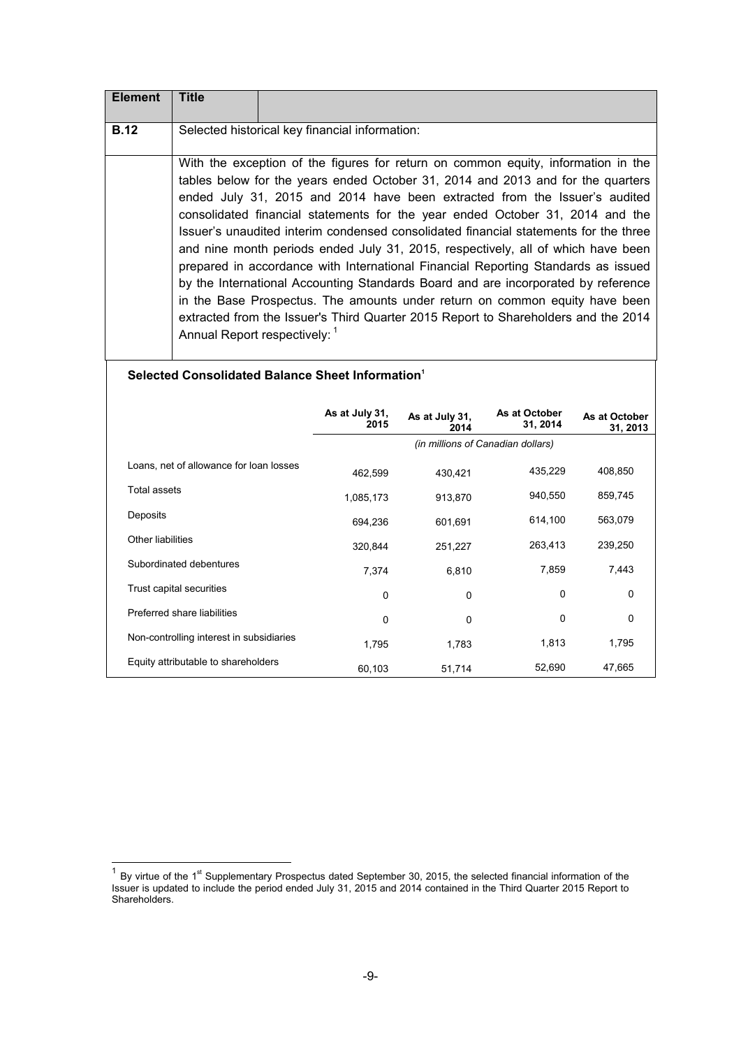| <b>Element</b> | Title                         |                                                                                                                                                                                                                                                                                                                                                                                                                                                                                                                                                                                                                                                                                                                                                                                                                                                                |
|----------------|-------------------------------|----------------------------------------------------------------------------------------------------------------------------------------------------------------------------------------------------------------------------------------------------------------------------------------------------------------------------------------------------------------------------------------------------------------------------------------------------------------------------------------------------------------------------------------------------------------------------------------------------------------------------------------------------------------------------------------------------------------------------------------------------------------------------------------------------------------------------------------------------------------|
| <b>B.12</b>    |                               | Selected historical key financial information:                                                                                                                                                                                                                                                                                                                                                                                                                                                                                                                                                                                                                                                                                                                                                                                                                 |
|                | Annual Report respectively: 1 | With the exception of the figures for return on common equity, information in the<br>tables below for the years ended October 31, 2014 and 2013 and for the quarters<br>ended July 31, 2015 and 2014 have been extracted from the Issuer's audited<br>consolidated financial statements for the year ended October 31, 2014 and the<br>Issuer's unaudited interim condensed consolidated financial statements for the three<br>and nine month periods ended July 31, 2015, respectively, all of which have been<br>prepared in accordance with International Financial Reporting Standards as issued<br>by the International Accounting Standards Board and are incorporated by reference<br>in the Base Prospectus. The amounts under return on common equity have been<br>extracted from the Issuer's Third Quarter 2015 Report to Shareholders and the 2014 |

#### **Selected Consolidated Balance Sheet Information<sup>1</sup>**

|                                          | As at July 31,<br>2015 | As at July 31,<br>2014 | As at October<br>31, 2014         | As at October<br>31, 2013 |
|------------------------------------------|------------------------|------------------------|-----------------------------------|---------------------------|
|                                          |                        |                        | (in millions of Canadian dollars) |                           |
| Loans, net of allowance for loan losses  | 462,599                | 430,421                | 435,229                           | 408,850                   |
| Total assets                             | 1,085,173              | 913,870                | 940,550                           | 859,745                   |
| Deposits                                 | 694,236                | 601,691                | 614,100                           | 563,079                   |
| Other liabilities                        | 320,844                | 251,227                | 263,413                           | 239,250                   |
| Subordinated debentures                  | 7,374                  | 6,810                  | 7,859                             | 7,443                     |
| Trust capital securities                 | $\Omega$               | $\Omega$               | $\Omega$                          | $\Omega$                  |
| Preferred share liabilities              | $\Omega$               | $\mathbf 0$            | 0                                 | 0                         |
| Non-controlling interest in subsidiaries | 1,795                  | 1,783                  | 1,813                             | 1,795                     |
| Equity attributable to shareholders      | 60,103                 | 51,714                 | 52,690                            | 47,665                    |

<sup>1&</sup>lt;br><sup>1</sup> By virtue of the 1<sup>st</sup> Supplementary Prospectus dated September 30, 2015, the selected financial information of the Issuer is updated to include the period ended July 31, 2015 and 2014 contained in the Third Quarter 2015 Report to Shareholders.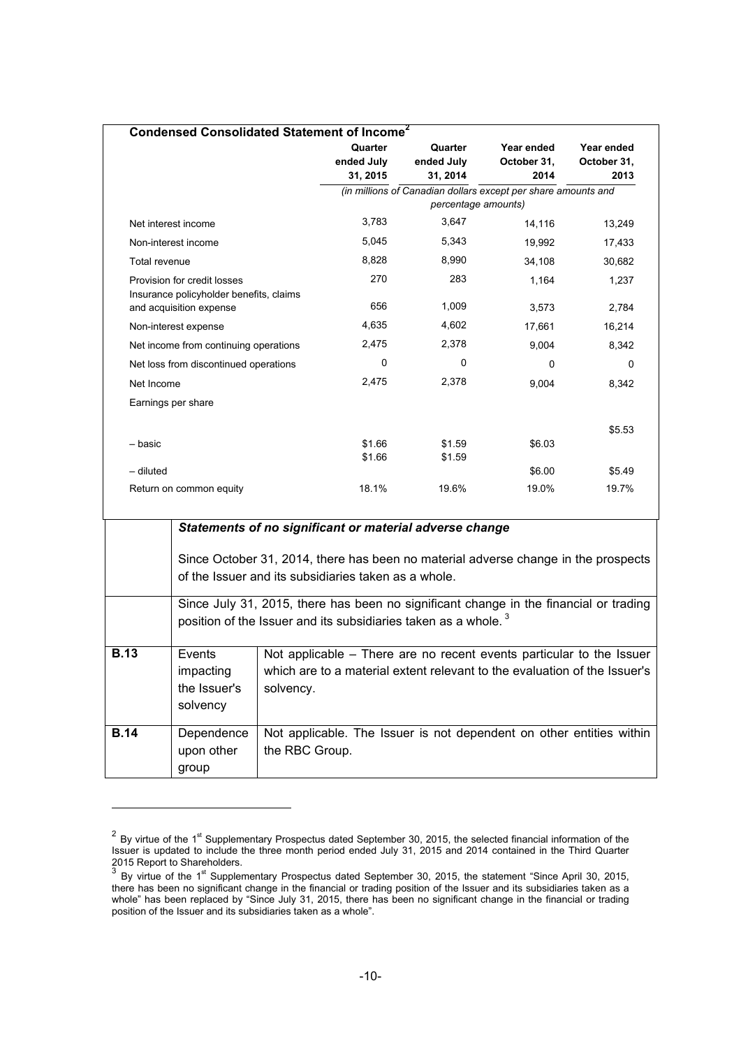| Condensed Consolidated Statement of Income <sup>2</sup>                            |                        |                        |                                                               |                     |
|------------------------------------------------------------------------------------|------------------------|------------------------|---------------------------------------------------------------|---------------------|
|                                                                                    | Quarter                | Quarter                | Year ended                                                    | Year ended          |
|                                                                                    | ended July<br>31, 2015 | ended July<br>31, 2014 | October 31,<br>2014                                           | October 31,<br>2013 |
|                                                                                    |                        |                        | (in millions of Canadian dollars except per share amounts and |                     |
|                                                                                    |                        | percentage amounts)    |                                                               |                     |
| Net interest income                                                                | 3,783                  | 3,647                  | 14,116                                                        | 13,249              |
| Non-interest income                                                                | 5.045                  | 5,343                  | 19,992                                                        | 17,433              |
| Total revenue                                                                      | 8,828                  | 8,990                  | 34,108                                                        | 30,682              |
| Provision for credit losses                                                        | 270                    | 283                    | 1,164                                                         | 1,237               |
| Insurance policyholder benefits, claims                                            | 656                    | 1,009                  |                                                               |                     |
| and acquisition expense                                                            |                        |                        | 3,573                                                         | 2,784               |
| Non-interest expense                                                               | 4,635                  | 4,602                  | 17,661                                                        | 16,214              |
| Net income from continuing operations                                              | 2,475                  | 2,378                  | 9,004                                                         | 8,342               |
| Net loss from discontinued operations                                              | 0                      | 0                      | 0                                                             | 0                   |
| Net Income                                                                         | 2,475                  | 2,378                  | 9,004                                                         | 8,342               |
| Earnings per share                                                                 |                        |                        |                                                               |                     |
|                                                                                    |                        |                        |                                                               | \$5.53              |
| - basic                                                                            | \$1.66                 | \$1.59                 | \$6.03                                                        |                     |
|                                                                                    | \$1.66                 | \$1.59                 |                                                               |                     |
| $-$ diluted                                                                        |                        |                        | \$6.00                                                        | \$5.49              |
| Return on common equity                                                            | 18.1%                  | 19.6%                  | 19.0%                                                         | 19.7%               |
|                                                                                    |                        |                        |                                                               |                     |
| Statements of no significant or material adverse change                            |                        |                        |                                                               |                     |
|                                                                                    |                        |                        |                                                               |                     |
| Since October 31, 2014, there has been no material adverse change in the prospects |                        |                        |                                                               |                     |
| of the Issuer and its subsidiaries taken as a whole.                               |                        |                        |                                                               |                     |

| Since July 31, 2015, there has been no significant change in the financial or trading |
|---------------------------------------------------------------------------------------|
| position of the Issuer and its subsidiaries taken as a whole. $3$                     |
|                                                                                       |

| <b>B.13</b> | Events       | Not applicable – There are no recent events particular to the Issuer      |
|-------------|--------------|---------------------------------------------------------------------------|
|             | impacting    | which are to a material extent relevant to the evaluation of the Issuer's |
|             | the Issuer's | solvency.                                                                 |
|             | solvency     |                                                                           |
|             |              |                                                                           |
| <b>B.14</b> | Dependence   | Not applicable. The Issuer is not dependent on other entities within      |
|             | upon other   | the RBC Group.                                                            |
|             | group        |                                                                           |

l

 $2$  By virtue of the 1<sup>st</sup> Supplementary Prospectus dated September 30, 2015, the selected financial information of the Issuer is updated to include the three month period ended July 31, 2015 and 2014 contained in the Third Quarter 2015 Report to Shareholders.<br><sup>3</sup> By virtue of the 1<sup>st</sup> Supplementary Prospectus dated September 30, 2015, the statement "Since April 30, 2015,

there has been no significant change in the financial or trading position of the Issuer and its subsidiaries taken as a whole" has been replaced by "Since July 31, 2015, there has been no significant change in the financial or trading position of the Issuer and its subsidiaries taken as a whole".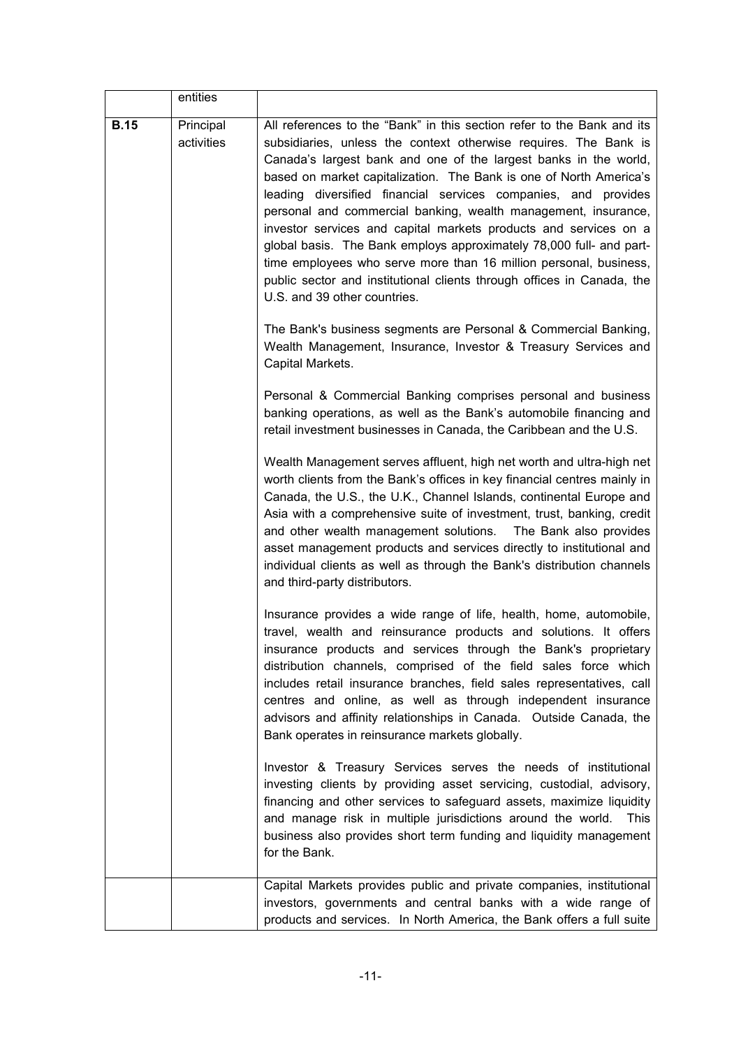|             | entities                |                                                                                                                                                                                                                                                                                                                                                                                                                                                                                                                                                                                                                                                                                                                                                    |
|-------------|-------------------------|----------------------------------------------------------------------------------------------------------------------------------------------------------------------------------------------------------------------------------------------------------------------------------------------------------------------------------------------------------------------------------------------------------------------------------------------------------------------------------------------------------------------------------------------------------------------------------------------------------------------------------------------------------------------------------------------------------------------------------------------------|
| <b>B.15</b> | Principal<br>activities | All references to the "Bank" in this section refer to the Bank and its<br>subsidiaries, unless the context otherwise requires. The Bank is<br>Canada's largest bank and one of the largest banks in the world,<br>based on market capitalization. The Bank is one of North America's<br>leading diversified financial services companies, and provides<br>personal and commercial banking, wealth management, insurance,<br>investor services and capital markets products and services on a<br>global basis. The Bank employs approximately 78,000 full- and part-<br>time employees who serve more than 16 million personal, business,<br>public sector and institutional clients through offices in Canada, the<br>U.S. and 39 other countries. |
|             |                         | The Bank's business segments are Personal & Commercial Banking,<br>Wealth Management, Insurance, Investor & Treasury Services and<br>Capital Markets.                                                                                                                                                                                                                                                                                                                                                                                                                                                                                                                                                                                              |
|             |                         | Personal & Commercial Banking comprises personal and business<br>banking operations, as well as the Bank's automobile financing and<br>retail investment businesses in Canada, the Caribbean and the U.S.                                                                                                                                                                                                                                                                                                                                                                                                                                                                                                                                          |
|             |                         | Wealth Management serves affluent, high net worth and ultra-high net<br>worth clients from the Bank's offices in key financial centres mainly in<br>Canada, the U.S., the U.K., Channel Islands, continental Europe and<br>Asia with a comprehensive suite of investment, trust, banking, credit<br>and other wealth management solutions.  The Bank also provides<br>asset management products and services directly to institutional and<br>individual clients as well as through the Bank's distribution channels<br>and third-party distributors.                                                                                                                                                                                              |
|             |                         | Insurance provides a wide range of life, health, home, automobile,<br>travel, wealth and reinsurance products and solutions. It offers<br>insurance products and services through the Bank's proprietary<br>distribution channels, comprised of the field sales force which<br>includes retail insurance branches, field sales representatives, call<br>centres and online, as well as through independent insurance<br>advisors and affinity relationships in Canada. Outside Canada, the<br>Bank operates in reinsurance markets globally.                                                                                                                                                                                                       |
|             |                         | Investor & Treasury Services serves the needs of institutional<br>investing clients by providing asset servicing, custodial, advisory,<br>financing and other services to safeguard assets, maximize liquidity<br>and manage risk in multiple jurisdictions around the world.<br><b>This</b><br>business also provides short term funding and liquidity management<br>for the Bank.                                                                                                                                                                                                                                                                                                                                                                |
|             |                         | Capital Markets provides public and private companies, institutional<br>investors, governments and central banks with a wide range of<br>products and services. In North America, the Bank offers a full suite                                                                                                                                                                                                                                                                                                                                                                                                                                                                                                                                     |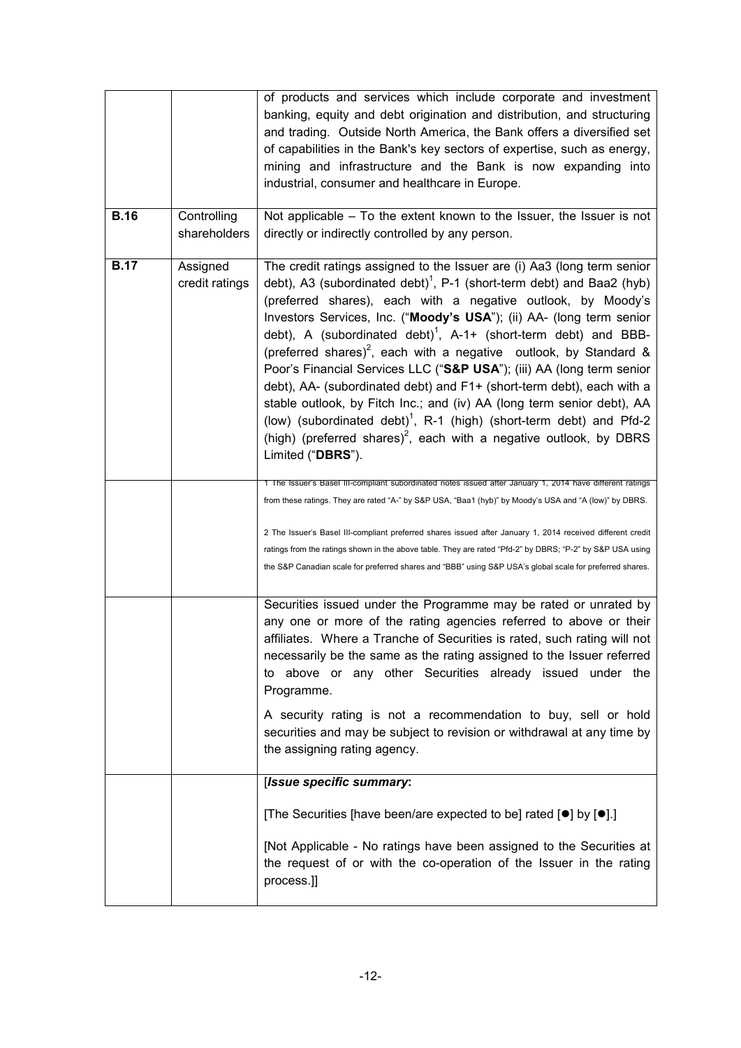|             |                             | of products and services which include corporate and investment<br>banking, equity and debt origination and distribution, and structuring<br>and trading. Outside North America, the Bank offers a diversified set<br>of capabilities in the Bank's key sectors of expertise, such as energy,<br>mining and infrastructure and the Bank is now expanding into<br>industrial, consumer and healthcare in Europe.                                                                                                                                                                                                                                                                                                                                                                                                                                                                            |
|-------------|-----------------------------|--------------------------------------------------------------------------------------------------------------------------------------------------------------------------------------------------------------------------------------------------------------------------------------------------------------------------------------------------------------------------------------------------------------------------------------------------------------------------------------------------------------------------------------------------------------------------------------------------------------------------------------------------------------------------------------------------------------------------------------------------------------------------------------------------------------------------------------------------------------------------------------------|
| <b>B.16</b> | Controlling<br>shareholders | Not applicable - To the extent known to the Issuer, the Issuer is not<br>directly or indirectly controlled by any person.                                                                                                                                                                                                                                                                                                                                                                                                                                                                                                                                                                                                                                                                                                                                                                  |
| <b>B.17</b> | Assigned<br>credit ratings  | The credit ratings assigned to the Issuer are (i) Aa3 (long term senior<br>debt), A3 (subordinated debt) <sup>1</sup> , P-1 (short-term debt) and Baa2 (hyb)<br>(preferred shares), each with a negative outlook, by Moody's<br>Investors Services, Inc. ("Moody's USA"); (ii) AA- (long term senior<br>debt), A (subordinated debt) <sup>1</sup> , A-1+ (short-term debt) and BBB-<br>(preferred shares) <sup>2</sup> , each with a negative outlook, by Standard &<br>Poor's Financial Services LLC ("S&P USA"); (iii) AA (long term senior<br>debt), AA- (subordinated debt) and F1+ (short-term debt), each with a<br>stable outlook, by Fitch Inc.; and (iv) AA (long term senior debt), AA<br>(low) (subordinated debt) <sup>1</sup> , R-1 (high) (short-term debt) and Pfd-2<br>(high) (preferred shares) <sup>2</sup> , each with a negative outlook, by DBRS<br>Limited ("DBRS"). |
|             |                             | 1 The Issuer's Basel III-compliant subordinated notes issued atter January 1, 2014 have different ratings<br>from these ratings. They are rated "A-" by S&P USA, "Baa1 (hyb)" by Moody's USA and "A (low)" by DBRS.                                                                                                                                                                                                                                                                                                                                                                                                                                                                                                                                                                                                                                                                        |
|             |                             | 2 The Issuer's Basel III-compliant preferred shares issued after January 1, 2014 received different credit<br>ratings from the ratings shown in the above table. They are rated "Pfd-2" by DBRS; "P-2" by S&P USA using<br>the S&P Canadian scale for preferred shares and "BBB" using S&P USA's global scale for preferred shares.                                                                                                                                                                                                                                                                                                                                                                                                                                                                                                                                                        |
|             |                             | Securities issued under the Programme may be rated or unrated by<br>any one or more of the rating agencies referred to above or their<br>affiliates. Where a Tranche of Securities is rated, such rating will not<br>necessarily be the same as the rating assigned to the Issuer referred<br>to above or any other Securities already issued under the<br>Programme.                                                                                                                                                                                                                                                                                                                                                                                                                                                                                                                      |
|             |                             | A security rating is not a recommendation to buy, sell or hold<br>securities and may be subject to revision or withdrawal at any time by<br>the assigning rating agency.                                                                                                                                                                                                                                                                                                                                                                                                                                                                                                                                                                                                                                                                                                                   |
|             |                             | [Issue specific summary:                                                                                                                                                                                                                                                                                                                                                                                                                                                                                                                                                                                                                                                                                                                                                                                                                                                                   |
|             |                             | [The Securities [have been/are expected to be] rated $[•]$ by $[•]$ .]                                                                                                                                                                                                                                                                                                                                                                                                                                                                                                                                                                                                                                                                                                                                                                                                                     |
|             |                             | [Not Applicable - No ratings have been assigned to the Securities at<br>the request of or with the co-operation of the Issuer in the rating<br>process.]]                                                                                                                                                                                                                                                                                                                                                                                                                                                                                                                                                                                                                                                                                                                                  |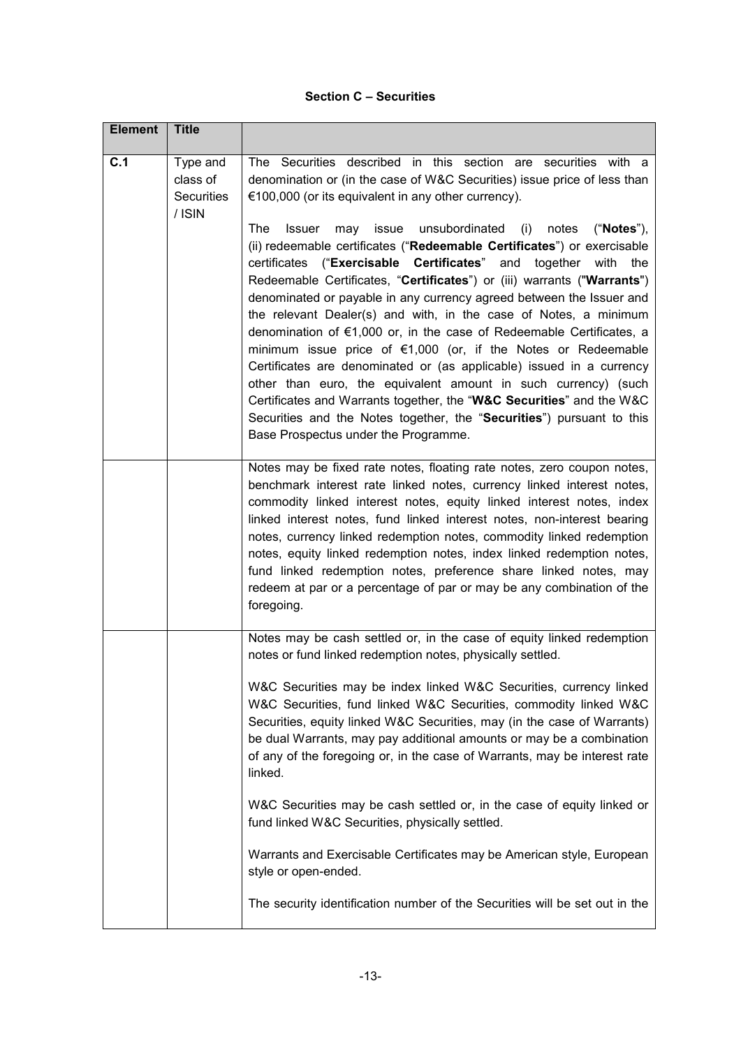#### **Section C – Securities**

| <b>Element</b> | <b>Title</b>                                        |                                                                                                                                                                                                                                                                                                                                                                                                                                                                                                                                                                                                                                                                                                                                                                                                                                                                                                                                                               |
|----------------|-----------------------------------------------------|---------------------------------------------------------------------------------------------------------------------------------------------------------------------------------------------------------------------------------------------------------------------------------------------------------------------------------------------------------------------------------------------------------------------------------------------------------------------------------------------------------------------------------------------------------------------------------------------------------------------------------------------------------------------------------------------------------------------------------------------------------------------------------------------------------------------------------------------------------------------------------------------------------------------------------------------------------------|
| C.1            | Type and<br>class of<br><b>Securities</b><br>/ ISIN | The Securities described in this section are securities with a<br>denomination or (in the case of W&C Securities) issue price of less than<br>€100,000 (or its equivalent in any other currency).                                                                                                                                                                                                                                                                                                                                                                                                                                                                                                                                                                                                                                                                                                                                                             |
|                |                                                     | <b>The</b><br>issue<br>unsubordinated<br>notes<br>("Notes"),<br><b>Issuer</b><br>may<br>(i)<br>(ii) redeemable certificates ("Redeemable Certificates") or exercisable<br>certificates ("Exercisable Certificates"<br>and<br>together with the<br>Redeemable Certificates, "Certificates") or (iii) warrants ("Warrants")<br>denominated or payable in any currency agreed between the Issuer and<br>the relevant Dealer(s) and with, in the case of Notes, a minimum<br>denomination of $\epsilon$ 1,000 or, in the case of Redeemable Certificates, a<br>minimum issue price of $€1,000$ (or, if the Notes or Redeemable<br>Certificates are denominated or (as applicable) issued in a currency<br>other than euro, the equivalent amount in such currency) (such<br>Certificates and Warrants together, the "W&C Securities" and the W&C<br>Securities and the Notes together, the "Securities") pursuant to this<br>Base Prospectus under the Programme. |
|                |                                                     | Notes may be fixed rate notes, floating rate notes, zero coupon notes,<br>benchmark interest rate linked notes, currency linked interest notes,<br>commodity linked interest notes, equity linked interest notes, index<br>linked interest notes, fund linked interest notes, non-interest bearing<br>notes, currency linked redemption notes, commodity linked redemption<br>notes, equity linked redemption notes, index linked redemption notes,<br>fund linked redemption notes, preference share linked notes, may<br>redeem at par or a percentage of par or may be any combination of the<br>foregoing.                                                                                                                                                                                                                                                                                                                                                |
|                |                                                     | Notes may be cash settled or, in the case of equity linked redemption<br>notes or fund linked redemption notes, physically settled.<br>W&C Securities may be index linked W&C Securities, currency linked<br>W&C Securities, fund linked W&C Securities, commodity linked W&C<br>Securities, equity linked W&C Securities, may (in the case of Warrants)<br>be dual Warrants, may pay additional amounts or may be a combination<br>of any of the foregoing or, in the case of Warrants, may be interest rate<br>linked.                                                                                                                                                                                                                                                                                                                                                                                                                                      |
|                |                                                     | W&C Securities may be cash settled or, in the case of equity linked or<br>fund linked W&C Securities, physically settled.                                                                                                                                                                                                                                                                                                                                                                                                                                                                                                                                                                                                                                                                                                                                                                                                                                     |
|                |                                                     | Warrants and Exercisable Certificates may be American style, European<br>style or open-ended.                                                                                                                                                                                                                                                                                                                                                                                                                                                                                                                                                                                                                                                                                                                                                                                                                                                                 |
|                |                                                     | The security identification number of the Securities will be set out in the                                                                                                                                                                                                                                                                                                                                                                                                                                                                                                                                                                                                                                                                                                                                                                                                                                                                                   |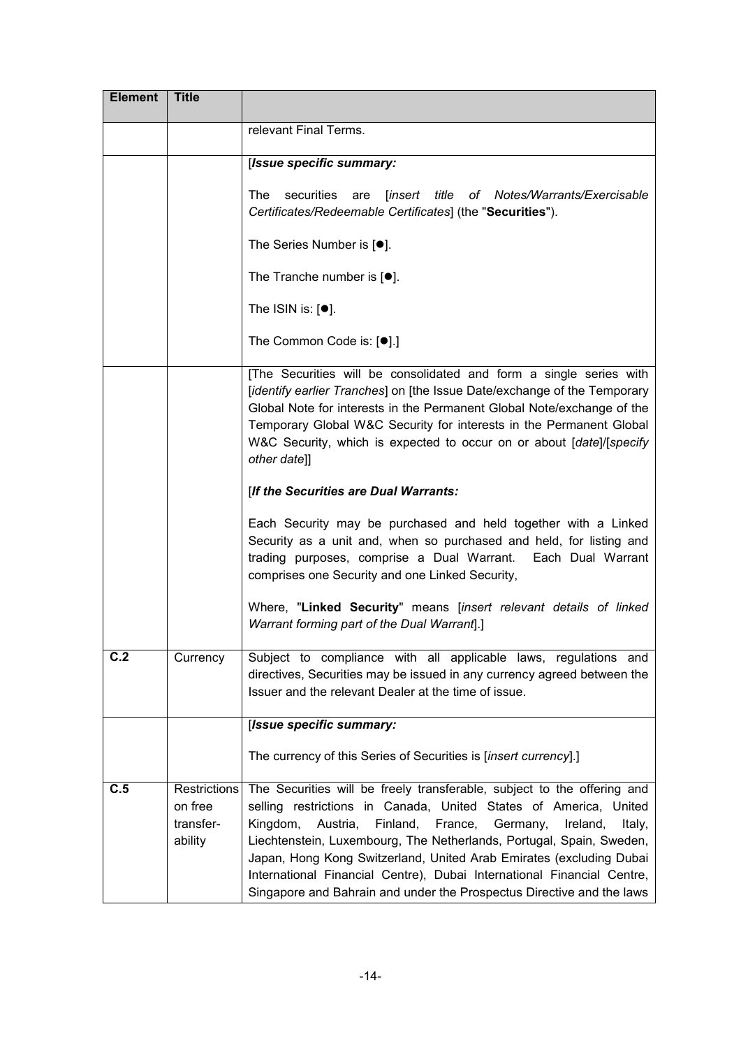| <b>Element</b> | <b>Title</b>                                           |                                                                                                                                                                                                                                                                                                                                                                                                                                                                                                                                |
|----------------|--------------------------------------------------------|--------------------------------------------------------------------------------------------------------------------------------------------------------------------------------------------------------------------------------------------------------------------------------------------------------------------------------------------------------------------------------------------------------------------------------------------------------------------------------------------------------------------------------|
|                |                                                        | relevant Final Terms.                                                                                                                                                                                                                                                                                                                                                                                                                                                                                                          |
|                |                                                        | [Issue specific summary:                                                                                                                                                                                                                                                                                                                                                                                                                                                                                                       |
|                |                                                        | <b>The</b><br>securities<br><i>linsert</i><br>title<br>of Notes/Warrants/Exercisable<br>are<br>Certificates/Redeemable Certificates] (the "Securities").                                                                                                                                                                                                                                                                                                                                                                       |
|                |                                                        | The Series Number is $[•]$ .                                                                                                                                                                                                                                                                                                                                                                                                                                                                                                   |
|                |                                                        | The Tranche number is $[•]$ .                                                                                                                                                                                                                                                                                                                                                                                                                                                                                                  |
|                |                                                        | The ISIN is: $[•]$ .                                                                                                                                                                                                                                                                                                                                                                                                                                                                                                           |
|                |                                                        | The Common Code is: [ $\bullet$ ].]                                                                                                                                                                                                                                                                                                                                                                                                                                                                                            |
|                |                                                        | [The Securities will be consolidated and form a single series with<br>[identify earlier Tranches] on [the Issue Date/exchange of the Temporary<br>Global Note for interests in the Permanent Global Note/exchange of the<br>Temporary Global W&C Security for interests in the Permanent Global<br>W&C Security, which is expected to occur on or about [date]/[specify<br>other date]]                                                                                                                                        |
|                |                                                        | [If the Securities are Dual Warrants:                                                                                                                                                                                                                                                                                                                                                                                                                                                                                          |
|                |                                                        | Each Security may be purchased and held together with a Linked<br>Security as a unit and, when so purchased and held, for listing and<br>trading purposes, comprise a Dual Warrant. Each Dual Warrant<br>comprises one Security and one Linked Security,                                                                                                                                                                                                                                                                       |
|                |                                                        | Where, "Linked Security" means [insert relevant details of linked<br>Warrant forming part of the Dual Warrant].]                                                                                                                                                                                                                                                                                                                                                                                                               |
| C.2            | Currency                                               | Subject to compliance with all applicable laws, regulations and<br>directives, Securities may be issued in any currency agreed between the<br>Issuer and the relevant Dealer at the time of issue.                                                                                                                                                                                                                                                                                                                             |
|                |                                                        | [Issue specific summary:                                                                                                                                                                                                                                                                                                                                                                                                                                                                                                       |
|                |                                                        | The currency of this Series of Securities is [insert currency].]                                                                                                                                                                                                                                                                                                                                                                                                                                                               |
| C.5            | <b>Restrictions</b><br>on free<br>transfer-<br>ability | The Securities will be freely transferable, subject to the offering and<br>selling restrictions in Canada, United States of America, United<br>Finland,<br>France,<br>Kingdom,<br>Austria,<br>Germany,<br>Ireland,<br>Italy,<br>Liechtenstein, Luxembourg, The Netherlands, Portugal, Spain, Sweden,<br>Japan, Hong Kong Switzerland, United Arab Emirates (excluding Dubai<br>International Financial Centre), Dubai International Financial Centre,<br>Singapore and Bahrain and under the Prospectus Directive and the laws |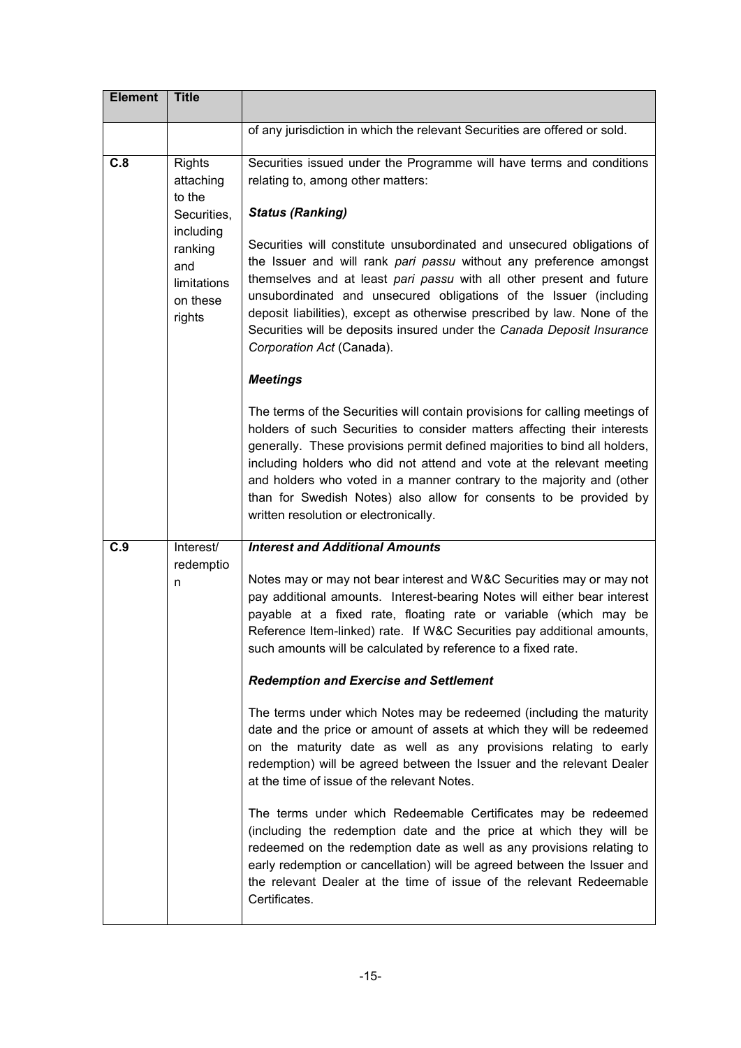| <b>Element</b> | <b>Title</b>                                                                                                            |                                                                                                                                                                                                                                                                                                                                                                                                                                                                                                       |
|----------------|-------------------------------------------------------------------------------------------------------------------------|-------------------------------------------------------------------------------------------------------------------------------------------------------------------------------------------------------------------------------------------------------------------------------------------------------------------------------------------------------------------------------------------------------------------------------------------------------------------------------------------------------|
|                |                                                                                                                         | of any jurisdiction in which the relevant Securities are offered or sold.                                                                                                                                                                                                                                                                                                                                                                                                                             |
| C.8            | <b>Rights</b><br>attaching<br>to the<br>Securities,<br>including<br>ranking<br>and<br>limitations<br>on these<br>rights | Securities issued under the Programme will have terms and conditions<br>relating to, among other matters:<br><b>Status (Ranking)</b>                                                                                                                                                                                                                                                                                                                                                                  |
|                |                                                                                                                         | Securities will constitute unsubordinated and unsecured obligations of<br>the Issuer and will rank pari passu without any preference amongst<br>themselves and at least pari passu with all other present and future<br>unsubordinated and unsecured obligations of the Issuer (including<br>deposit liabilities), except as otherwise prescribed by law. None of the<br>Securities will be deposits insured under the Canada Deposit Insurance<br>Corporation Act (Canada).                          |
|                |                                                                                                                         | <b>Meetings</b>                                                                                                                                                                                                                                                                                                                                                                                                                                                                                       |
|                |                                                                                                                         | The terms of the Securities will contain provisions for calling meetings of<br>holders of such Securities to consider matters affecting their interests<br>generally. These provisions permit defined majorities to bind all holders,<br>including holders who did not attend and vote at the relevant meeting<br>and holders who voted in a manner contrary to the majority and (other<br>than for Swedish Notes) also allow for consents to be provided by<br>written resolution or electronically. |
| C.9            | Interest/<br>redemptio                                                                                                  | <b>Interest and Additional Amounts</b>                                                                                                                                                                                                                                                                                                                                                                                                                                                                |
|                | n                                                                                                                       | Notes may or may not bear interest and W&C Securities may or may not<br>pay additional amounts. Interest-bearing Notes will either bear interest<br>payable at a fixed rate, floating rate or variable (which may be<br>Reference Item-linked) rate. If W&C Securities pay additional amounts,<br>such amounts will be calculated by reference to a fixed rate.                                                                                                                                       |
|                |                                                                                                                         | <b>Redemption and Exercise and Settlement</b>                                                                                                                                                                                                                                                                                                                                                                                                                                                         |
|                |                                                                                                                         | The terms under which Notes may be redeemed (including the maturity<br>date and the price or amount of assets at which they will be redeemed<br>on the maturity date as well as any provisions relating to early<br>redemption) will be agreed between the Issuer and the relevant Dealer<br>at the time of issue of the relevant Notes.                                                                                                                                                              |
|                |                                                                                                                         | The terms under which Redeemable Certificates may be redeemed<br>(including the redemption date and the price at which they will be<br>redeemed on the redemption date as well as any provisions relating to<br>early redemption or cancellation) will be agreed between the Issuer and<br>the relevant Dealer at the time of issue of the relevant Redeemable<br>Certificates.                                                                                                                       |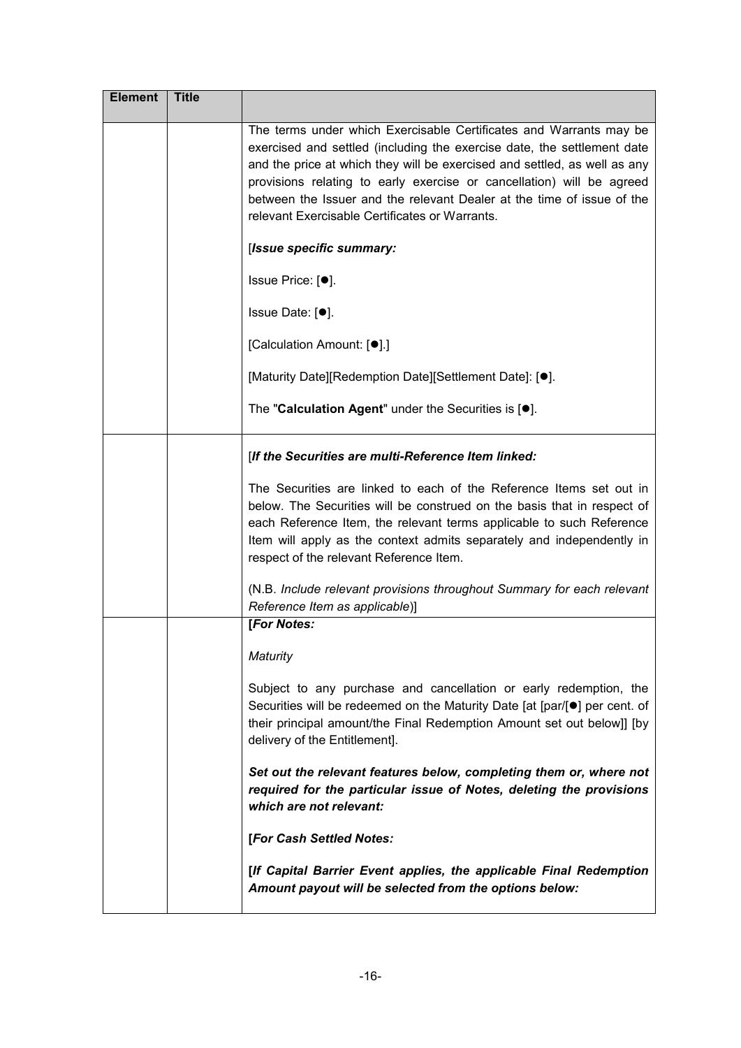| <b>Element</b> | <b>Title</b> |                                                                                                                                                                                                                                                                                                                                                                                                                                 |
|----------------|--------------|---------------------------------------------------------------------------------------------------------------------------------------------------------------------------------------------------------------------------------------------------------------------------------------------------------------------------------------------------------------------------------------------------------------------------------|
|                |              | The terms under which Exercisable Certificates and Warrants may be<br>exercised and settled (including the exercise date, the settlement date<br>and the price at which they will be exercised and settled, as well as any<br>provisions relating to early exercise or cancellation) will be agreed<br>between the Issuer and the relevant Dealer at the time of issue of the<br>relevant Exercisable Certificates or Warrants. |
|                |              | [Issue specific summary:                                                                                                                                                                                                                                                                                                                                                                                                        |
|                |              | Issue Price: [●].                                                                                                                                                                                                                                                                                                                                                                                                               |
|                |              | Issue Date: [●].                                                                                                                                                                                                                                                                                                                                                                                                                |
|                |              | [Calculation Amount: [ <sup>●</sup> ].]                                                                                                                                                                                                                                                                                                                                                                                         |
|                |              | [Maturity Date][Redemption Date][Settlement Date]: [ <sup>•</sup> ].                                                                                                                                                                                                                                                                                                                                                            |
|                |              | The "Calculation Agent" under the Securities is [.].                                                                                                                                                                                                                                                                                                                                                                            |
|                |              | [If the Securities are multi-Reference Item linked:                                                                                                                                                                                                                                                                                                                                                                             |
|                |              | The Securities are linked to each of the Reference Items set out in<br>below. The Securities will be construed on the basis that in respect of<br>each Reference Item, the relevant terms applicable to such Reference<br>Item will apply as the context admits separately and independently in<br>respect of the relevant Reference Item.                                                                                      |
|                |              | (N.B. Include relevant provisions throughout Summary for each relevant<br>Reference Item as applicable)]                                                                                                                                                                                                                                                                                                                        |
|                |              | [For Notes:                                                                                                                                                                                                                                                                                                                                                                                                                     |
|                |              | Maturity                                                                                                                                                                                                                                                                                                                                                                                                                        |
|                |              | Subject to any purchase and cancellation or early redemption, the<br>Securities will be redeemed on the Maturity Date [at [par/[●] per cent. of<br>their principal amount/the Final Redemption Amount set out below]] [by<br>delivery of the Entitlement].                                                                                                                                                                      |
|                |              | Set out the relevant features below, completing them or, where not<br>required for the particular issue of Notes, deleting the provisions<br>which are not relevant:                                                                                                                                                                                                                                                            |
|                |              | [For Cash Settled Notes:                                                                                                                                                                                                                                                                                                                                                                                                        |
|                |              | [If Capital Barrier Event applies, the applicable Final Redemption<br>Amount payout will be selected from the options below:                                                                                                                                                                                                                                                                                                    |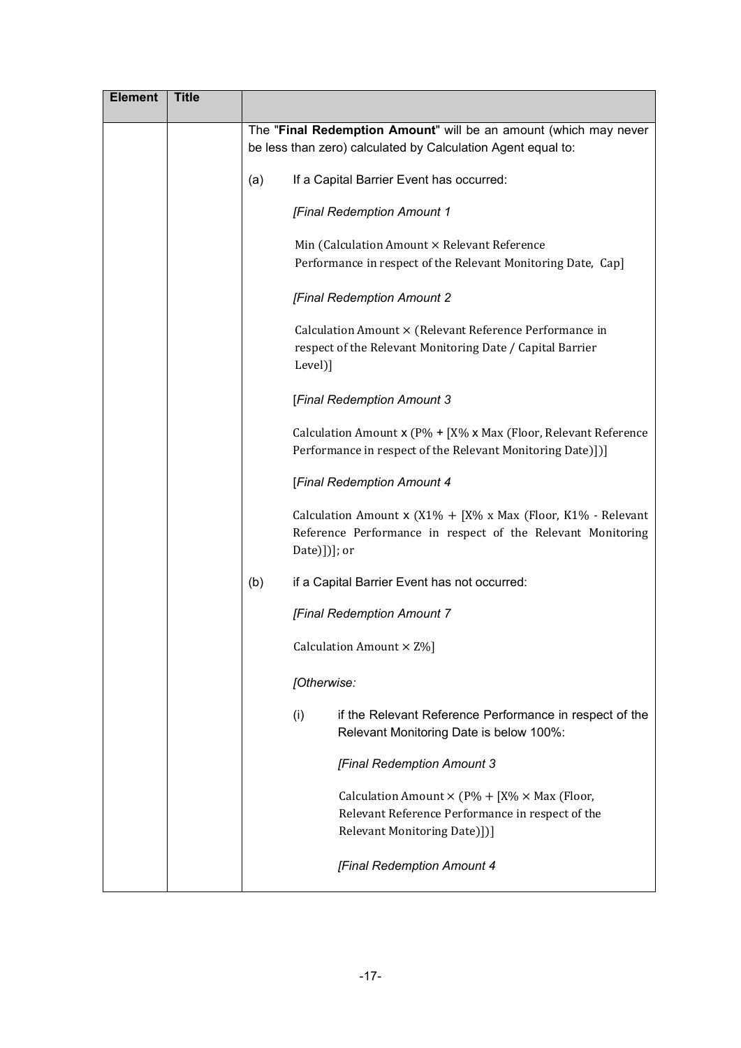| <b>Element</b> | <b>Title</b> |                                                                                                                                                |
|----------------|--------------|------------------------------------------------------------------------------------------------------------------------------------------------|
|                |              | The "Final Redemption Amount" will be an amount (which may never<br>be less than zero) calculated by Calculation Agent equal to:               |
|                |              | If a Capital Barrier Event has occurred:<br>(a)                                                                                                |
|                |              | [Final Redemption Amount 1                                                                                                                     |
|                |              | Min (Calculation Amount × Relevant Reference<br>Performance in respect of the Relevant Monitoring Date, Cap]                                   |
|                |              | [Final Redemption Amount 2                                                                                                                     |
|                |              | Calculation Amount × (Relevant Reference Performance in<br>respect of the Relevant Monitoring Date / Capital Barrier<br>Level)]                |
|                |              | [Final Redemption Amount 3                                                                                                                     |
|                |              | Calculation Amount x (P% + [X% x Max (Floor, Relevant Reference<br>Performance in respect of the Relevant Monitoring Date)])]                  |
|                |              | [Final Redemption Amount 4                                                                                                                     |
|                |              | Calculation Amount x (X1% + [X% x Max (Floor, K1% - Relevant<br>Reference Performance in respect of the Relevant Monitoring<br>$Date)]$ ; or   |
|                |              | (b)<br>if a Capital Barrier Event has not occurred:                                                                                            |
|                |              | [Final Redemption Amount 7                                                                                                                     |
|                |              | Calculation Amount $\times$ Z%]                                                                                                                |
|                |              | [Otherwise:                                                                                                                                    |
|                |              | if the Relevant Reference Performance in respect of the<br>(i)<br>Relevant Monitoring Date is below 100%:                                      |
|                |              | [Final Redemption Amount 3                                                                                                                     |
|                |              | Calculation Amount $\times$ (P% + [X% $\times$ Max (Floor,<br>Relevant Reference Performance in respect of the<br>Relevant Monitoring Date)])] |
|                |              | [Final Redemption Amount 4                                                                                                                     |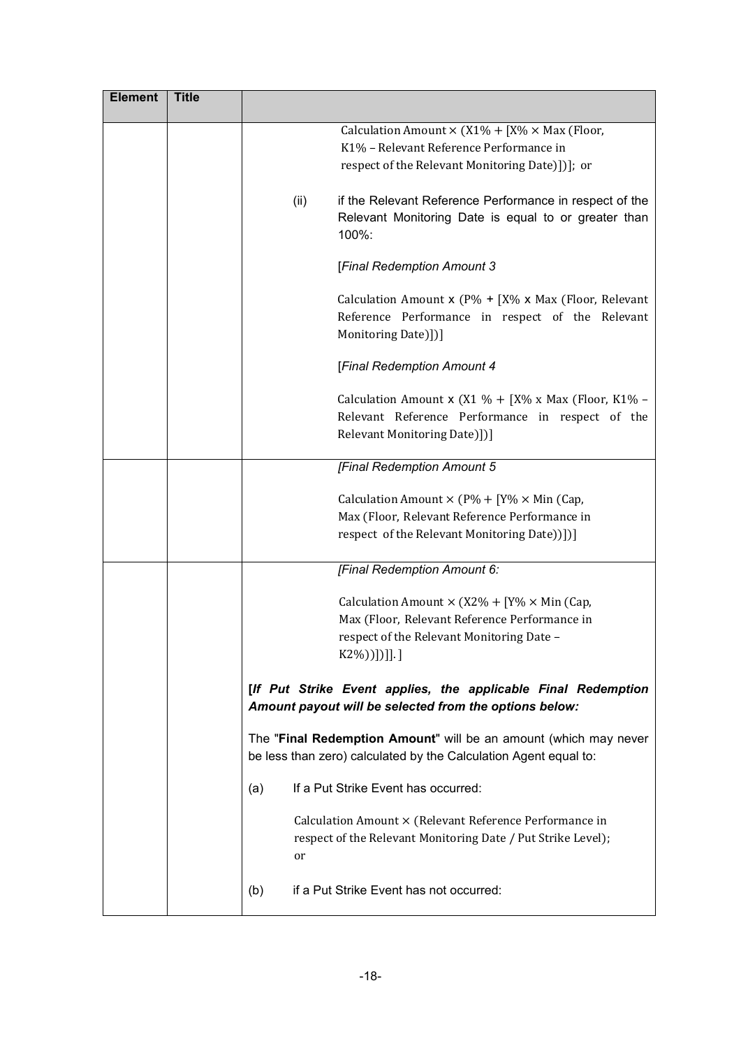| <b>Element</b> | <b>Title</b> |                                                                                                                                             |
|----------------|--------------|---------------------------------------------------------------------------------------------------------------------------------------------|
|                |              | Calculation Amount $\times$ (X1% + [X% $\times$ Max (Floor,                                                                                 |
|                |              | K1% - Relevant Reference Performance in                                                                                                     |
|                |              | respect of the Relevant Monitoring Date)])]; or                                                                                             |
|                |              | if the Relevant Reference Performance in respect of the<br>(ii)<br>Relevant Monitoring Date is equal to or greater than<br>100%:            |
|                |              | [Final Redemption Amount 3                                                                                                                  |
|                |              | Calculation Amount x ( $P\% + [X\% \times Max]$ (Floor, Relevant<br>Reference Performance in respect of the Relevant<br>Monitoring Date)])] |
|                |              | [Final Redemption Amount 4                                                                                                                  |
|                |              | Calculation Amount x (X1 % + [X% x Max (Floor, K1% -<br>Relevant Reference Performance in respect of the<br>Relevant Monitoring Date)])]    |
|                |              | [Final Redemption Amount 5                                                                                                                  |
|                |              | Calculation Amount $\times$ (P% + [Y% $\times$ Min (Cap,                                                                                    |
|                |              | Max (Floor, Relevant Reference Performance in                                                                                               |
|                |              | respect of the Relevant Monitoring Date))])]                                                                                                |
|                |              | [Final Redemption Amount 6:                                                                                                                 |
|                |              |                                                                                                                                             |
|                |              | Calculation Amount $\times$ (X2% + [Y% $\times$ Min (Cap,                                                                                   |
|                |              | Max (Floor, Relevant Reference Performance in                                                                                               |
|                |              | respect of the Relevant Monitoring Date -                                                                                                   |
|                |              | $K2\%)$ [[]].]                                                                                                                              |
|                |              | [If Put Strike Event applies, the applicable Final Redemption<br>Amount payout will be selected from the options below:                     |
|                |              | The "Final Redemption Amount" will be an amount (which may never<br>be less than zero) calculated by the Calculation Agent equal to:        |
|                |              | If a Put Strike Event has occurred:<br>(a)                                                                                                  |
|                |              | Calculation Amount × (Relevant Reference Performance in<br>respect of the Relevant Monitoring Date / Put Strike Level);<br>or               |
|                |              | if a Put Strike Event has not occurred:<br>(b)                                                                                              |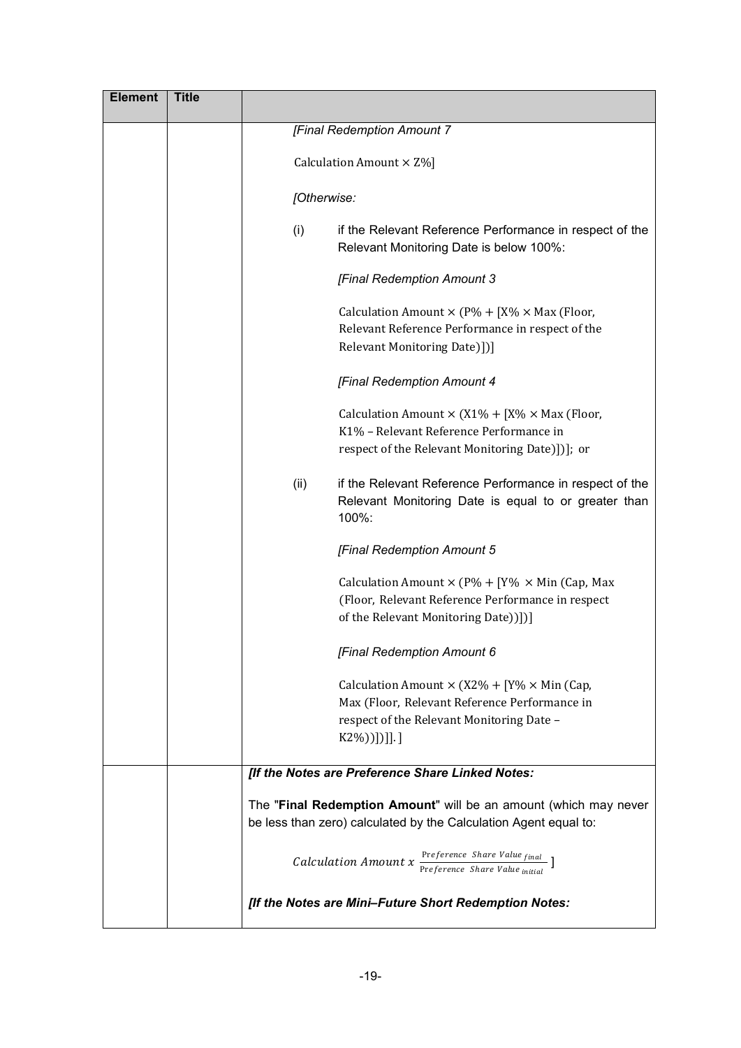| <b>Element</b> | <b>Title</b> |                                                                                                                                                                          |
|----------------|--------------|--------------------------------------------------------------------------------------------------------------------------------------------------------------------------|
|                |              | [Final Redemption Amount 7                                                                                                                                               |
|                |              | Calculation Amount $\times$ Z%]                                                                                                                                          |
|                |              | [Otherwise:                                                                                                                                                              |
|                |              | (i)<br>if the Relevant Reference Performance in respect of the<br>Relevant Monitoring Date is below 100%:                                                                |
|                |              | [Final Redemption Amount 3                                                                                                                                               |
|                |              | Calculation Amount $\times$ (P% + [X% $\times$ Max (Floor,<br>Relevant Reference Performance in respect of the<br>Relevant Monitoring Date)])]                           |
|                |              | [Final Redemption Amount 4                                                                                                                                               |
|                |              | Calculation Amount $\times$ (X1% + [X% $\times$ Max (Floor,<br>K1% - Relevant Reference Performance in<br>respect of the Relevant Monitoring Date)])]; or                |
|                |              | if the Relevant Reference Performance in respect of the<br>(ii)<br>Relevant Monitoring Date is equal to or greater than<br>100%:                                         |
|                |              | [Final Redemption Amount 5                                                                                                                                               |
|                |              | Calculation Amount $\times$ (P% + [Y% $\times$ Min (Cap, Max<br>(Floor, Relevant Reference Performance in respect<br>of the Relevant Monitoring Date))])]                |
|                |              | [Final Redemption Amount 6                                                                                                                                               |
|                |              | Calculation Amount $\times$ (X2% + [Y% $\times$ Min (Cap,<br>Max (Floor, Relevant Reference Performance in<br>respect of the Relevant Monitoring Date -<br>$K2\%)$ [1].] |
|                |              | [If the Notes are Preference Share Linked Notes:                                                                                                                         |
|                |              | The "Final Redemption Amount" will be an amount (which may never<br>be less than zero) calculated by the Calculation Agent equal to:                                     |
|                |              | <i>Calculation Amount x</i> $\frac{\text{Pr}$ <i>Preference Share Value final</i> $\frac{1}{\text{Pr}}$                                                                  |
|                |              | [If the Notes are Mini-Future Short Redemption Notes:                                                                                                                    |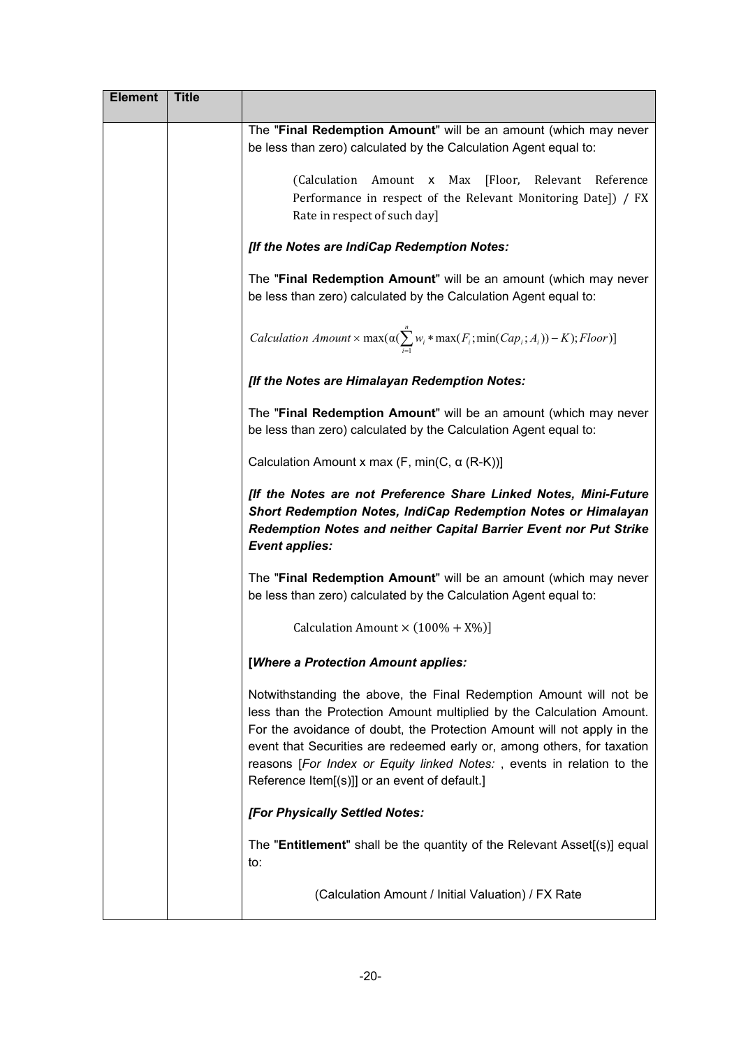| <b>Element</b> | <b>Title</b> |                                                                                                                                                                                                                                                                                                                                                                                                                             |
|----------------|--------------|-----------------------------------------------------------------------------------------------------------------------------------------------------------------------------------------------------------------------------------------------------------------------------------------------------------------------------------------------------------------------------------------------------------------------------|
|                |              | The "Final Redemption Amount" will be an amount (which may never<br>be less than zero) calculated by the Calculation Agent equal to:                                                                                                                                                                                                                                                                                        |
|                |              | Amount x Max<br>[Floor, Relevant Reference<br>(Calculation<br>Performance in respect of the Relevant Monitoring Date]) / FX<br>Rate in respect of such day]                                                                                                                                                                                                                                                                 |
|                |              | [If the Notes are IndiCap Redemption Notes:                                                                                                                                                                                                                                                                                                                                                                                 |
|                |              | The "Final Redemption Amount" will be an amount (which may never<br>be less than zero) calculated by the Calculation Agent equal to:                                                                                                                                                                                                                                                                                        |
|                |              | <i>Calculation Amount</i> $\times$ max $(\alpha(\sum_{i=1}^{n} w_i * \max(F_i; \min(Cap_i; A_i)) - K);$ <i>Floor</i> )]                                                                                                                                                                                                                                                                                                     |
|                |              | [If the Notes are Himalayan Redemption Notes:                                                                                                                                                                                                                                                                                                                                                                               |
|                |              | The "Final Redemption Amount" will be an amount (which may never<br>be less than zero) calculated by the Calculation Agent equal to:                                                                                                                                                                                                                                                                                        |
|                |              | Calculation Amount x max $(F, min(C, \alpha (R-K)))$                                                                                                                                                                                                                                                                                                                                                                        |
|                |              | [If the Notes are not Preference Share Linked Notes, Mini-Future<br>Short Redemption Notes, IndiCap Redemption Notes or Himalayan<br>Redemption Notes and neither Capital Barrier Event nor Put Strike<br><b>Event applies:</b>                                                                                                                                                                                             |
|                |              | The "Final Redemption Amount" will be an amount (which may never<br>be less than zero) calculated by the Calculation Agent equal to:                                                                                                                                                                                                                                                                                        |
|                |              | Calculation Amount $\times$ (100% + X%)]                                                                                                                                                                                                                                                                                                                                                                                    |
|                |              | [Where a Protection Amount applies:                                                                                                                                                                                                                                                                                                                                                                                         |
|                |              | Notwithstanding the above, the Final Redemption Amount will not be<br>less than the Protection Amount multiplied by the Calculation Amount.<br>For the avoidance of doubt, the Protection Amount will not apply in the<br>event that Securities are redeemed early or, among others, for taxation<br>reasons [For Index or Equity linked Notes:, events in relation to the<br>Reference Item[(s)]] or an event of default.] |
|                |              | [For Physically Settled Notes:                                                                                                                                                                                                                                                                                                                                                                                              |
|                |              | The "Entitlement" shall be the quantity of the Relevant Asset[(s)] equal<br>to:                                                                                                                                                                                                                                                                                                                                             |
|                |              | (Calculation Amount / Initial Valuation) / FX Rate                                                                                                                                                                                                                                                                                                                                                                          |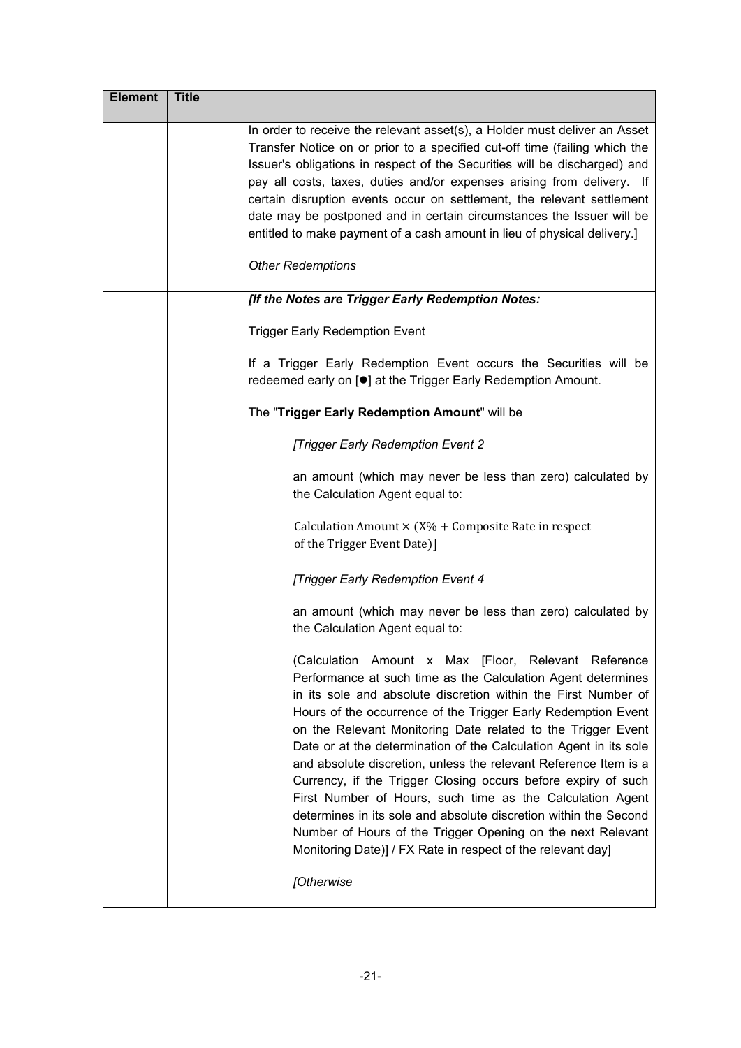| <b>Element</b> | <b>Title</b> |                                                                                                                                                                                                                                                                                                                                                                                                                                                                                                                                                                                                                                                                                                                                                                                                                |
|----------------|--------------|----------------------------------------------------------------------------------------------------------------------------------------------------------------------------------------------------------------------------------------------------------------------------------------------------------------------------------------------------------------------------------------------------------------------------------------------------------------------------------------------------------------------------------------------------------------------------------------------------------------------------------------------------------------------------------------------------------------------------------------------------------------------------------------------------------------|
|                |              | In order to receive the relevant asset(s), a Holder must deliver an Asset<br>Transfer Notice on or prior to a specified cut-off time (failing which the<br>Issuer's obligations in respect of the Securities will be discharged) and<br>pay all costs, taxes, duties and/or expenses arising from delivery. If<br>certain disruption events occur on settlement, the relevant settlement<br>date may be postponed and in certain circumstances the Issuer will be<br>entitled to make payment of a cash amount in lieu of physical delivery.]                                                                                                                                                                                                                                                                  |
|                |              | <b>Other Redemptions</b>                                                                                                                                                                                                                                                                                                                                                                                                                                                                                                                                                                                                                                                                                                                                                                                       |
|                |              | [If the Notes are Trigger Early Redemption Notes:                                                                                                                                                                                                                                                                                                                                                                                                                                                                                                                                                                                                                                                                                                                                                              |
|                |              | <b>Trigger Early Redemption Event</b>                                                                                                                                                                                                                                                                                                                                                                                                                                                                                                                                                                                                                                                                                                                                                                          |
|                |              | If a Trigger Early Redemption Event occurs the Securities will be<br>redeemed early on [ <sup>●</sup> ] at the Trigger Early Redemption Amount.                                                                                                                                                                                                                                                                                                                                                                                                                                                                                                                                                                                                                                                                |
|                |              | The "Trigger Early Redemption Amount" will be                                                                                                                                                                                                                                                                                                                                                                                                                                                                                                                                                                                                                                                                                                                                                                  |
|                |              | [Trigger Early Redemption Event 2                                                                                                                                                                                                                                                                                                                                                                                                                                                                                                                                                                                                                                                                                                                                                                              |
|                |              | an amount (which may never be less than zero) calculated by<br>the Calculation Agent equal to:                                                                                                                                                                                                                                                                                                                                                                                                                                                                                                                                                                                                                                                                                                                 |
|                |              | Calculation Amount $\times$ (X% + Composite Rate in respect<br>of the Trigger Event Date)]                                                                                                                                                                                                                                                                                                                                                                                                                                                                                                                                                                                                                                                                                                                     |
|                |              | [Trigger Early Redemption Event 4                                                                                                                                                                                                                                                                                                                                                                                                                                                                                                                                                                                                                                                                                                                                                                              |
|                |              | an amount (which may never be less than zero) calculated by<br>the Calculation Agent equal to:                                                                                                                                                                                                                                                                                                                                                                                                                                                                                                                                                                                                                                                                                                                 |
|                |              | (Calculation Amount x Max [Floor, Relevant Reference<br>Performance at such time as the Calculation Agent determines<br>in its sole and absolute discretion within the First Number of<br>Hours of the occurrence of the Trigger Early Redemption Event<br>on the Relevant Monitoring Date related to the Trigger Event<br>Date or at the determination of the Calculation Agent in its sole<br>and absolute discretion, unless the relevant Reference Item is a<br>Currency, if the Trigger Closing occurs before expiry of such<br>First Number of Hours, such time as the Calculation Agent<br>determines in its sole and absolute discretion within the Second<br>Number of Hours of the Trigger Opening on the next Relevant<br>Monitoring Date)] / FX Rate in respect of the relevant day]<br>[Otherwise |
|                |              |                                                                                                                                                                                                                                                                                                                                                                                                                                                                                                                                                                                                                                                                                                                                                                                                                |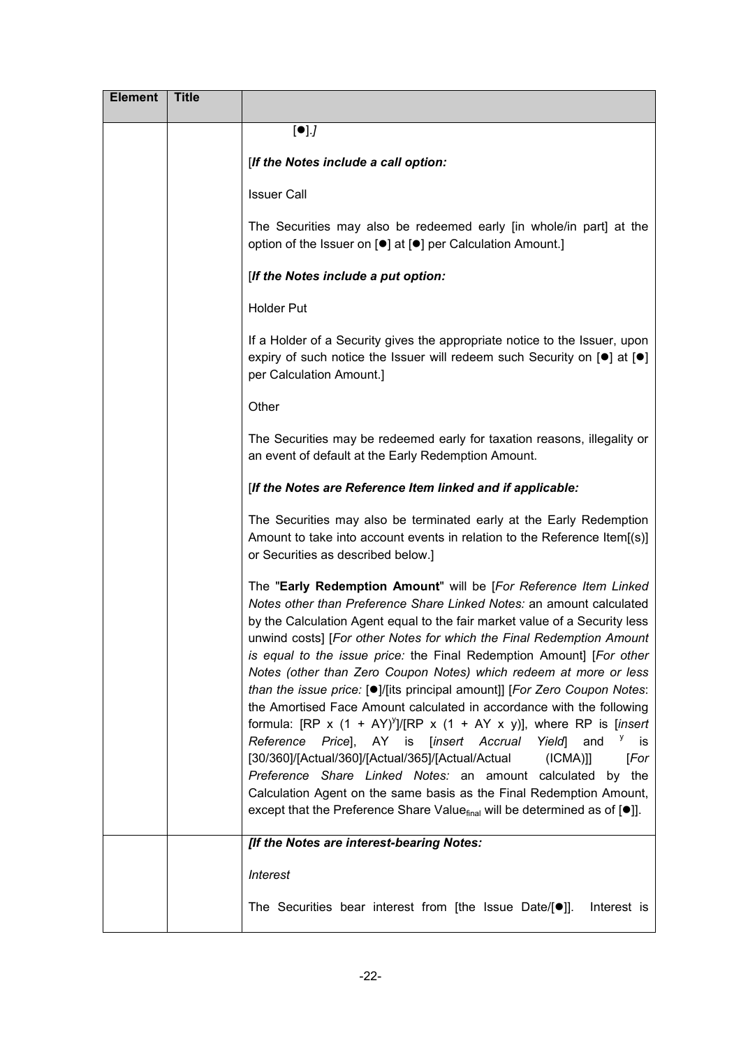| <b>Element</b> | <b>Title</b> |                                                                                                                                                                                                                                                                                                                                                                                                                                                                                                                                                                                                                                                                                                                                                                                                                                                                                                                                                                                                                                                                                       |
|----------------|--------------|---------------------------------------------------------------------------------------------------------------------------------------------------------------------------------------------------------------------------------------------------------------------------------------------------------------------------------------------------------------------------------------------------------------------------------------------------------------------------------------------------------------------------------------------------------------------------------------------------------------------------------------------------------------------------------------------------------------------------------------------------------------------------------------------------------------------------------------------------------------------------------------------------------------------------------------------------------------------------------------------------------------------------------------------------------------------------------------|
|                |              | [•]                                                                                                                                                                                                                                                                                                                                                                                                                                                                                                                                                                                                                                                                                                                                                                                                                                                                                                                                                                                                                                                                                   |
|                |              | [If the Notes include a call option:                                                                                                                                                                                                                                                                                                                                                                                                                                                                                                                                                                                                                                                                                                                                                                                                                                                                                                                                                                                                                                                  |
|                |              | <b>Issuer Call</b>                                                                                                                                                                                                                                                                                                                                                                                                                                                                                                                                                                                                                                                                                                                                                                                                                                                                                                                                                                                                                                                                    |
|                |              | The Securities may also be redeemed early [in whole/in part] at the<br>option of the Issuer on [ <sup>o</sup> ] at [ <sup>o</sup> ] per Calculation Amount.]                                                                                                                                                                                                                                                                                                                                                                                                                                                                                                                                                                                                                                                                                                                                                                                                                                                                                                                          |
|                |              | [If the Notes include a put option:                                                                                                                                                                                                                                                                                                                                                                                                                                                                                                                                                                                                                                                                                                                                                                                                                                                                                                                                                                                                                                                   |
|                |              | <b>Holder Put</b>                                                                                                                                                                                                                                                                                                                                                                                                                                                                                                                                                                                                                                                                                                                                                                                                                                                                                                                                                                                                                                                                     |
|                |              | If a Holder of a Security gives the appropriate notice to the Issuer, upon<br>expiry of such notice the Issuer will redeem such Security on $[•]$ at $[•]$<br>per Calculation Amount.]                                                                                                                                                                                                                                                                                                                                                                                                                                                                                                                                                                                                                                                                                                                                                                                                                                                                                                |
|                |              | Other                                                                                                                                                                                                                                                                                                                                                                                                                                                                                                                                                                                                                                                                                                                                                                                                                                                                                                                                                                                                                                                                                 |
|                |              | The Securities may be redeemed early for taxation reasons, illegality or<br>an event of default at the Early Redemption Amount.                                                                                                                                                                                                                                                                                                                                                                                                                                                                                                                                                                                                                                                                                                                                                                                                                                                                                                                                                       |
|                |              | [If the Notes are Reference Item linked and if applicable:                                                                                                                                                                                                                                                                                                                                                                                                                                                                                                                                                                                                                                                                                                                                                                                                                                                                                                                                                                                                                            |
|                |              | The Securities may also be terminated early at the Early Redemption<br>Amount to take into account events in relation to the Reference Item[(s)]<br>or Securities as described below.]                                                                                                                                                                                                                                                                                                                                                                                                                                                                                                                                                                                                                                                                                                                                                                                                                                                                                                |
|                |              | The "Early Redemption Amount" will be [For Reference Item Linked<br>Notes other than Preference Share Linked Notes: an amount calculated<br>by the Calculation Agent equal to the fair market value of a Security less<br>unwind costs] [For other Notes for which the Final Redemption Amount<br>is equal to the issue price: the Final Redemption Amount] [For other<br>Notes (other than Zero Coupon Notes) which redeem at more or less<br>than the issue price: [.]/[its principal amount]] [For Zero Coupon Notes:<br>the Amortised Face Amount calculated in accordance with the following<br>formula: [RP x $(1 + AY)^{y}$ ]/[RP x $(1 + AY \times y)$ ], where RP is [insert<br>Reference<br>Pricel, AY<br>[insert Accrual<br><b>Yield</b><br>is<br>and<br>is i<br>[30/360]/[Actual/360]/[Actual/365]/[Actual/Actual<br>$(ICMA)$ ]<br>[For<br>Preference Share Linked Notes: an amount calculated<br>the<br>by<br>Calculation Agent on the same basis as the Final Redemption Amount,<br>except that the Preference Share Value $_{final}$ will be determined as of $[•]$ ]. |
|                |              | [If the Notes are interest-bearing Notes:                                                                                                                                                                                                                                                                                                                                                                                                                                                                                                                                                                                                                                                                                                                                                                                                                                                                                                                                                                                                                                             |
|                |              | <b>Interest</b>                                                                                                                                                                                                                                                                                                                                                                                                                                                                                                                                                                                                                                                                                                                                                                                                                                                                                                                                                                                                                                                                       |
|                |              | The Securities bear interest from [the Issue Date/ $[•]$ ].<br>Interest is                                                                                                                                                                                                                                                                                                                                                                                                                                                                                                                                                                                                                                                                                                                                                                                                                                                                                                                                                                                                            |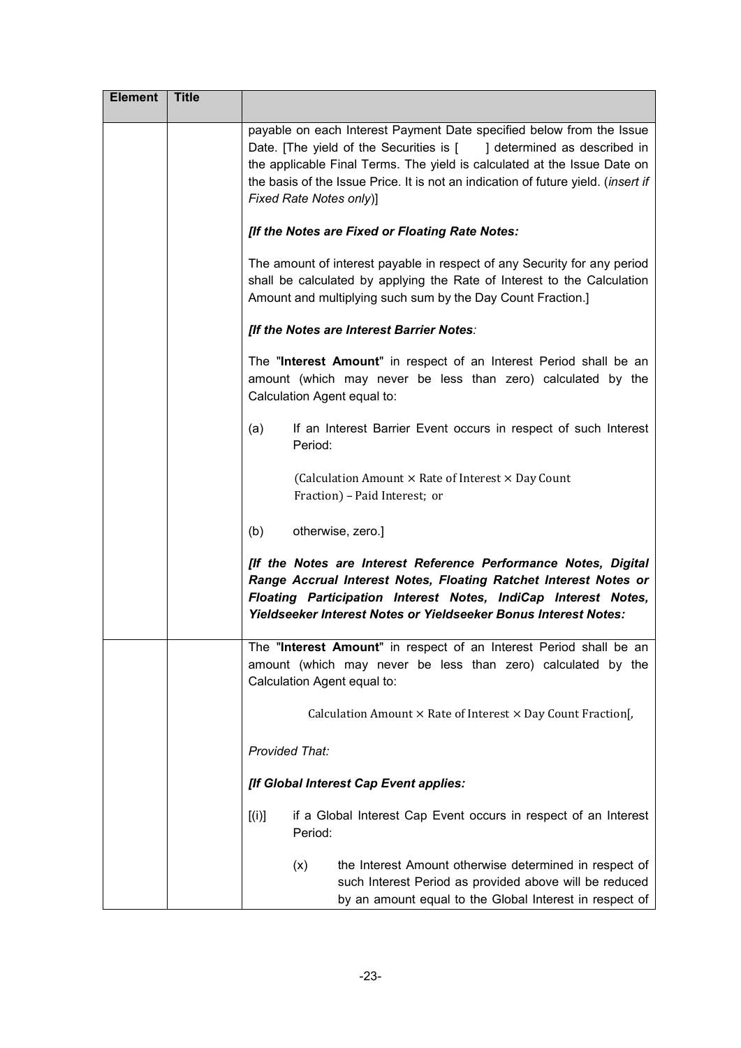| <b>Element</b> | <b>Title</b> |                                                                                                                                                                                                                                                                                                                                          |
|----------------|--------------|------------------------------------------------------------------------------------------------------------------------------------------------------------------------------------------------------------------------------------------------------------------------------------------------------------------------------------------|
|                |              | payable on each Interest Payment Date specified below from the Issue<br>Date. [The yield of the Securities is [ ] determined as described in<br>the applicable Final Terms. The yield is calculated at the Issue Date on<br>the basis of the Issue Price. It is not an indication of future yield. (insert if<br>Fixed Rate Notes only)] |
|                |              | [If the Notes are Fixed or Floating Rate Notes:                                                                                                                                                                                                                                                                                          |
|                |              | The amount of interest payable in respect of any Security for any period<br>shall be calculated by applying the Rate of Interest to the Calculation<br>Amount and multiplying such sum by the Day Count Fraction.]                                                                                                                       |
|                |              | [If the Notes are Interest Barrier Notes:                                                                                                                                                                                                                                                                                                |
|                |              | The "Interest Amount" in respect of an Interest Period shall be an<br>amount (which may never be less than zero) calculated by the<br>Calculation Agent equal to:                                                                                                                                                                        |
|                |              | If an Interest Barrier Event occurs in respect of such Interest<br>(a)<br>Period:                                                                                                                                                                                                                                                        |
|                |              | (Calculation Amount × Rate of Interest × Day Count<br>Fraction) - Paid Interest; or                                                                                                                                                                                                                                                      |
|                |              | (b)<br>otherwise, zero.]                                                                                                                                                                                                                                                                                                                 |
|                |              | [If the Notes are Interest Reference Performance Notes, Digital<br>Range Accrual Interest Notes, Floating Ratchet Interest Notes or<br>Floating Participation Interest Notes, IndiCap Interest Notes,<br>Yieldseeker Interest Notes or Yieldseeker Bonus Interest Notes:                                                                 |
|                |              | The "Interest Amount" in respect of an Interest Period shall be an<br>amount (which may never be less than zero) calculated by the<br>Calculation Agent equal to:                                                                                                                                                                        |
|                |              | Calculation Amount × Rate of Interest × Day Count Fraction[,                                                                                                                                                                                                                                                                             |
|                |              | Provided That:                                                                                                                                                                                                                                                                                                                           |
|                |              | [If Global Interest Cap Event applies:                                                                                                                                                                                                                                                                                                   |
|                |              | [(i)]<br>if a Global Interest Cap Event occurs in respect of an Interest<br>Period:                                                                                                                                                                                                                                                      |
|                |              | the Interest Amount otherwise determined in respect of<br>(x)<br>such Interest Period as provided above will be reduced<br>by an amount equal to the Global Interest in respect of                                                                                                                                                       |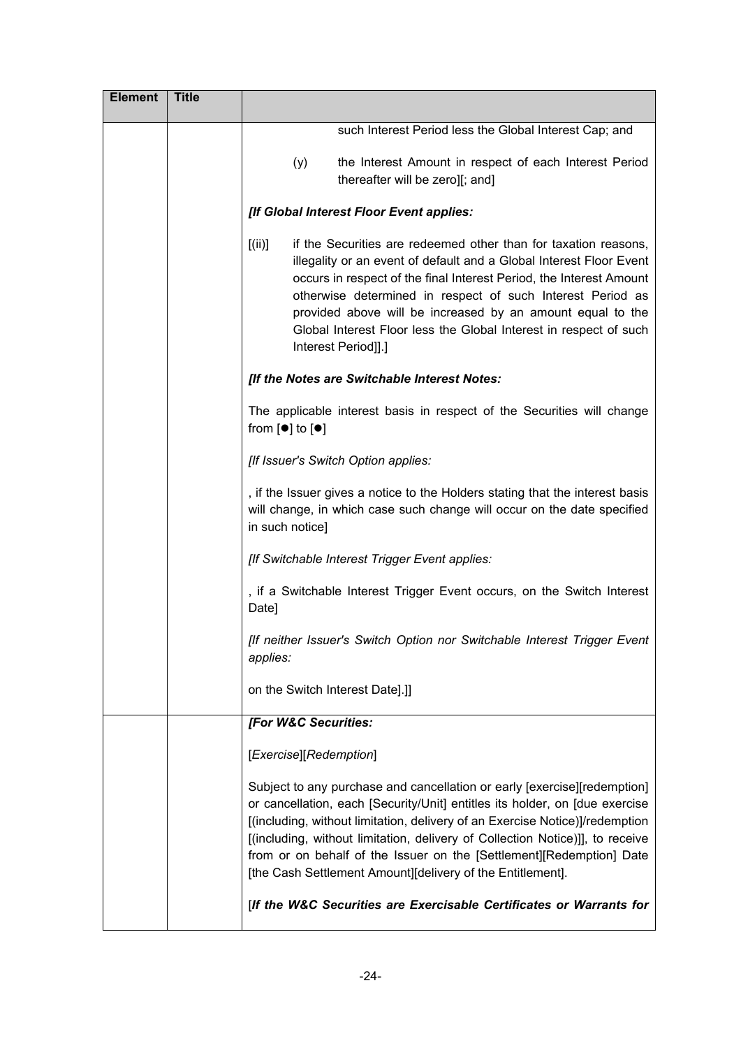| <b>Element</b> | <b>Title</b> |                                                                                                                                                                                                                                                                                                                                                                                                                                                                |
|----------------|--------------|----------------------------------------------------------------------------------------------------------------------------------------------------------------------------------------------------------------------------------------------------------------------------------------------------------------------------------------------------------------------------------------------------------------------------------------------------------------|
|                |              | such Interest Period less the Global Interest Cap; and                                                                                                                                                                                                                                                                                                                                                                                                         |
|                |              | the Interest Amount in respect of each Interest Period<br>(y)<br>thereafter will be zero][; and]                                                                                                                                                                                                                                                                                                                                                               |
|                |              | [If Global Interest Floor Event applies:                                                                                                                                                                                                                                                                                                                                                                                                                       |
|                |              | [(ii)]<br>if the Securities are redeemed other than for taxation reasons.<br>illegality or an event of default and a Global Interest Floor Event<br>occurs in respect of the final Interest Period, the Interest Amount<br>otherwise determined in respect of such Interest Period as<br>provided above will be increased by an amount equal to the<br>Global Interest Floor less the Global Interest in respect of such<br>Interest Period]].]                |
|                |              | [If the Notes are Switchable Interest Notes:                                                                                                                                                                                                                                                                                                                                                                                                                   |
|                |              | The applicable interest basis in respect of the Securities will change<br>from $[•]$ to $[•]$                                                                                                                                                                                                                                                                                                                                                                  |
|                |              | [If Issuer's Switch Option applies:                                                                                                                                                                                                                                                                                                                                                                                                                            |
|                |              | , if the Issuer gives a notice to the Holders stating that the interest basis<br>will change, in which case such change will occur on the date specified<br>in such notice]                                                                                                                                                                                                                                                                                    |
|                |              | [If Switchable Interest Trigger Event applies:                                                                                                                                                                                                                                                                                                                                                                                                                 |
|                |              | , if a Switchable Interest Trigger Event occurs, on the Switch Interest<br>Date]                                                                                                                                                                                                                                                                                                                                                                               |
|                |              | [If neither Issuer's Switch Option nor Switchable Interest Trigger Event<br>applies:                                                                                                                                                                                                                                                                                                                                                                           |
|                |              | on the Switch Interest Date].]]                                                                                                                                                                                                                                                                                                                                                                                                                                |
|                |              | [For W&C Securities:                                                                                                                                                                                                                                                                                                                                                                                                                                           |
|                |              | [Exercise][Redemption]                                                                                                                                                                                                                                                                                                                                                                                                                                         |
|                |              | Subject to any purchase and cancellation or early [exercise][redemption]<br>or cancellation, each [Security/Unit] entitles its holder, on [due exercise<br>[(including, without limitation, delivery of an Exercise Notice)]/redemption<br>[(including, without limitation, delivery of Collection Notice)]], to receive<br>from or on behalf of the Issuer on the [Settlement][Redemption] Date<br>[the Cash Settlement Amount][delivery of the Entitlement]. |
|                |              | [If the W&C Securities are Exercisable Certificates or Warrants for                                                                                                                                                                                                                                                                                                                                                                                            |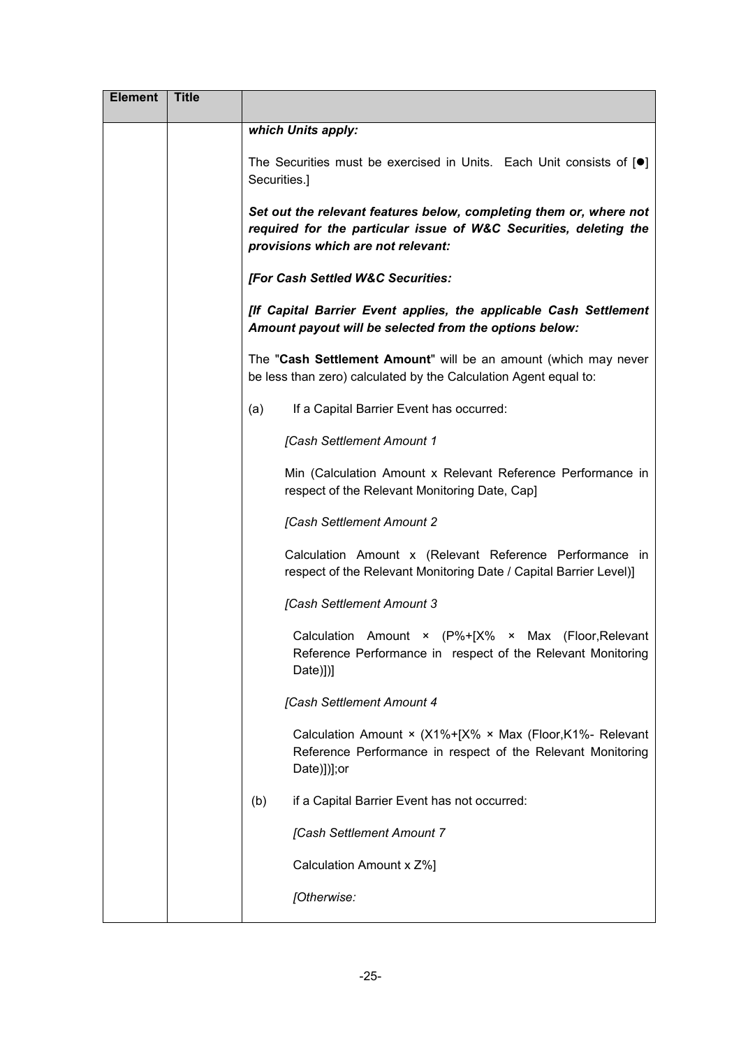| <b>Element</b> | <b>Title</b> |                                                                                                                                                                               |
|----------------|--------------|-------------------------------------------------------------------------------------------------------------------------------------------------------------------------------|
|                |              | which Units apply:                                                                                                                                                            |
|                |              | The Securities must be exercised in Units. Each Unit consists of $[•]$<br>Securities.]                                                                                        |
|                |              | Set out the relevant features below, completing them or, where not<br>required for the particular issue of W&C Securities, deleting the<br>provisions which are not relevant: |
|                |              | [For Cash Settled W&C Securities:                                                                                                                                             |
|                |              | [If Capital Barrier Event applies, the applicable Cash Settlement<br>Amount payout will be selected from the options below:                                                   |
|                |              | The "Cash Settlement Amount" will be an amount (which may never<br>be less than zero) calculated by the Calculation Agent equal to:                                           |
|                |              | If a Capital Barrier Event has occurred:<br>(a)                                                                                                                               |
|                |              | [Cash Settlement Amount 1                                                                                                                                                     |
|                |              | Min (Calculation Amount x Relevant Reference Performance in<br>respect of the Relevant Monitoring Date, Cap]                                                                  |
|                |              | [Cash Settlement Amount 2                                                                                                                                                     |
|                |              | Calculation Amount x (Relevant Reference Performance in<br>respect of the Relevant Monitoring Date / Capital Barrier Level)]                                                  |
|                |              | [Cash Settlement Amount 3                                                                                                                                                     |
|                |              | Calculation Amount × (P%+[X% × Max (Floor, Relevant<br>Reference Performance in respect of the Relevant Monitoring<br>Date)])]                                                |
|                |              | [Cash Settlement Amount 4                                                                                                                                                     |
|                |              | Calculation Amount $\times$ (X1%+[X% $\times$ Max (Floor, K1%- Relevant<br>Reference Performance in respect of the Relevant Monitoring<br>Date)])];or                         |
|                |              | if a Capital Barrier Event has not occurred:<br>(b)                                                                                                                           |
|                |              | [Cash Settlement Amount 7                                                                                                                                                     |
|                |              | Calculation Amount x Z%]                                                                                                                                                      |
|                |              | [Otherwise:                                                                                                                                                                   |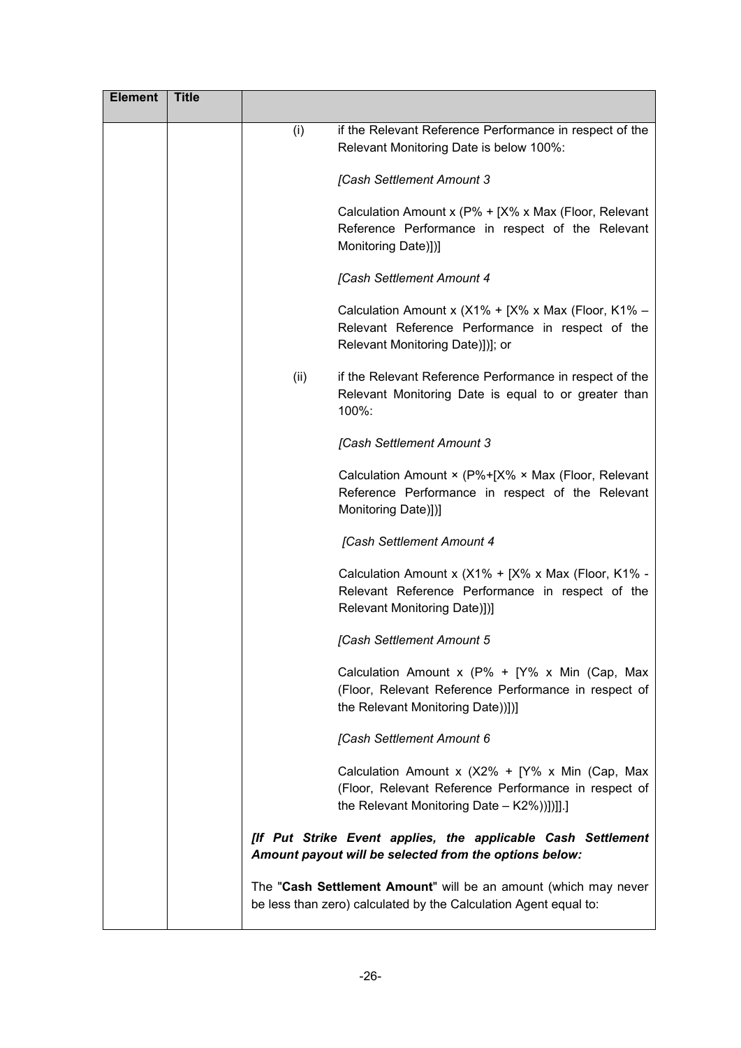| <b>Element</b> | <b>Title</b> |      |                                                                                                                                                                |
|----------------|--------------|------|----------------------------------------------------------------------------------------------------------------------------------------------------------------|
|                |              | (i)  | if the Relevant Reference Performance in respect of the<br>Relevant Monitoring Date is below 100%:                                                             |
|                |              |      | [Cash Settlement Amount 3                                                                                                                                      |
|                |              |      | Calculation Amount x (P% + [X% x Max (Floor, Relevant<br>Reference Performance in respect of the Relevant<br>Monitoring Date)])]                               |
|                |              |      | [Cash Settlement Amount 4                                                                                                                                      |
|                |              |      | Calculation Amount x (X1% + [X% x Max (Floor, K1% -<br>Relevant Reference Performance in respect of the<br>Relevant Monitoring Date)])]; or                    |
|                |              | (ii) | if the Relevant Reference Performance in respect of the<br>Relevant Monitoring Date is equal to or greater than<br>100%:                                       |
|                |              |      | [Cash Settlement Amount 3                                                                                                                                      |
|                |              |      | Calculation Amount × (P%+[X% × Max (Floor, Relevant<br>Reference Performance in respect of the Relevant<br>Monitoring Date)])]                                 |
|                |              |      | [Cash Settlement Amount 4                                                                                                                                      |
|                |              |      | Calculation Amount x (X1% + [X% x Max (Floor, K1% -<br>Relevant Reference Performance in respect of the<br>Relevant Monitoring Date)])]                        |
|                |              |      | <b>[Cash Settlement Amount 5</b>                                                                                                                               |
|                |              |      | Calculation Amount x ( $P\% + [Y\% \times Min$ (Cap, Max<br>(Floor, Relevant Reference Performance in respect of<br>the Relevant Monitoring Date)]]]           |
|                |              |      | [Cash Settlement Amount 6                                                                                                                                      |
|                |              |      | Calculation Amount x ( $X2\% + [Y\% \times Min$ (Cap, Max<br>(Floor, Relevant Reference Performance in respect of<br>the Relevant Monitoring Date - K2%)]]]].] |
|                |              |      | [If Put Strike Event applies, the applicable Cash Settlement<br>Amount payout will be selected from the options below:                                         |
|                |              |      | The "Cash Settlement Amount" will be an amount (which may never<br>be less than zero) calculated by the Calculation Agent equal to:                            |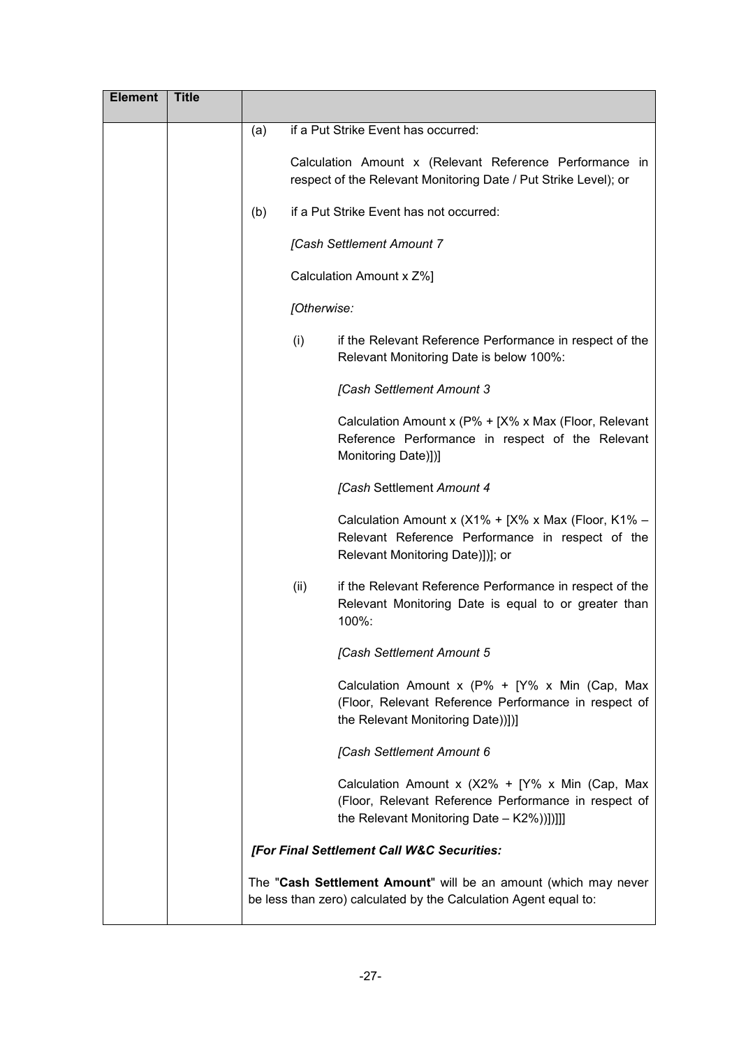| <b>Element</b> | <b>Title</b> |     |             |                                                                                                                                                         |
|----------------|--------------|-----|-------------|---------------------------------------------------------------------------------------------------------------------------------------------------------|
|                |              | (a) |             | if a Put Strike Event has occurred:                                                                                                                     |
|                |              |     |             | Calculation Amount x (Relevant Reference Performance in<br>respect of the Relevant Monitoring Date / Put Strike Level); or                              |
|                |              | (b) |             | if a Put Strike Event has not occurred:                                                                                                                 |
|                |              |     |             | [Cash Settlement Amount 7                                                                                                                               |
|                |              |     |             | Calculation Amount x Z%]                                                                                                                                |
|                |              |     | [Otherwise: |                                                                                                                                                         |
|                |              |     | (i)         | if the Relevant Reference Performance in respect of the<br>Relevant Monitoring Date is below 100%:                                                      |
|                |              |     |             | [Cash Settlement Amount 3                                                                                                                               |
|                |              |     |             | Calculation Amount x (P% + [X% x Max (Floor, Relevant<br>Reference Performance in respect of the Relevant<br>Monitoring Date)])]                        |
|                |              |     |             | [Cash Settlement Amount 4                                                                                                                               |
|                |              |     |             | Calculation Amount x ( $X1\% + [X\% \times Max]$ (Floor, K1% –<br>Relevant Reference Performance in respect of the<br>Relevant Monitoring Date)])]; or  |
|                |              |     | (ii)        | if the Relevant Reference Performance in respect of the<br>Relevant Monitoring Date is equal to or greater than<br>100%:                                |
|                |              |     |             | [Cash Settlement Amount 5                                                                                                                               |
|                |              |     |             | Calculation Amount x ( $P\% + [Y\% \times Min$ (Cap, Max<br>(Floor, Relevant Reference Performance in respect of<br>the Relevant Monitoring Date)]]]    |
|                |              |     |             | [Cash Settlement Amount 6                                                                                                                               |
|                |              |     |             | Calculation Amount x ( $X2\% + Y\%$ x Min (Cap, Max<br>(Floor, Relevant Reference Performance in respect of<br>the Relevant Monitoring Date - K2%)]]]]] |
|                |              |     |             | [For Final Settlement Call W&C Securities:                                                                                                              |
|                |              |     |             | The "Cash Settlement Amount" will be an amount (which may never<br>be less than zero) calculated by the Calculation Agent equal to:                     |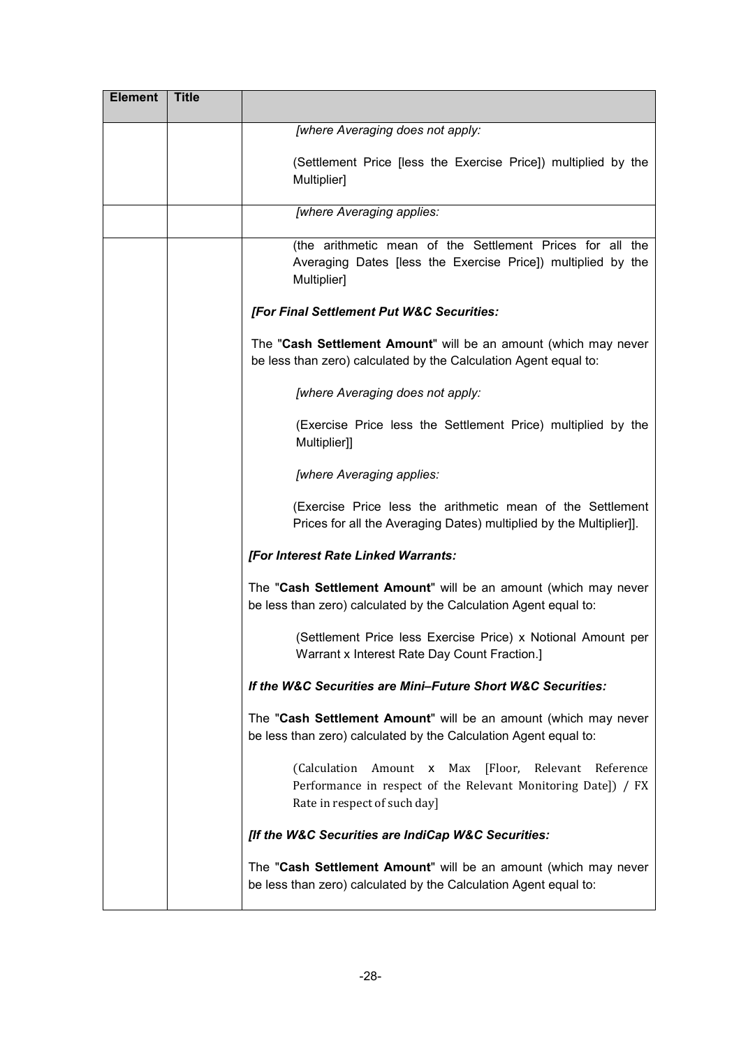| <b>Element</b> | <b>Title</b> |                                                                                                                                                                   |
|----------------|--------------|-------------------------------------------------------------------------------------------------------------------------------------------------------------------|
|                |              | [where Averaging does not apply:                                                                                                                                  |
|                |              | (Settlement Price [less the Exercise Price]) multiplied by the<br>Multiplier]                                                                                     |
|                |              | [where Averaging applies:                                                                                                                                         |
|                |              | (the arithmetic mean of the Settlement Prices for all the<br>Averaging Dates [less the Exercise Price]) multiplied by the<br>Multiplier]                          |
|                |              | [For Final Settlement Put W&C Securities:                                                                                                                         |
|                |              | The "Cash Settlement Amount" will be an amount (which may never<br>be less than zero) calculated by the Calculation Agent equal to:                               |
|                |              | [where Averaging does not apply:                                                                                                                                  |
|                |              | (Exercise Price less the Settlement Price) multiplied by the<br>Multiplier]]                                                                                      |
|                |              | [where Averaging applies:                                                                                                                                         |
|                |              | (Exercise Price less the arithmetic mean of the Settlement<br>Prices for all the Averaging Dates) multiplied by the Multiplier]].                                 |
|                |              | [For Interest Rate Linked Warrants:                                                                                                                               |
|                |              | The "Cash Settlement Amount" will be an amount (which may never<br>be less than zero) calculated by the Calculation Agent equal to:                               |
|                |              | (Settlement Price less Exercise Price) x Notional Amount per<br>Warrant x Interest Rate Day Count Fraction.]                                                      |
|                |              | If the W&C Securities are Mini-Future Short W&C Securities:                                                                                                       |
|                |              | The "Cash Settlement Amount" will be an amount (which may never<br>be less than zero) calculated by the Calculation Agent equal to:                               |
|                |              | (Calculation<br>Max<br>[Floor, Relevant<br>Amount x<br>Reference<br>Performance in respect of the Relevant Monitoring Date]) / FX<br>Rate in respect of such day] |
|                |              | [If the W&C Securities are IndiCap W&C Securities:                                                                                                                |
|                |              | The "Cash Settlement Amount" will be an amount (which may never<br>be less than zero) calculated by the Calculation Agent equal to:                               |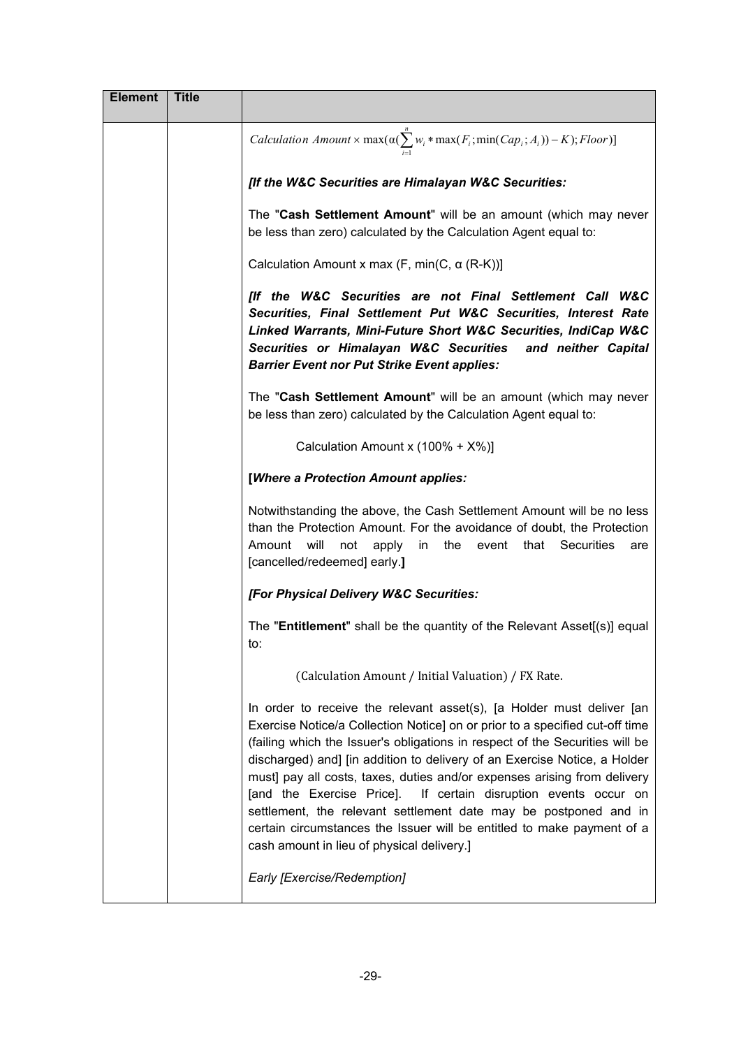| <b>Element</b> | <b>Title</b> |                                                                                                                                                                                                                                                                                                                                                                                                                                                                                                                                                                                                                                                               |
|----------------|--------------|---------------------------------------------------------------------------------------------------------------------------------------------------------------------------------------------------------------------------------------------------------------------------------------------------------------------------------------------------------------------------------------------------------------------------------------------------------------------------------------------------------------------------------------------------------------------------------------------------------------------------------------------------------------|
|                |              | <i>Calculation Amount</i> $\times$ max $(\alpha(\sum_{i=1}^{n} w_i * \max(F_i; \min(Cap_i; A_i)) - K);$ <i>Floor</i> )]                                                                                                                                                                                                                                                                                                                                                                                                                                                                                                                                       |
|                |              | [If the W&C Securities are Himalayan W&C Securities:                                                                                                                                                                                                                                                                                                                                                                                                                                                                                                                                                                                                          |
|                |              | The "Cash Settlement Amount" will be an amount (which may never<br>be less than zero) calculated by the Calculation Agent equal to:                                                                                                                                                                                                                                                                                                                                                                                                                                                                                                                           |
|                |              | Calculation Amount x max $(F, min(C, \alpha (R-K))]$                                                                                                                                                                                                                                                                                                                                                                                                                                                                                                                                                                                                          |
|                |              | [If the W&C Securities are not Final Settlement Call W&C<br>Securities, Final Settlement Put W&C Securities, Interest Rate<br>Linked Warrants, Mini-Future Short W&C Securities, IndiCap W&C<br>Securities or Himalayan W&C Securities and neither Capital<br><b>Barrier Event nor Put Strike Event applies:</b>                                                                                                                                                                                                                                                                                                                                              |
|                |              | The "Cash Settlement Amount" will be an amount (which may never<br>be less than zero) calculated by the Calculation Agent equal to:                                                                                                                                                                                                                                                                                                                                                                                                                                                                                                                           |
|                |              | Calculation Amount x (100% + X%)]                                                                                                                                                                                                                                                                                                                                                                                                                                                                                                                                                                                                                             |
|                |              | [Where a Protection Amount applies:                                                                                                                                                                                                                                                                                                                                                                                                                                                                                                                                                                                                                           |
|                |              | Notwithstanding the above, the Cash Settlement Amount will be no less<br>than the Protection Amount. For the avoidance of doubt, the Protection<br>will<br>event that<br>Securities<br>Amount<br>not<br>apply<br>in<br>the<br>are<br>[cancelled/redeemed] early.]                                                                                                                                                                                                                                                                                                                                                                                             |
|                |              | [For Physical Delivery W&C Securities:                                                                                                                                                                                                                                                                                                                                                                                                                                                                                                                                                                                                                        |
|                |              | The "Entitlement" shall be the quantity of the Relevant Asset[(s)] equal<br>to:                                                                                                                                                                                                                                                                                                                                                                                                                                                                                                                                                                               |
|                |              | (Calculation Amount / Initial Valuation) / FX Rate.                                                                                                                                                                                                                                                                                                                                                                                                                                                                                                                                                                                                           |
|                |              | In order to receive the relevant asset(s), [a Holder must deliver [an<br>Exercise Notice/a Collection Notice] on or prior to a specified cut-off time<br>(failing which the Issuer's obligations in respect of the Securities will be<br>discharged) and] [in addition to delivery of an Exercise Notice, a Holder<br>must] pay all costs, taxes, duties and/or expenses arising from delivery<br>[and the Exercise Price]. If certain disruption events occur on<br>settlement, the relevant settlement date may be postponed and in<br>certain circumstances the Issuer will be entitled to make payment of a<br>cash amount in lieu of physical delivery.] |
|                |              | Early [Exercise/Redemption]                                                                                                                                                                                                                                                                                                                                                                                                                                                                                                                                                                                                                                   |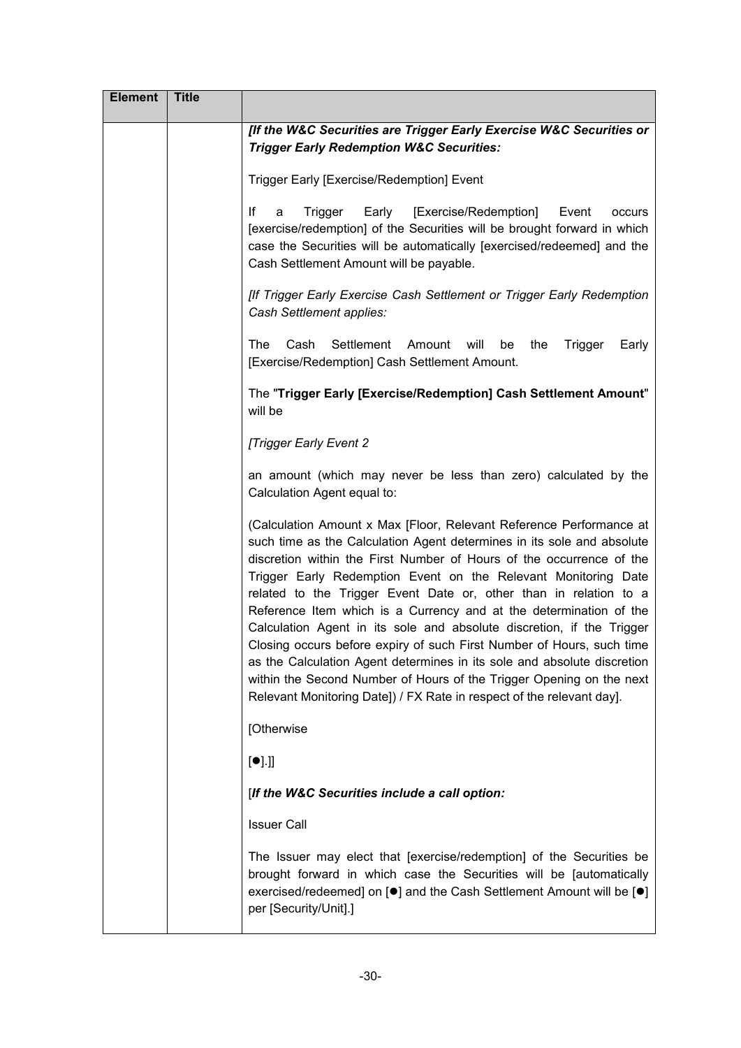| <b>Element</b> | <b>Title</b> |                                                                                                                                                                                                                                                                                                                                                                                                                                                                                                                                                                                                                                                                                                                                                                                                                  |
|----------------|--------------|------------------------------------------------------------------------------------------------------------------------------------------------------------------------------------------------------------------------------------------------------------------------------------------------------------------------------------------------------------------------------------------------------------------------------------------------------------------------------------------------------------------------------------------------------------------------------------------------------------------------------------------------------------------------------------------------------------------------------------------------------------------------------------------------------------------|
|                |              | [If the W&C Securities are Trigger Early Exercise W&C Securities or<br><b>Trigger Early Redemption W&amp;C Securities:</b>                                                                                                                                                                                                                                                                                                                                                                                                                                                                                                                                                                                                                                                                                       |
|                |              | Trigger Early [Exercise/Redemption] Event                                                                                                                                                                                                                                                                                                                                                                                                                                                                                                                                                                                                                                                                                                                                                                        |
|                |              | [Exercise/Redemption]<br>lf<br>Trigger<br>Early<br>a<br>Event<br>occurs<br>[exercise/redemption] of the Securities will be brought forward in which<br>case the Securities will be automatically [exercised/redeemed] and the<br>Cash Settlement Amount will be payable.                                                                                                                                                                                                                                                                                                                                                                                                                                                                                                                                         |
|                |              | [If Trigger Early Exercise Cash Settlement or Trigger Early Redemption<br>Cash Settlement applies:                                                                                                                                                                                                                                                                                                                                                                                                                                                                                                                                                                                                                                                                                                               |
|                |              | Cash<br>Settlement<br><b>The</b><br>Amount<br>will<br>be<br>the<br>Trigger<br>Early<br>[Exercise/Redemption] Cash Settlement Amount.                                                                                                                                                                                                                                                                                                                                                                                                                                                                                                                                                                                                                                                                             |
|                |              | The "Trigger Early [Exercise/Redemption] Cash Settlement Amount"<br>will be                                                                                                                                                                                                                                                                                                                                                                                                                                                                                                                                                                                                                                                                                                                                      |
|                |              | [Trigger Early Event 2                                                                                                                                                                                                                                                                                                                                                                                                                                                                                                                                                                                                                                                                                                                                                                                           |
|                |              | an amount (which may never be less than zero) calculated by the<br>Calculation Agent equal to:                                                                                                                                                                                                                                                                                                                                                                                                                                                                                                                                                                                                                                                                                                                   |
|                |              | (Calculation Amount x Max [Floor, Relevant Reference Performance at<br>such time as the Calculation Agent determines in its sole and absolute<br>discretion within the First Number of Hours of the occurrence of the<br>Trigger Early Redemption Event on the Relevant Monitoring Date<br>related to the Trigger Event Date or, other than in relation to a<br>Reference Item which is a Currency and at the determination of the<br>Calculation Agent in its sole and absolute discretion, if the Trigger<br>Closing occurs before expiry of such First Number of Hours, such time<br>as the Calculation Agent determines in its sole and absolute discretion<br>within the Second Number of Hours of the Trigger Opening on the next<br>Relevant Monitoring Date]) / FX Rate in respect of the relevant day]. |
|                |              | [Otherwise                                                                                                                                                                                                                                                                                                                                                                                                                                                                                                                                                                                                                                                                                                                                                                                                       |
|                |              | [•]                                                                                                                                                                                                                                                                                                                                                                                                                                                                                                                                                                                                                                                                                                                                                                                                              |
|                |              | [If the W&C Securities include a call option:                                                                                                                                                                                                                                                                                                                                                                                                                                                                                                                                                                                                                                                                                                                                                                    |
|                |              | <b>Issuer Call</b>                                                                                                                                                                                                                                                                                                                                                                                                                                                                                                                                                                                                                                                                                                                                                                                               |
|                |              | The Issuer may elect that [exercise/redemption] of the Securities be<br>brought forward in which case the Securities will be [automatically<br>exercised/redeemed] on [ <sup>●</sup> ] and the Cash Settlement Amount will be [ <sup>●</sup> ]<br>per [Security/Unit].]                                                                                                                                                                                                                                                                                                                                                                                                                                                                                                                                          |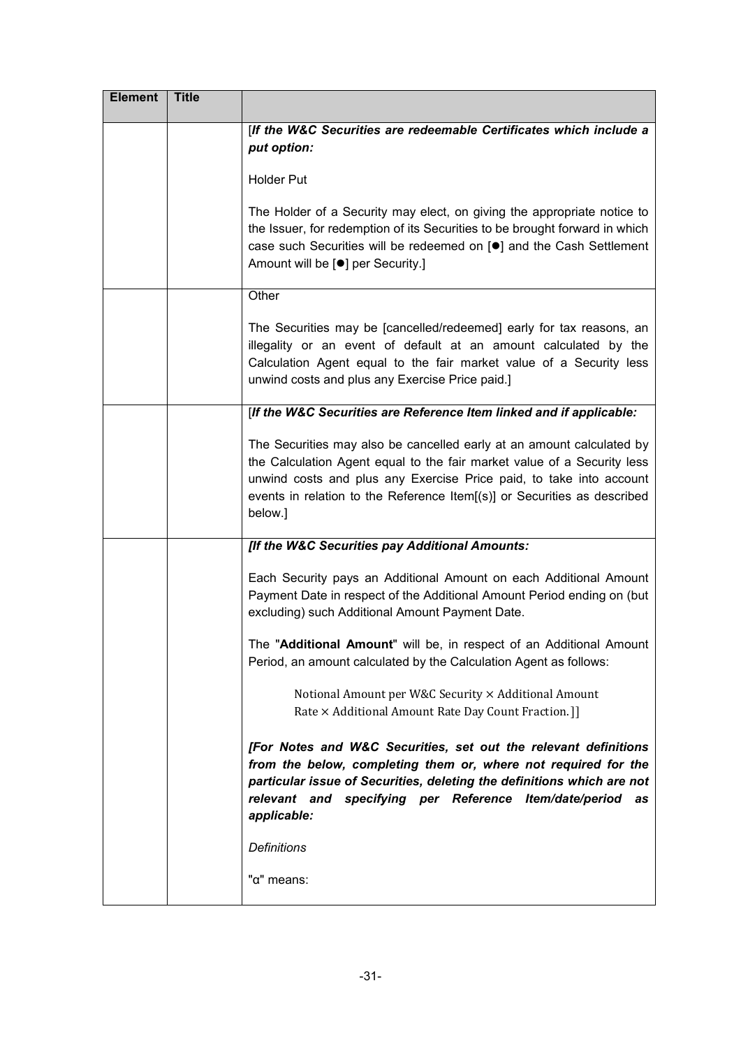| <b>Element</b> | <b>Title</b> |                                                                                                                                                                                                                                                                                                                |
|----------------|--------------|----------------------------------------------------------------------------------------------------------------------------------------------------------------------------------------------------------------------------------------------------------------------------------------------------------------|
|                |              | [If the W&C Securities are redeemable Certificates which include a<br>put option:                                                                                                                                                                                                                              |
|                |              | <b>Holder Put</b>                                                                                                                                                                                                                                                                                              |
|                |              | The Holder of a Security may elect, on giving the appropriate notice to<br>the Issuer, for redemption of its Securities to be brought forward in which<br>case such Securities will be redeemed on [ <sup>o</sup> ] and the Cash Settlement<br>Amount will be [ <sup>●</sup> ] per Security.]                  |
|                |              | Other                                                                                                                                                                                                                                                                                                          |
|                |              | The Securities may be [cancelled/redeemed] early for tax reasons, an<br>illegality or an event of default at an amount calculated by the<br>Calculation Agent equal to the fair market value of a Security less<br>unwind costs and plus any Exercise Price paid.]                                             |
|                |              | [If the W&C Securities are Reference Item linked and if applicable:                                                                                                                                                                                                                                            |
|                |              | The Securities may also be cancelled early at an amount calculated by<br>the Calculation Agent equal to the fair market value of a Security less<br>unwind costs and plus any Exercise Price paid, to take into account<br>events in relation to the Reference Item[(s)] or Securities as described<br>below.] |
|                |              | [If the W&C Securities pay Additional Amounts:                                                                                                                                                                                                                                                                 |
|                |              | Each Security pays an Additional Amount on each Additional Amount<br>Payment Date in respect of the Additional Amount Period ending on (but<br>excluding) such Additional Amount Payment Date.                                                                                                                 |
|                |              | The "Additional Amount" will be, in respect of an Additional Amount<br>Period, an amount calculated by the Calculation Agent as follows:                                                                                                                                                                       |
|                |              | Notional Amount per W&C Security × Additional Amount<br>Rate × Additional Amount Rate Day Count Fraction. ]]                                                                                                                                                                                                   |
|                |              | [For Notes and W&C Securities, set out the relevant definitions<br>from the below, completing them or, where not required for the<br>particular issue of Securities, deleting the definitions which are not<br>relevant and specifying per Reference Item/date/period<br>as<br>applicable:                     |
|                |              | <b>Definitions</b>                                                                                                                                                                                                                                                                                             |
|                |              | "α" means:                                                                                                                                                                                                                                                                                                     |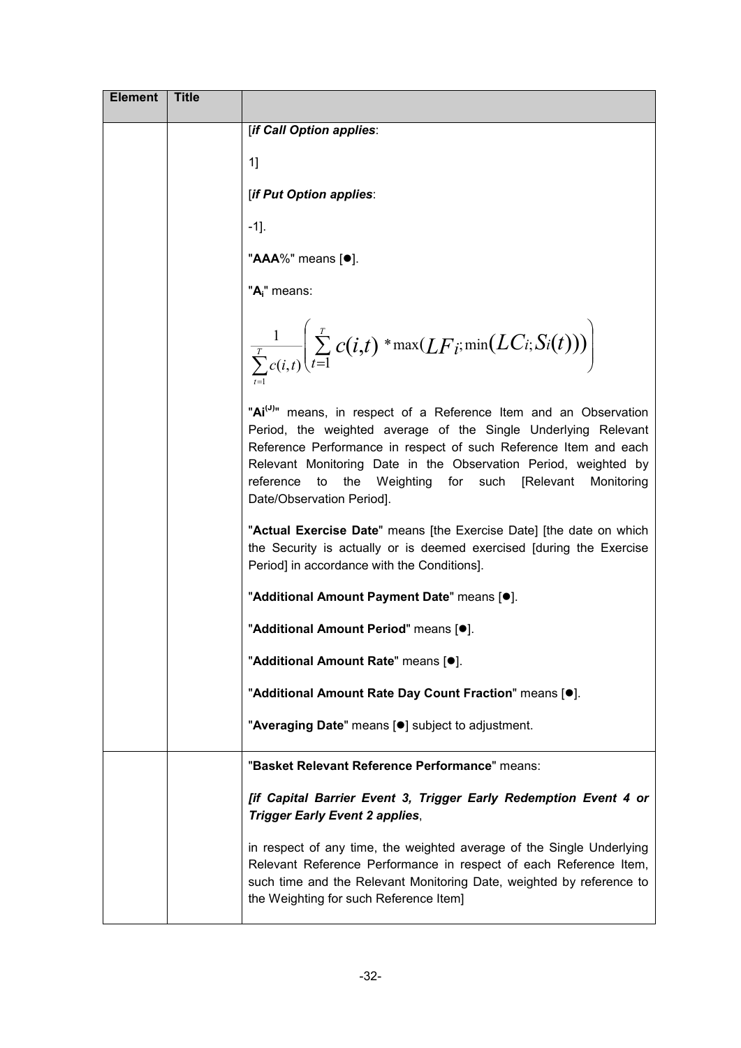| <b>Element</b> | <b>Title</b> |                                                                                                                                                                                                                                                                                                                                                                                          |
|----------------|--------------|------------------------------------------------------------------------------------------------------------------------------------------------------------------------------------------------------------------------------------------------------------------------------------------------------------------------------------------------------------------------------------------|
|                |              | [if Call Option applies:                                                                                                                                                                                                                                                                                                                                                                 |
|                |              | 1]                                                                                                                                                                                                                                                                                                                                                                                       |
|                |              | [if Put Option applies:                                                                                                                                                                                                                                                                                                                                                                  |
|                |              | $-1$ ].                                                                                                                                                                                                                                                                                                                                                                                  |
|                |              | "AAA%" means [ <sup>●</sup> ].                                                                                                                                                                                                                                                                                                                                                           |
|                |              | "A <sub>i</sub> " means:                                                                                                                                                                                                                                                                                                                                                                 |
|                |              | $\frac{1}{\sum\limits_{i=1}^{T}c(i,t)}\left(\sum\limits_{t=1}^{T}c(i,t)\cdot\max(LF_i;\min(LC_i;S_i(t)))\right)$                                                                                                                                                                                                                                                                         |
|                |              | "Ai <sup>(J)</sup> " means, in respect of a Reference Item and an Observation<br>Period, the weighted average of the Single Underlying Relevant<br>Reference Performance in respect of such Reference Item and each<br>Relevant Monitoring Date in the Observation Period, weighted by<br>reference<br>to<br>the Weighting for such [Relevant<br>Monitoring<br>Date/Observation Period]. |
|                |              | "Actual Exercise Date" means [the Exercise Date] [the date on which<br>the Security is actually or is deemed exercised [during the Exercise<br>Period] in accordance with the Conditions].                                                                                                                                                                                               |
|                |              | "Additional Amount Payment Date" means [.].                                                                                                                                                                                                                                                                                                                                              |
|                |              | "Additional Amount Period" means [.].                                                                                                                                                                                                                                                                                                                                                    |
|                |              | "Additional Amount Rate" means [.].                                                                                                                                                                                                                                                                                                                                                      |
|                |              | "Additional Amount Rate Day Count Fraction" means [.].                                                                                                                                                                                                                                                                                                                                   |
|                |              | "Averaging Date" means [.] subject to adjustment.                                                                                                                                                                                                                                                                                                                                        |
|                |              | "Basket Relevant Reference Performance" means:                                                                                                                                                                                                                                                                                                                                           |
|                |              | [if Capital Barrier Event 3, Trigger Early Redemption Event 4 or<br><b>Trigger Early Event 2 applies,</b>                                                                                                                                                                                                                                                                                |
|                |              | in respect of any time, the weighted average of the Single Underlying<br>Relevant Reference Performance in respect of each Reference Item,<br>such time and the Relevant Monitoring Date, weighted by reference to<br>the Weighting for such Reference Item]                                                                                                                             |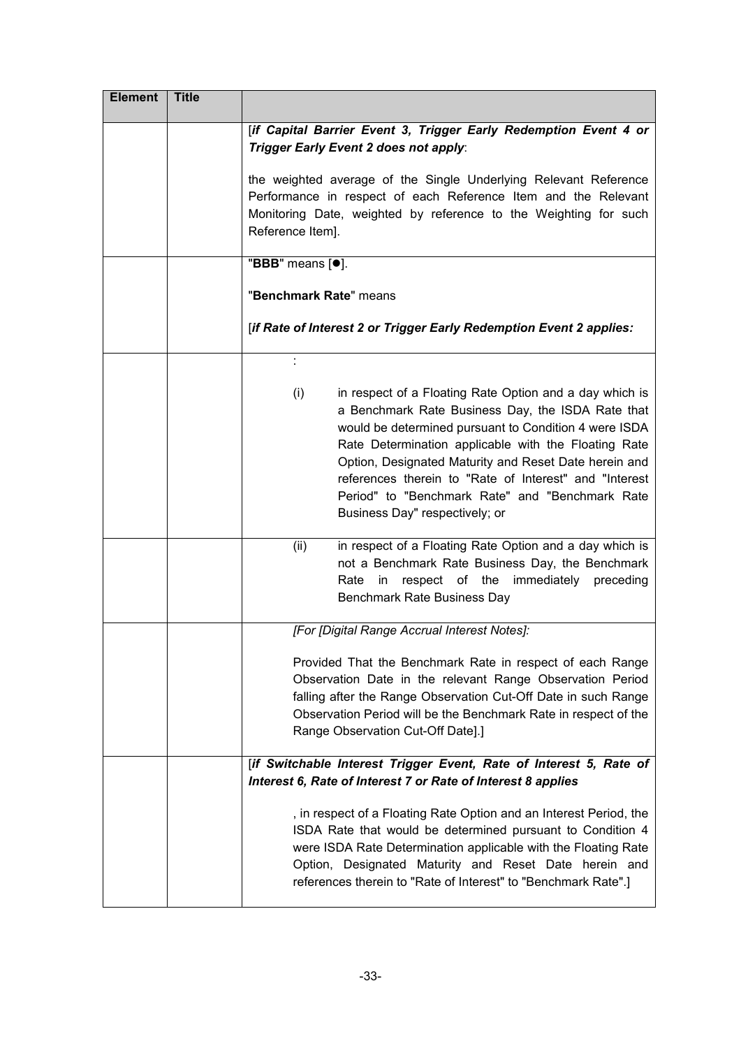| <b>Element</b> | <b>Title</b> |                                                                                                                                                                                                                                                                                                                                                                                                                                                   |
|----------------|--------------|---------------------------------------------------------------------------------------------------------------------------------------------------------------------------------------------------------------------------------------------------------------------------------------------------------------------------------------------------------------------------------------------------------------------------------------------------|
|                |              | [if Capital Barrier Event 3, Trigger Early Redemption Event 4 or<br>Trigger Early Event 2 does not apply:                                                                                                                                                                                                                                                                                                                                         |
|                |              | the weighted average of the Single Underlying Relevant Reference<br>Performance in respect of each Reference Item and the Relevant<br>Monitoring Date, weighted by reference to the Weighting for such<br>Reference Item].                                                                                                                                                                                                                        |
|                |              | "BBB" means [ <sup>o</sup> ].                                                                                                                                                                                                                                                                                                                                                                                                                     |
|                |              | "Benchmark Rate" means                                                                                                                                                                                                                                                                                                                                                                                                                            |
|                |              | [if Rate of Interest 2 or Trigger Early Redemption Event 2 applies:                                                                                                                                                                                                                                                                                                                                                                               |
|                |              | ÷<br>(i)<br>in respect of a Floating Rate Option and a day which is<br>a Benchmark Rate Business Day, the ISDA Rate that<br>would be determined pursuant to Condition 4 were ISDA<br>Rate Determination applicable with the Floating Rate<br>Option, Designated Maturity and Reset Date herein and<br>references therein to "Rate of Interest" and "Interest<br>Period" to "Benchmark Rate" and "Benchmark Rate<br>Business Day" respectively; or |
|                |              | in respect of a Floating Rate Option and a day which is<br>(ii)<br>not a Benchmark Rate Business Day, the Benchmark<br>respect of the immediately preceding<br>Rate<br>in<br>Benchmark Rate Business Day                                                                                                                                                                                                                                          |
|                |              | [For [Digital Range Accrual Interest Notes]:                                                                                                                                                                                                                                                                                                                                                                                                      |
|                |              | Provided That the Benchmark Rate in respect of each Range<br>Observation Date in the relevant Range Observation Period<br>falling after the Range Observation Cut-Off Date in such Range<br>Observation Period will be the Benchmark Rate in respect of the<br>Range Observation Cut-Off Date].]                                                                                                                                                  |
|                |              | [if Switchable Interest Trigger Event, Rate of Interest 5, Rate of                                                                                                                                                                                                                                                                                                                                                                                |
|                |              | Interest 6, Rate of Interest 7 or Rate of Interest 8 applies<br>, in respect of a Floating Rate Option and an Interest Period, the<br>ISDA Rate that would be determined pursuant to Condition 4<br>were ISDA Rate Determination applicable with the Floating Rate<br>Option, Designated Maturity and Reset Date herein and<br>references therein to "Rate of Interest" to "Benchmark Rate".]                                                     |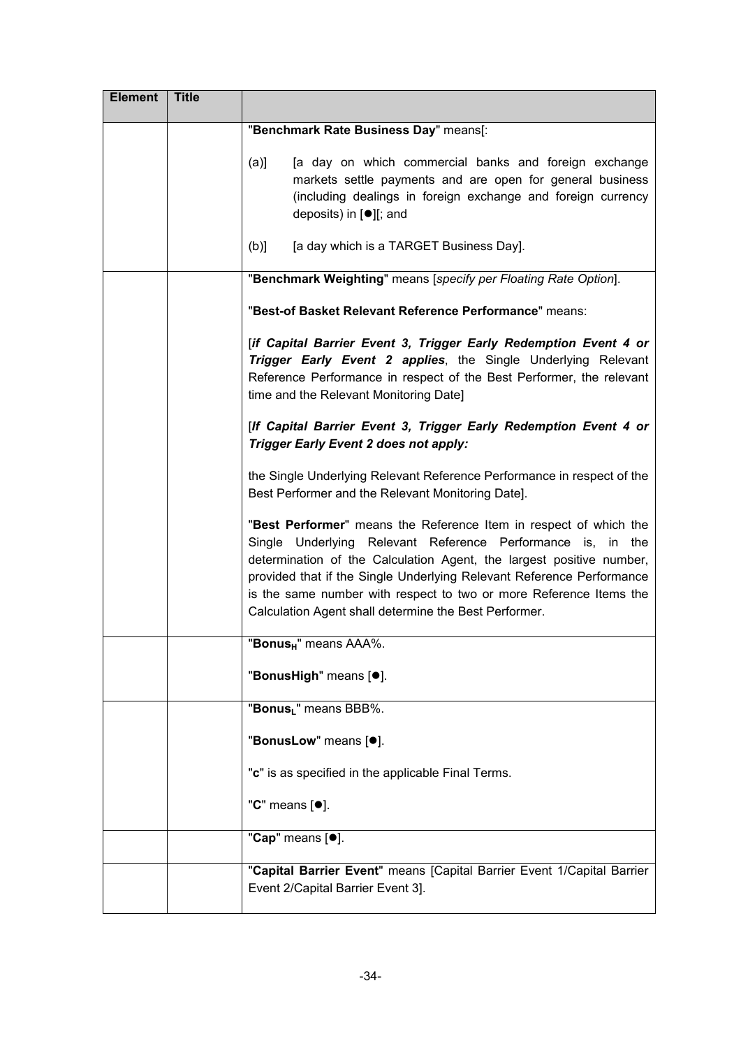| <b>Element</b> | <b>Title</b> |                                                                                                                                                                                                                                                                                                                                                                                                                  |
|----------------|--------------|------------------------------------------------------------------------------------------------------------------------------------------------------------------------------------------------------------------------------------------------------------------------------------------------------------------------------------------------------------------------------------------------------------------|
|                |              | "Benchmark Rate Business Day" means[:                                                                                                                                                                                                                                                                                                                                                                            |
|                |              | [a day on which commercial banks and foreign exchange<br>(a)<br>markets settle payments and are open for general business<br>(including dealings in foreign exchange and foreign currency<br>deposits) in $[•]$ ; and                                                                                                                                                                                            |
|                |              | [a day which is a TARGET Business Day].<br>(b)                                                                                                                                                                                                                                                                                                                                                                   |
|                |              | "Benchmark Weighting" means [specify per Floating Rate Option].                                                                                                                                                                                                                                                                                                                                                  |
|                |              | "Best-of Basket Relevant Reference Performance" means:                                                                                                                                                                                                                                                                                                                                                           |
|                |              | [if Capital Barrier Event 3, Trigger Early Redemption Event 4 or<br>Trigger Early Event 2 applies, the Single Underlying Relevant<br>Reference Performance in respect of the Best Performer, the relevant<br>time and the Relevant Monitoring Date]                                                                                                                                                              |
|                |              | [If Capital Barrier Event 3, Trigger Early Redemption Event 4 or<br>Trigger Early Event 2 does not apply:                                                                                                                                                                                                                                                                                                        |
|                |              | the Single Underlying Relevant Reference Performance in respect of the<br>Best Performer and the Relevant Monitoring Date].                                                                                                                                                                                                                                                                                      |
|                |              | "Best Performer" means the Reference Item in respect of which the<br>Single Underlying Relevant Reference Performance is, in the<br>determination of the Calculation Agent, the largest positive number,<br>provided that if the Single Underlying Relevant Reference Performance<br>is the same number with respect to two or more Reference Items the<br>Calculation Agent shall determine the Best Performer. |
|                |              | "Bonus <sub>H</sub> " means AAA%.                                                                                                                                                                                                                                                                                                                                                                                |
|                |              | "BonusHigh" means [ <sup>•</sup> ].                                                                                                                                                                                                                                                                                                                                                                              |
|                |              | "Bonus <sub>L</sub> " means BBB%.                                                                                                                                                                                                                                                                                                                                                                                |
|                |              | "BonusLow" means [ <sup>o</sup> ].                                                                                                                                                                                                                                                                                                                                                                               |
|                |              | "c" is as specified in the applicable Final Terms.                                                                                                                                                                                                                                                                                                                                                               |
|                |              | "C" means [ $\bullet$ ].                                                                                                                                                                                                                                                                                                                                                                                         |
|                |              | "Cap" means [ <sup>0</sup> ].                                                                                                                                                                                                                                                                                                                                                                                    |
|                |              | "Capital Barrier Event" means [Capital Barrier Event 1/Capital Barrier<br>Event 2/Capital Barrier Event 3].                                                                                                                                                                                                                                                                                                      |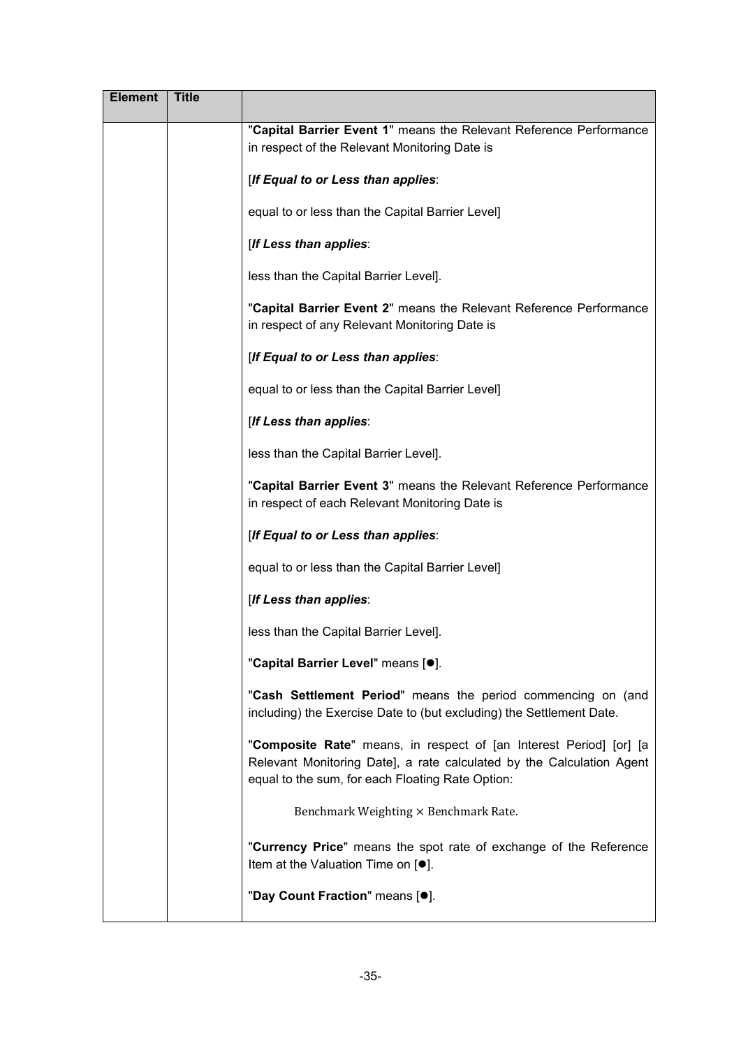| <b>Element</b> | <b>Title</b> |                                                                                                                                                                                                 |
|----------------|--------------|-------------------------------------------------------------------------------------------------------------------------------------------------------------------------------------------------|
|                |              | "Capital Barrier Event 1" means the Relevant Reference Performance<br>in respect of the Relevant Monitoring Date is                                                                             |
|                |              | [If Equal to or Less than applies:                                                                                                                                                              |
|                |              | equal to or less than the Capital Barrier Level]                                                                                                                                                |
|                |              | [If Less than applies:                                                                                                                                                                          |
|                |              | less than the Capital Barrier Level].                                                                                                                                                           |
|                |              | "Capital Barrier Event 2" means the Relevant Reference Performance<br>in respect of any Relevant Monitoring Date is                                                                             |
|                |              | [If Equal to or Less than applies:                                                                                                                                                              |
|                |              | equal to or less than the Capital Barrier Level]                                                                                                                                                |
|                |              | [If Less than applies:                                                                                                                                                                          |
|                |              | less than the Capital Barrier Level].                                                                                                                                                           |
|                |              | "Capital Barrier Event 3" means the Relevant Reference Performance<br>in respect of each Relevant Monitoring Date is                                                                            |
|                |              | [If Equal to or Less than applies:                                                                                                                                                              |
|                |              | equal to or less than the Capital Barrier Level]                                                                                                                                                |
|                |              | [If Less than applies:                                                                                                                                                                          |
|                |              | less than the Capital Barrier Level].                                                                                                                                                           |
|                |              | "Capital Barrier Level" means [ <sup>o</sup> ].                                                                                                                                                 |
|                |              | "Cash Settlement Period" means the period commencing on (and<br>including) the Exercise Date to (but excluding) the Settlement Date.                                                            |
|                |              | "Composite Rate" means, in respect of [an Interest Period] [or] [a<br>Relevant Monitoring Date], a rate calculated by the Calculation Agent<br>equal to the sum, for each Floating Rate Option: |
|                |              | Benchmark Weighting × Benchmark Rate.                                                                                                                                                           |
|                |              | "Currency Price" means the spot rate of exchange of the Reference<br>Item at the Valuation Time on [●].                                                                                         |
|                |              | "Day Count Fraction" means [.].                                                                                                                                                                 |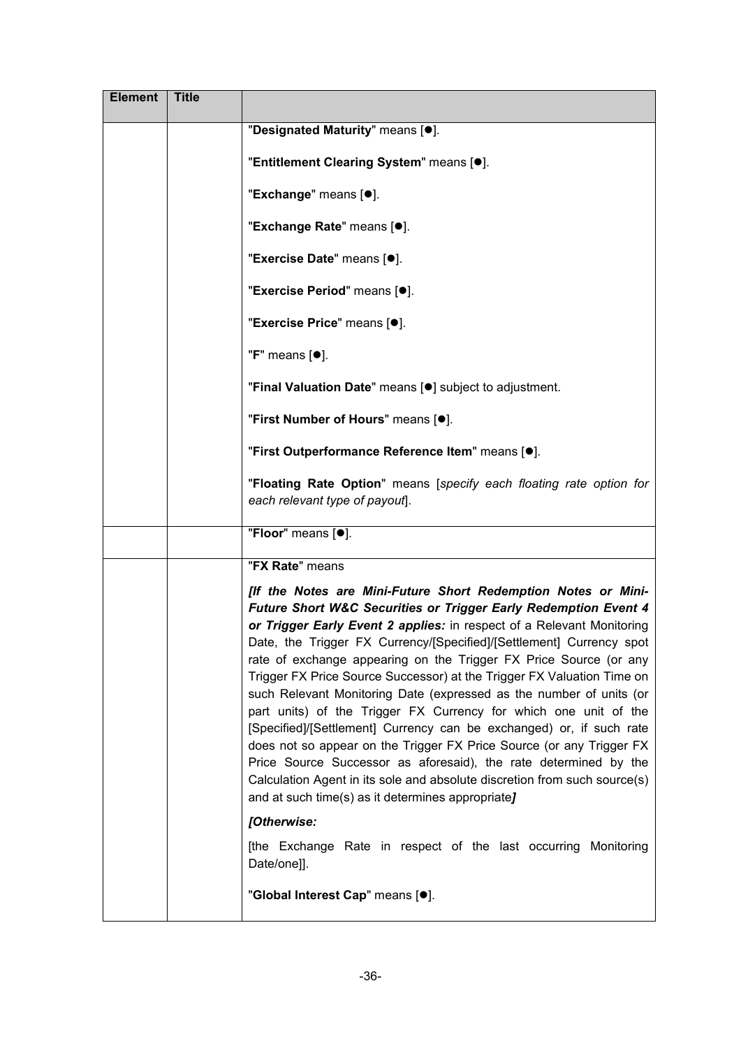| <b>Element</b> | <b>Title</b> |                                                                                                                                                                                                                                                                                                                                                                                                                                                                                                                                                                                                                                                                                                                                                                                                                                                                                                                                                             |
|----------------|--------------|-------------------------------------------------------------------------------------------------------------------------------------------------------------------------------------------------------------------------------------------------------------------------------------------------------------------------------------------------------------------------------------------------------------------------------------------------------------------------------------------------------------------------------------------------------------------------------------------------------------------------------------------------------------------------------------------------------------------------------------------------------------------------------------------------------------------------------------------------------------------------------------------------------------------------------------------------------------|
|                |              | "Designated Maturity" means [.].                                                                                                                                                                                                                                                                                                                                                                                                                                                                                                                                                                                                                                                                                                                                                                                                                                                                                                                            |
|                |              | "Entitlement Clearing System" means [.].                                                                                                                                                                                                                                                                                                                                                                                                                                                                                                                                                                                                                                                                                                                                                                                                                                                                                                                    |
|                |              | "Exchange" means [ <sup>•</sup> ].                                                                                                                                                                                                                                                                                                                                                                                                                                                                                                                                                                                                                                                                                                                                                                                                                                                                                                                          |
|                |              | "Exchange Rate" means [.].                                                                                                                                                                                                                                                                                                                                                                                                                                                                                                                                                                                                                                                                                                                                                                                                                                                                                                                                  |
|                |              | "Exercise Date" means [ <sup>o</sup> ].                                                                                                                                                                                                                                                                                                                                                                                                                                                                                                                                                                                                                                                                                                                                                                                                                                                                                                                     |
|                |              | "Exercise Period" means [.].                                                                                                                                                                                                                                                                                                                                                                                                                                                                                                                                                                                                                                                                                                                                                                                                                                                                                                                                |
|                |              | "Exercise Price" means [ <sup>o</sup> ].                                                                                                                                                                                                                                                                                                                                                                                                                                                                                                                                                                                                                                                                                                                                                                                                                                                                                                                    |
|                |              | " $F$ " means $[•]$ .                                                                                                                                                                                                                                                                                                                                                                                                                                                                                                                                                                                                                                                                                                                                                                                                                                                                                                                                       |
|                |              | "Final Valuation Date" means [ <sup>o</sup> ] subject to adjustment.                                                                                                                                                                                                                                                                                                                                                                                                                                                                                                                                                                                                                                                                                                                                                                                                                                                                                        |
|                |              | "First Number of Hours" means [ $\bullet$ ].                                                                                                                                                                                                                                                                                                                                                                                                                                                                                                                                                                                                                                                                                                                                                                                                                                                                                                                |
|                |              | "First Outperformance Reference Item" means [.].                                                                                                                                                                                                                                                                                                                                                                                                                                                                                                                                                                                                                                                                                                                                                                                                                                                                                                            |
|                |              | "Floating Rate Option" means [specify each floating rate option for<br>each relevant type of payout].                                                                                                                                                                                                                                                                                                                                                                                                                                                                                                                                                                                                                                                                                                                                                                                                                                                       |
|                |              | "Floor" means [ <sup>o</sup> ].                                                                                                                                                                                                                                                                                                                                                                                                                                                                                                                                                                                                                                                                                                                                                                                                                                                                                                                             |
|                |              | "FX Rate" means                                                                                                                                                                                                                                                                                                                                                                                                                                                                                                                                                                                                                                                                                                                                                                                                                                                                                                                                             |
|                |              | [If the Notes are Mini-Future Short Redemption Notes or Mini-<br><b>Future Short W&amp;C Securities or Trigger Early Redemption Event 4</b><br>or Trigger Early Event 2 applies: in respect of a Relevant Monitoring<br>Date, the Trigger FX Currency/[Specified]/[Settlement] Currency spot<br>rate of exchange appearing on the Trigger FX Price Source (or any<br>Trigger FX Price Source Successor) at the Trigger FX Valuation Time on<br>such Relevant Monitoring Date (expressed as the number of units (or<br>part units) of the Trigger FX Currency for which one unit of the<br>[Specified]/[Settlement] Currency can be exchanged) or, if such rate<br>does not so appear on the Trigger FX Price Source (or any Trigger FX<br>Price Source Successor as aforesaid), the rate determined by the<br>Calculation Agent in its sole and absolute discretion from such source(s)<br>and at such time(s) as it determines appropriate]<br>[Otherwise: |
|                |              | [the Exchange Rate in respect of the last occurring Monitoring                                                                                                                                                                                                                                                                                                                                                                                                                                                                                                                                                                                                                                                                                                                                                                                                                                                                                              |
|                |              | Date/one]].                                                                                                                                                                                                                                                                                                                                                                                                                                                                                                                                                                                                                                                                                                                                                                                                                                                                                                                                                 |
|                |              | "Global Interest Cap" means [ <sup>o</sup> ].                                                                                                                                                                                                                                                                                                                                                                                                                                                                                                                                                                                                                                                                                                                                                                                                                                                                                                               |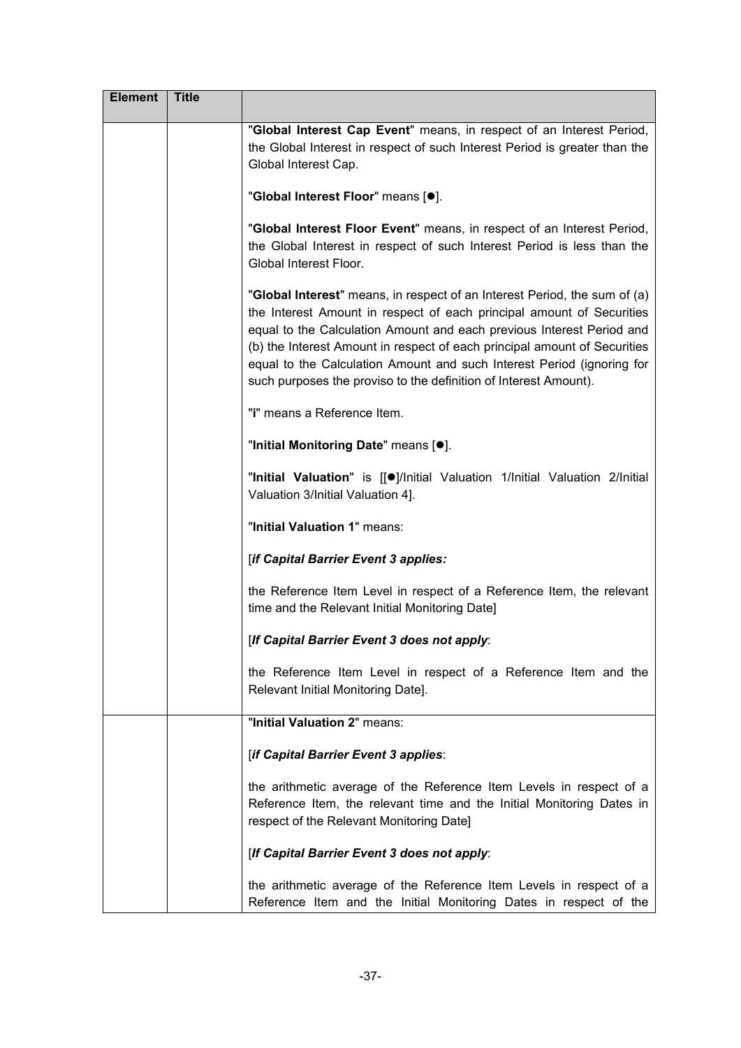| <b>Element</b> | <b>Title</b> |                                                                                                                                                                                                                                                                                                                                                                                                                                                        |
|----------------|--------------|--------------------------------------------------------------------------------------------------------------------------------------------------------------------------------------------------------------------------------------------------------------------------------------------------------------------------------------------------------------------------------------------------------------------------------------------------------|
|                |              | "Global Interest Cap Event" means, in respect of an Interest Period,<br>the Global Interest in respect of such Interest Period is greater than the<br>Global Interest Cap.                                                                                                                                                                                                                                                                             |
|                |              | "Global Interest Floor" means [ <sup>o</sup> ].                                                                                                                                                                                                                                                                                                                                                                                                        |
|                |              | "Global Interest Floor Event" means, in respect of an Interest Period,<br>the Global Interest in respect of such Interest Period is less than the<br>Global Interest Floor.                                                                                                                                                                                                                                                                            |
|                |              | "Global Interest" means, in respect of an Interest Period, the sum of (a)<br>the Interest Amount in respect of each principal amount of Securities<br>equal to the Calculation Amount and each previous Interest Period and<br>(b) the Interest Amount in respect of each principal amount of Securities<br>equal to the Calculation Amount and such Interest Period (ignoring for<br>such purposes the proviso to the definition of Interest Amount). |
|                |              | "i" means a Reference Item.                                                                                                                                                                                                                                                                                                                                                                                                                            |
|                |              | "Initial Monitoring Date" means [ $\bullet$ ].                                                                                                                                                                                                                                                                                                                                                                                                         |
|                |              | "Initial Valuation" is [[·]/Initial Valuation 1/Initial Valuation 2/Initial<br>Valuation 3/Initial Valuation 4].                                                                                                                                                                                                                                                                                                                                       |
|                |              | "Initial Valuation 1" means:                                                                                                                                                                                                                                                                                                                                                                                                                           |
|                |              | [if Capital Barrier Event 3 applies:                                                                                                                                                                                                                                                                                                                                                                                                                   |
|                |              | the Reference Item Level in respect of a Reference Item, the relevant<br>time and the Relevant Initial Monitoring Date]                                                                                                                                                                                                                                                                                                                                |
|                |              | [If Capital Barrier Event 3 does not apply:                                                                                                                                                                                                                                                                                                                                                                                                            |
|                |              | the Reference Item Level in respect of a Reference Item and the<br>Relevant Initial Monitoring Date].                                                                                                                                                                                                                                                                                                                                                  |
|                |              | "Initial Valuation 2" means:                                                                                                                                                                                                                                                                                                                                                                                                                           |
|                |              | [if Capital Barrier Event 3 applies:                                                                                                                                                                                                                                                                                                                                                                                                                   |
|                |              | the arithmetic average of the Reference Item Levels in respect of a<br>Reference Item, the relevant time and the Initial Monitoring Dates in<br>respect of the Relevant Monitoring Date]                                                                                                                                                                                                                                                               |
|                |              | [If Capital Barrier Event 3 does not apply:                                                                                                                                                                                                                                                                                                                                                                                                            |
|                |              | the arithmetic average of the Reference Item Levels in respect of a<br>Reference Item and the Initial Monitoring Dates in respect of the                                                                                                                                                                                                                                                                                                               |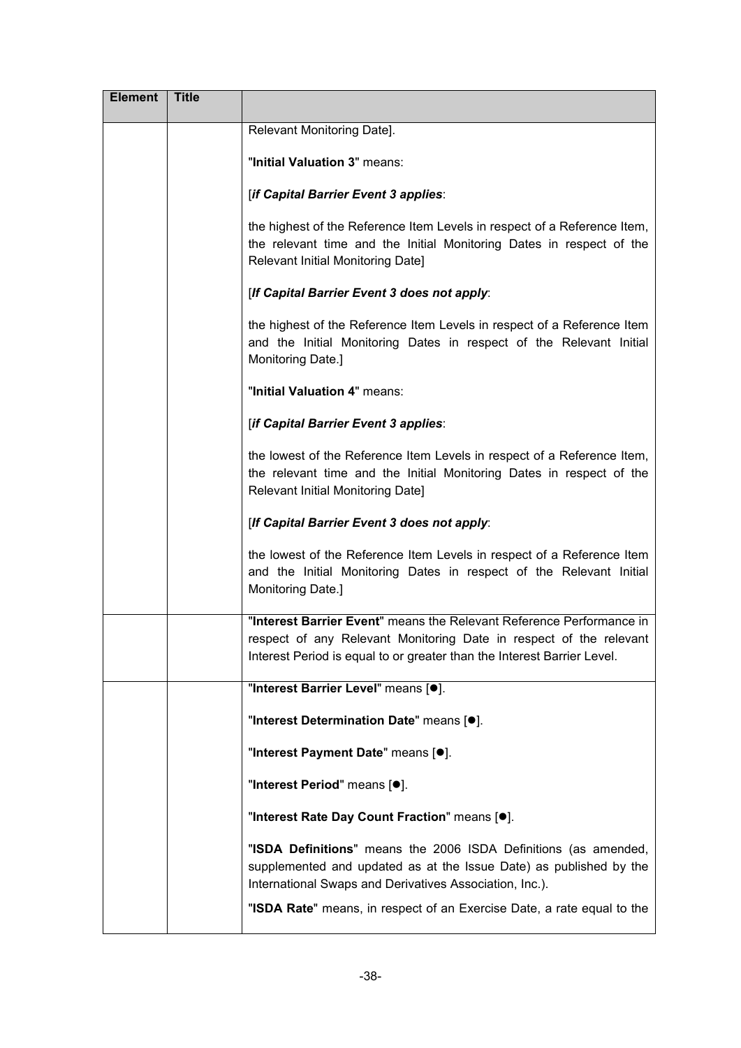| <b>Element</b> | <b>Title</b> |                                                                                                                                                                                                                       |
|----------------|--------------|-----------------------------------------------------------------------------------------------------------------------------------------------------------------------------------------------------------------------|
|                |              | Relevant Monitoring Date].                                                                                                                                                                                            |
|                |              | "Initial Valuation 3" means:                                                                                                                                                                                          |
|                |              | [if Capital Barrier Event 3 applies:                                                                                                                                                                                  |
|                |              | the highest of the Reference Item Levels in respect of a Reference Item,<br>the relevant time and the Initial Monitoring Dates in respect of the<br>Relevant Initial Monitoring Date]                                 |
|                |              | [If Capital Barrier Event 3 does not apply:                                                                                                                                                                           |
|                |              | the highest of the Reference Item Levels in respect of a Reference Item<br>and the Initial Monitoring Dates in respect of the Relevant Initial<br>Monitoring Date.]                                                   |
|                |              | "Initial Valuation 4" means:                                                                                                                                                                                          |
|                |              | [if Capital Barrier Event 3 applies:                                                                                                                                                                                  |
|                |              | the lowest of the Reference Item Levels in respect of a Reference Item,<br>the relevant time and the Initial Monitoring Dates in respect of the<br>Relevant Initial Monitoring Date]                                  |
|                |              | [If Capital Barrier Event 3 does not apply:                                                                                                                                                                           |
|                |              | the lowest of the Reference Item Levels in respect of a Reference Item<br>and the Initial Monitoring Dates in respect of the Relevant Initial<br>Monitoring Date.]                                                    |
|                |              | "Interest Barrier Event" means the Relevant Reference Performance in<br>respect of any Relevant Monitoring Date in respect of the relevant<br>Interest Period is equal to or greater than the Interest Barrier Level. |
|                |              | "Interest Barrier Level" means [ <sup>o</sup> ].                                                                                                                                                                      |
|                |              | "Interest Determination Date" means [ $\bullet$ ].                                                                                                                                                                    |
|                |              | "Interest Payment Date" means [ $\bullet$ ].                                                                                                                                                                          |
|                |              | "Interest Period" means [ <sup>o</sup> ].                                                                                                                                                                             |
|                |              | "Interest Rate Day Count Fraction" means [.].                                                                                                                                                                         |
|                |              | "ISDA Definitions" means the 2006 ISDA Definitions (as amended,<br>supplemented and updated as at the Issue Date) as published by the<br>International Swaps and Derivatives Association, Inc.).                      |
|                |              | "ISDA Rate" means, in respect of an Exercise Date, a rate equal to the                                                                                                                                                |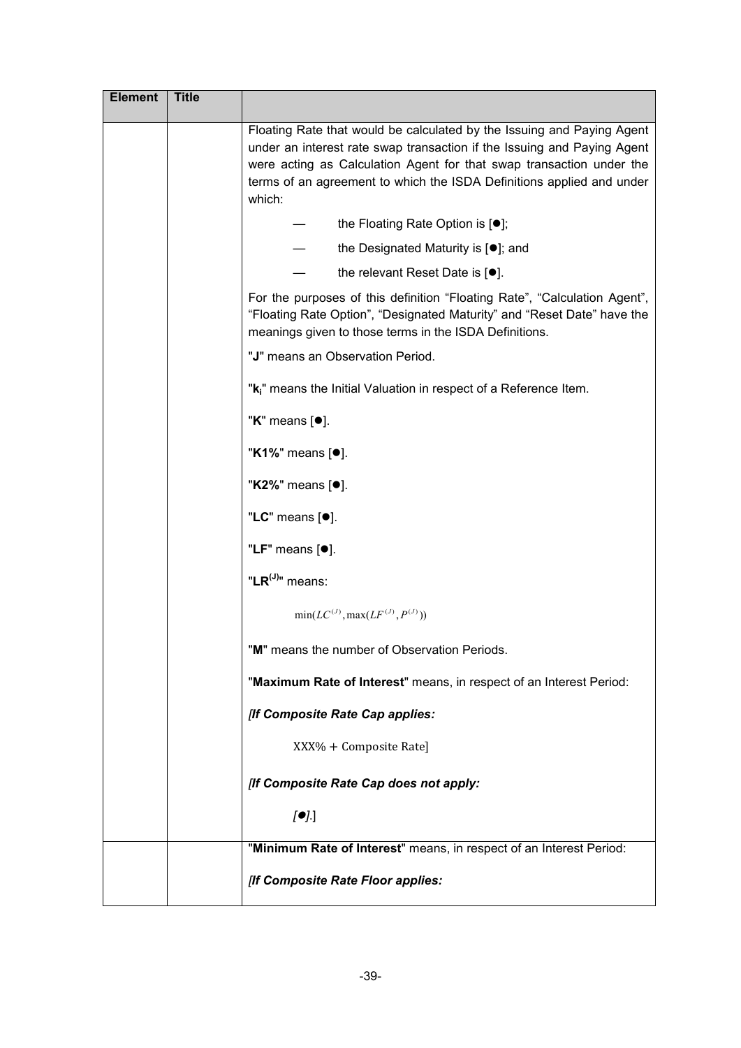| <b>Element</b> | <b>Title</b> |                                                                                                                                                                                                                                                                                                              |
|----------------|--------------|--------------------------------------------------------------------------------------------------------------------------------------------------------------------------------------------------------------------------------------------------------------------------------------------------------------|
|                |              | Floating Rate that would be calculated by the Issuing and Paying Agent<br>under an interest rate swap transaction if the Issuing and Paying Agent<br>were acting as Calculation Agent for that swap transaction under the<br>terms of an agreement to which the ISDA Definitions applied and under<br>which: |
|                |              | the Floating Rate Option is [ $\bullet$ ];                                                                                                                                                                                                                                                                   |
|                |              | the Designated Maturity is $[•]$ ; and                                                                                                                                                                                                                                                                       |
|                |              | the relevant Reset Date is $[•]$ .                                                                                                                                                                                                                                                                           |
|                |              | For the purposes of this definition "Floating Rate", "Calculation Agent",<br>"Floating Rate Option", "Designated Maturity" and "Reset Date" have the<br>meanings given to those terms in the ISDA Definitions.                                                                                               |
|                |              | "J" means an Observation Period.                                                                                                                                                                                                                                                                             |
|                |              | "k <sub>i</sub> " means the Initial Valuation in respect of a Reference Item.                                                                                                                                                                                                                                |
|                |              | " $K$ " means $[•]$ .                                                                                                                                                                                                                                                                                        |
|                |              | "K1%" means [ <sup>•</sup> ].                                                                                                                                                                                                                                                                                |
|                |              | "K2%" means [ <sup>●</sup> ].                                                                                                                                                                                                                                                                                |
|                |              | "LC" means [ <sup>o</sup> ].                                                                                                                                                                                                                                                                                 |
|                |              | "LF" means $[•]$ .                                                                                                                                                                                                                                                                                           |
|                |              | "LR(J)" means:                                                                                                                                                                                                                                                                                               |
|                |              | $min(LC^{(J)}, max(LF^{(J)}, P^{(J)}))$                                                                                                                                                                                                                                                                      |
|                |              | "M" means the number of Observation Periods.                                                                                                                                                                                                                                                                 |
|                |              | "Maximum Rate of Interest" means, in respect of an Interest Period:                                                                                                                                                                                                                                          |
|                |              | [If Composite Rate Cap applies:                                                                                                                                                                                                                                                                              |
|                |              | XXX% + Composite Rate]                                                                                                                                                                                                                                                                                       |
|                |              | [If Composite Rate Cap does not apply:                                                                                                                                                                                                                                                                       |
|                |              | [                                                                                                                                                                                                                                                                                                            |
|                |              | "Minimum Rate of Interest" means, in respect of an Interest Period:                                                                                                                                                                                                                                          |
|                |              | [If Composite Rate Floor applies:                                                                                                                                                                                                                                                                            |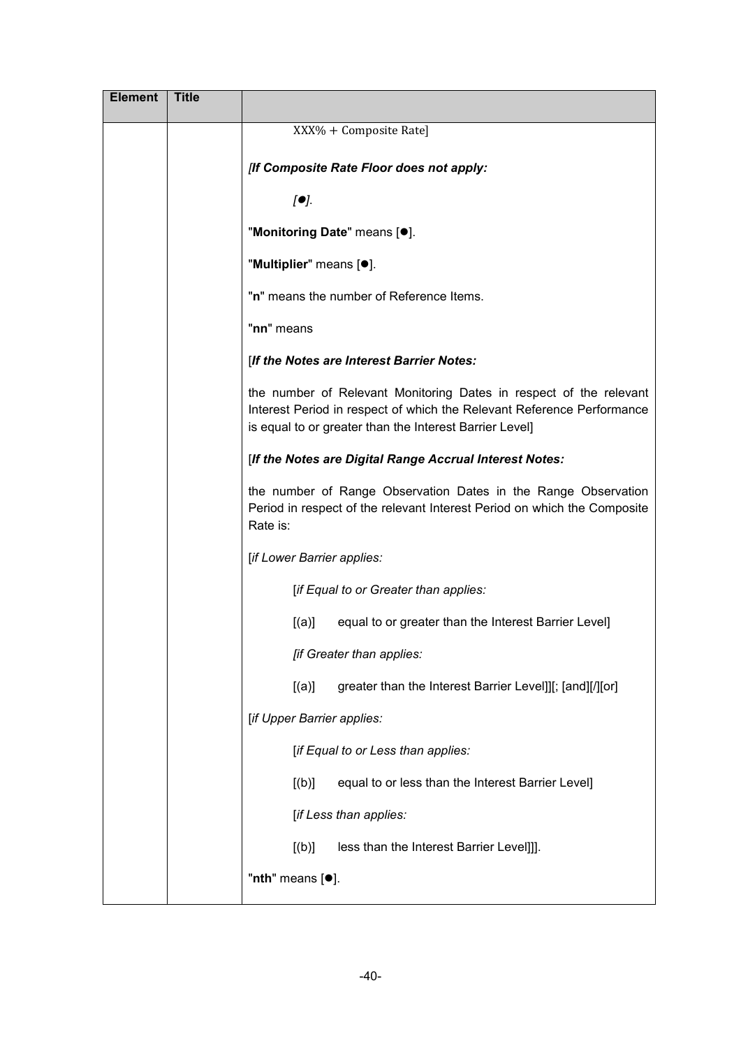| <b>Element</b> | <b>Title</b> |                                                                                                                                                                                                         |
|----------------|--------------|---------------------------------------------------------------------------------------------------------------------------------------------------------------------------------------------------------|
|                |              | XXX% + Composite Rate]                                                                                                                                                                                  |
|                |              | [If Composite Rate Floor does not apply:                                                                                                                                                                |
|                |              | [①]                                                                                                                                                                                                     |
|                |              | "Monitoring Date" means [·].                                                                                                                                                                            |
|                |              | "Multiplier" means [ <sup>•</sup> ].                                                                                                                                                                    |
|                |              | "n" means the number of Reference Items.                                                                                                                                                                |
|                |              | "nn" means                                                                                                                                                                                              |
|                |              | [If the Notes are Interest Barrier Notes:                                                                                                                                                               |
|                |              | the number of Relevant Monitoring Dates in respect of the relevant<br>Interest Period in respect of which the Relevant Reference Performance<br>is equal to or greater than the Interest Barrier Level] |
|                |              | [If the Notes are Digital Range Accrual Interest Notes:                                                                                                                                                 |
|                |              | the number of Range Observation Dates in the Range Observation<br>Period in respect of the relevant Interest Period on which the Composite<br>Rate is:                                                  |
|                |              | [if Lower Barrier applies:                                                                                                                                                                              |
|                |              | [if Equal to or Greater than applies:                                                                                                                                                                   |
|                |              | [(a)]<br>equal to or greater than the Interest Barrier Level]                                                                                                                                           |
|                |              | [if Greater than applies:                                                                                                                                                                               |
|                |              | greater than the Interest Barrier Level]][; [and][/][or]<br>[(a)]                                                                                                                                       |
|                |              | [if Upper Barrier applies:                                                                                                                                                                              |
|                |              | [if Equal to or Less than applies:                                                                                                                                                                      |
|                |              | equal to or less than the Interest Barrier Level]<br>[(b)]                                                                                                                                              |
|                |              | [if Less than applies:                                                                                                                                                                                  |
|                |              | less than the Interest Barrier Level]]].<br>[(b)]                                                                                                                                                       |
|                |              | "nth" means [ <sup>o</sup> ].                                                                                                                                                                           |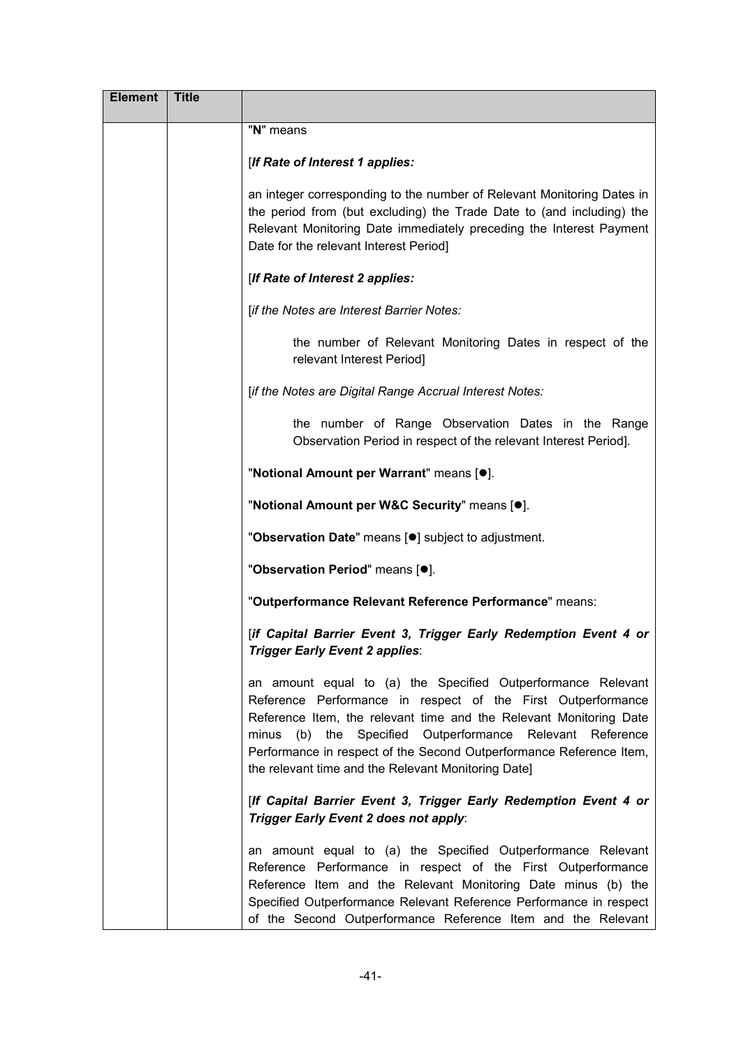| <b>Element</b> | <b>Title</b> |                                                                                                                                                                                                                                                                                                                                                                                                  |
|----------------|--------------|--------------------------------------------------------------------------------------------------------------------------------------------------------------------------------------------------------------------------------------------------------------------------------------------------------------------------------------------------------------------------------------------------|
|                |              | "N" means                                                                                                                                                                                                                                                                                                                                                                                        |
|                |              | [If Rate of Interest 1 applies:                                                                                                                                                                                                                                                                                                                                                                  |
|                |              | an integer corresponding to the number of Relevant Monitoring Dates in<br>the period from (but excluding) the Trade Date to (and including) the<br>Relevant Monitoring Date immediately preceding the Interest Payment<br>Date for the relevant Interest Period]                                                                                                                                 |
|                |              | [If Rate of Interest 2 applies:                                                                                                                                                                                                                                                                                                                                                                  |
|                |              | [if the Notes are Interest Barrier Notes:                                                                                                                                                                                                                                                                                                                                                        |
|                |              | the number of Relevant Monitoring Dates in respect of the<br>relevant Interest Period]                                                                                                                                                                                                                                                                                                           |
|                |              | [if the Notes are Digital Range Accrual Interest Notes:                                                                                                                                                                                                                                                                                                                                          |
|                |              | the number of Range Observation Dates in the Range<br>Observation Period in respect of the relevant Interest Period].                                                                                                                                                                                                                                                                            |
|                |              | "Notional Amount per Warrant" means [.].                                                                                                                                                                                                                                                                                                                                                         |
|                |              | "Notional Amount per W&C Security" means [.].                                                                                                                                                                                                                                                                                                                                                    |
|                |              | "Observation Date" means [ <sup>o</sup> ] subject to adjustment.                                                                                                                                                                                                                                                                                                                                 |
|                |              | "Observation Period" means [.].                                                                                                                                                                                                                                                                                                                                                                  |
|                |              | "Outperformance Relevant Reference Performance" means:                                                                                                                                                                                                                                                                                                                                           |
|                |              | [if Capital Barrier Event 3, Trigger Early Redemption Event 4 or<br><b>Trigger Early Event 2 applies:</b>                                                                                                                                                                                                                                                                                        |
|                |              | an amount equal to (a) the Specified Outperformance Relevant<br>Reference Performance in respect of the First Outperformance<br>Reference Item, the relevant time and the Relevant Monitoring Date<br>minus (b) the Specified Outperformance Relevant<br>Reference<br>Performance in respect of the Second Outperformance Reference Item,<br>the relevant time and the Relevant Monitoring Date] |
|                |              | [If Capital Barrier Event 3, Trigger Early Redemption Event 4 or<br>Trigger Early Event 2 does not apply:                                                                                                                                                                                                                                                                                        |
|                |              | an amount equal to (a) the Specified Outperformance Relevant<br>Reference Performance in respect of the First Outperformance<br>Reference Item and the Relevant Monitoring Date minus (b) the<br>Specified Outperformance Relevant Reference Performance in respect<br>of the Second Outperformance Reference Item and the Relevant                                                              |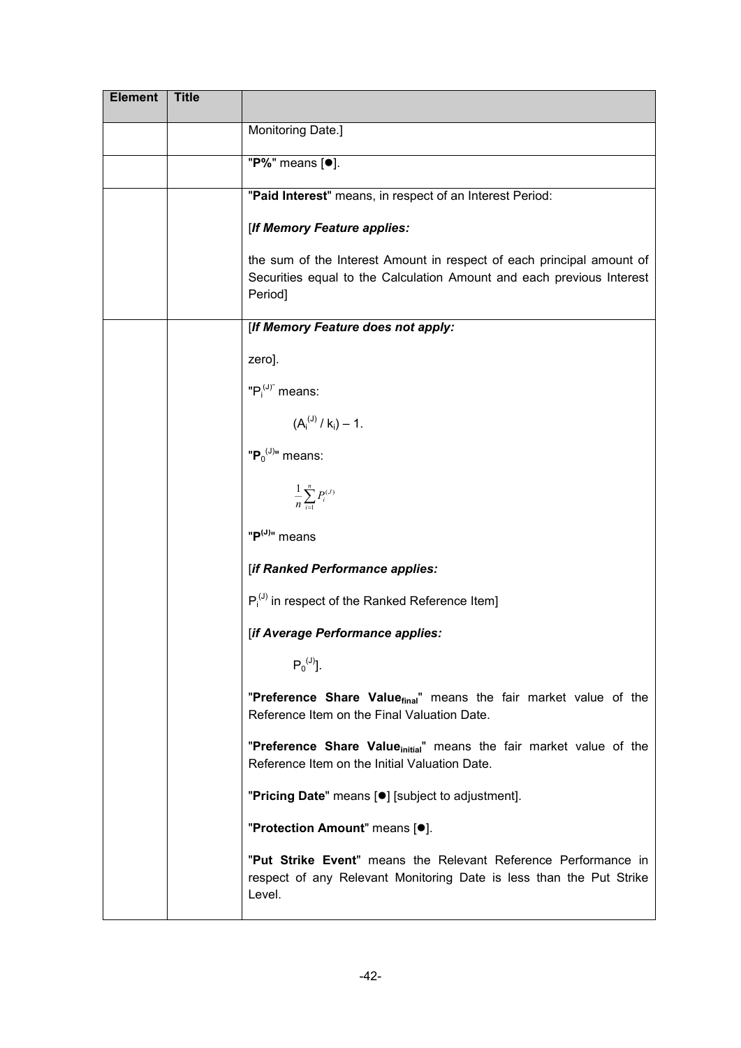| <b>Element</b> | <b>Title</b> |                                                                                                                                                           |
|----------------|--------------|-----------------------------------------------------------------------------------------------------------------------------------------------------------|
|                |              | Monitoring Date.]                                                                                                                                         |
|                |              | "P%" means [ $\bullet$ ].                                                                                                                                 |
|                |              | "Paid Interest" means, in respect of an Interest Period:                                                                                                  |
|                |              | [If Memory Feature applies:                                                                                                                               |
|                |              | the sum of the Interest Amount in respect of each principal amount of<br>Securities equal to the Calculation Amount and each previous Interest<br>Period] |
|                |              | [If Memory Feature does not apply:                                                                                                                        |
|                |              | zero].                                                                                                                                                    |
|                |              | " $P_i^{(J)}$ " means:                                                                                                                                    |
|                |              | $(A_i^{(J)}/k_i) - 1.$                                                                                                                                    |
|                |              | " $P_0^{(J)}$ " means:                                                                                                                                    |
|                |              | $\frac{1}{n} \sum_{i=1}^{n} P_i^{(J)}$                                                                                                                    |
|                |              | "P <sup>(J)</sup> " means                                                                                                                                 |
|                |              | [if Ranked Performance applies:                                                                                                                           |
|                |              | $P_i^{(J)}$ in respect of the Ranked Reference Item]                                                                                                      |
|                |              | [if Average Performance applies:                                                                                                                          |
|                |              | $P_0^{(J)}$ ].                                                                                                                                            |
|                |              | "Preference Share Value <sub>final</sub> " means the fair market value of the<br>Reference Item on the Final Valuation Date.                              |
|                |              | "Preference Share Value <sub>initial</sub> " means the fair market value of the<br>Reference Item on the Initial Valuation Date.                          |
|                |              | "Pricing Date" means [ <sup>•</sup> ] [subject to adjustment].                                                                                            |
|                |              | "Protection Amount" means [ <sup>o</sup> ].                                                                                                               |
|                |              | "Put Strike Event" means the Relevant Reference Performance in<br>respect of any Relevant Monitoring Date is less than the Put Strike<br>Level.           |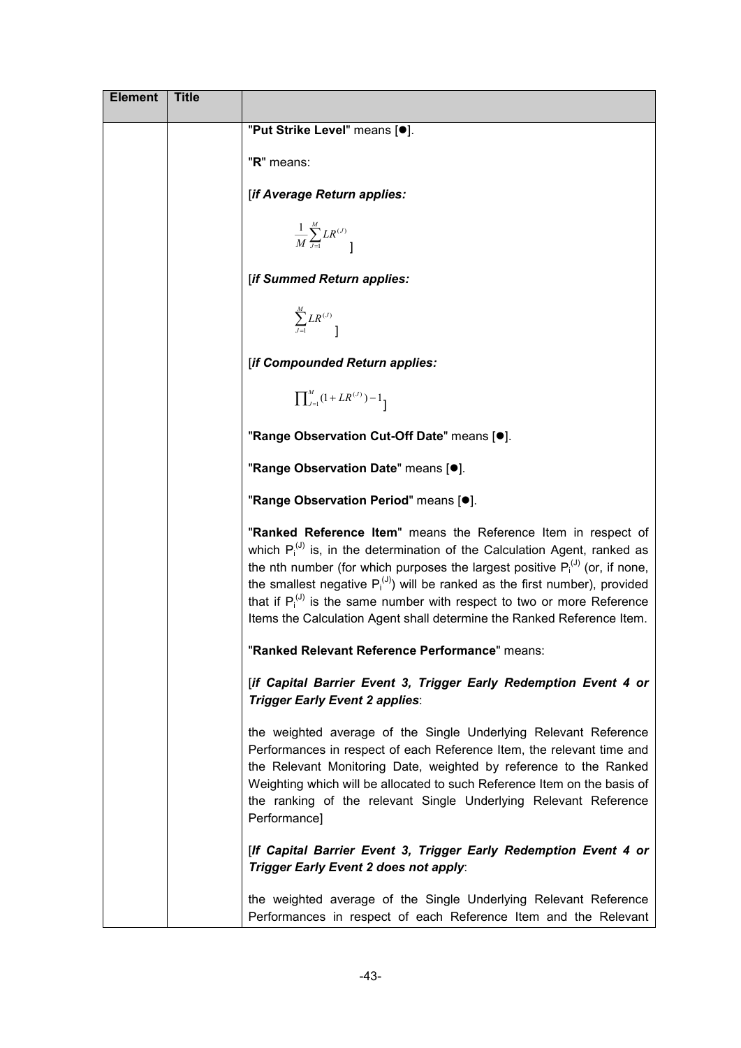| <b>Element</b> | <b>Title</b> |                                                                                                                                                                                                                                                                                                                                                                                                                                                                                      |
|----------------|--------------|--------------------------------------------------------------------------------------------------------------------------------------------------------------------------------------------------------------------------------------------------------------------------------------------------------------------------------------------------------------------------------------------------------------------------------------------------------------------------------------|
|                |              | "Put Strike Level" means [.].                                                                                                                                                                                                                                                                                                                                                                                                                                                        |
|                |              | "R" means:                                                                                                                                                                                                                                                                                                                                                                                                                                                                           |
|                |              | [if Average Return applies:                                                                                                                                                                                                                                                                                                                                                                                                                                                          |
|                |              | $\frac{1}{M}\sum_{j=1}^{M}LR^{(J)}$                                                                                                                                                                                                                                                                                                                                                                                                                                                  |
|                |              | [if Summed Return applies:                                                                                                                                                                                                                                                                                                                                                                                                                                                           |
|                |              | $\sum_{j=1}^{M}LR^{(J)}$                                                                                                                                                                                                                                                                                                                                                                                                                                                             |
|                |              | [if Compounded Return applies:                                                                                                                                                                                                                                                                                                                                                                                                                                                       |
|                |              | $\prod\nolimits_{J=1}^{M}(1+LR^{(J)})-1$                                                                                                                                                                                                                                                                                                                                                                                                                                             |
|                |              | "Range Observation Cut-Off Date" means [.].                                                                                                                                                                                                                                                                                                                                                                                                                                          |
|                |              | "Range Observation Date" means [.].                                                                                                                                                                                                                                                                                                                                                                                                                                                  |
|                |              | "Range Observation Period" means [.].                                                                                                                                                                                                                                                                                                                                                                                                                                                |
|                |              | "Ranked Reference Item" means the Reference Item in respect of<br>which $P_i^{(J)}$ is, in the determination of the Calculation Agent, ranked as<br>the nth number (for which purposes the largest positive $P_i^{(J)}$ (or, if none,<br>the smallest negative $P_i^{(J)}$ ) will be ranked as the first number), provided<br>that if $P_i^{(0)}$ is the same number with respect to two or more Reference<br>Items the Calculation Agent shall determine the Ranked Reference Item. |
|                |              | "Ranked Relevant Reference Performance" means:                                                                                                                                                                                                                                                                                                                                                                                                                                       |
|                |              | [if Capital Barrier Event 3, Trigger Early Redemption Event 4 or<br>Trigger Early Event 2 applies:                                                                                                                                                                                                                                                                                                                                                                                   |
|                |              | the weighted average of the Single Underlying Relevant Reference<br>Performances in respect of each Reference Item, the relevant time and<br>the Relevant Monitoring Date, weighted by reference to the Ranked<br>Weighting which will be allocated to such Reference Item on the basis of<br>the ranking of the relevant Single Underlying Relevant Reference<br>Performance]                                                                                                       |
|                |              | [If Capital Barrier Event 3, Trigger Early Redemption Event 4 or<br>Trigger Early Event 2 does not apply:                                                                                                                                                                                                                                                                                                                                                                            |
|                |              | the weighted average of the Single Underlying Relevant Reference<br>Performances in respect of each Reference Item and the Relevant                                                                                                                                                                                                                                                                                                                                                  |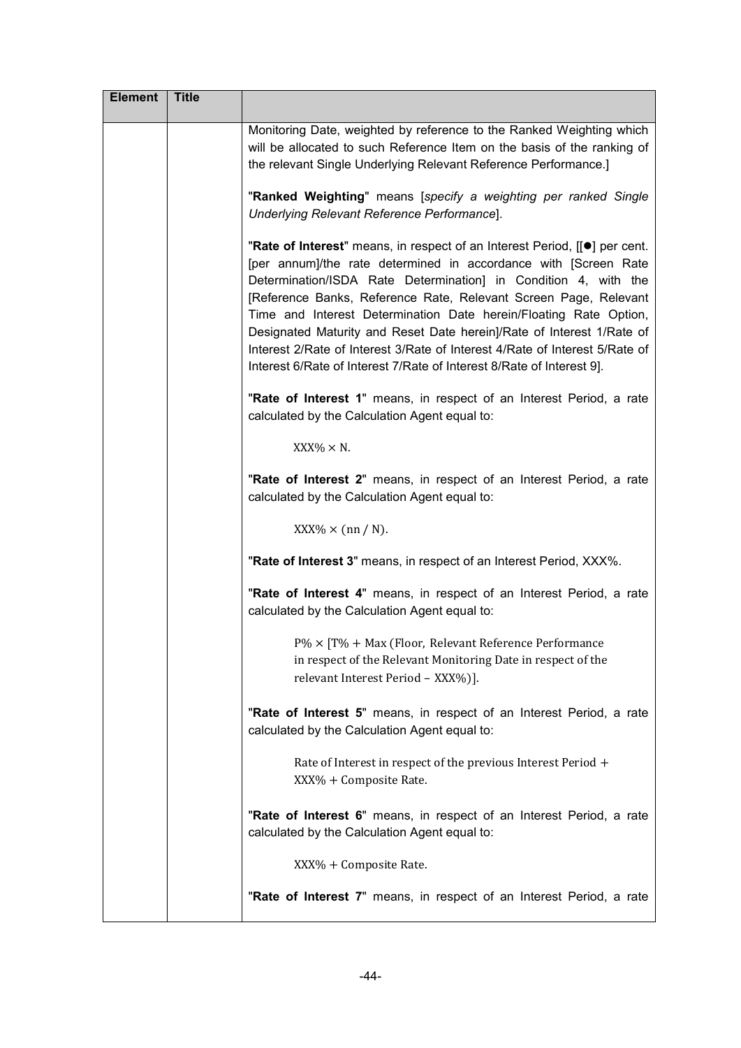| <b>Element</b> | <b>Title</b> |                                                                                                                                                                                                                                                                                                                                                                                                                                                                                                                                                                                            |
|----------------|--------------|--------------------------------------------------------------------------------------------------------------------------------------------------------------------------------------------------------------------------------------------------------------------------------------------------------------------------------------------------------------------------------------------------------------------------------------------------------------------------------------------------------------------------------------------------------------------------------------------|
|                |              | Monitoring Date, weighted by reference to the Ranked Weighting which<br>will be allocated to such Reference Item on the basis of the ranking of<br>the relevant Single Underlying Relevant Reference Performance.]                                                                                                                                                                                                                                                                                                                                                                         |
|                |              | "Ranked Weighting" means [specify a weighting per ranked Single<br>Underlying Relevant Reference Performance].                                                                                                                                                                                                                                                                                                                                                                                                                                                                             |
|                |              | "Rate of Interest" means, in respect of an Interest Period, [[.] per cent.<br>[per annum]/the rate determined in accordance with [Screen Rate<br>Determination/ISDA Rate Determination] in Condition 4, with the<br>[Reference Banks, Reference Rate, Relevant Screen Page, Relevant<br>Time and Interest Determination Date herein/Floating Rate Option,<br>Designated Maturity and Reset Date herein]/Rate of Interest 1/Rate of<br>Interest 2/Rate of Interest 3/Rate of Interest 4/Rate of Interest 5/Rate of<br>Interest 6/Rate of Interest 7/Rate of Interest 8/Rate of Interest 9]. |
|                |              | "Rate of Interest 1" means, in respect of an Interest Period, a rate<br>calculated by the Calculation Agent equal to:                                                                                                                                                                                                                                                                                                                                                                                                                                                                      |
|                |              | $XXX\% \times N$ .                                                                                                                                                                                                                                                                                                                                                                                                                                                                                                                                                                         |
|                |              | "Rate of Interest 2" means, in respect of an Interest Period, a rate<br>calculated by the Calculation Agent equal to:                                                                                                                                                                                                                                                                                                                                                                                                                                                                      |
|                |              | $XXX\% \times (nn/N)$ .                                                                                                                                                                                                                                                                                                                                                                                                                                                                                                                                                                    |
|                |              | "Rate of Interest 3" means, in respect of an Interest Period, XXX%.                                                                                                                                                                                                                                                                                                                                                                                                                                                                                                                        |
|                |              | "Rate of Interest 4" means, in respect of an Interest Period, a rate<br>calculated by the Calculation Agent equal to:                                                                                                                                                                                                                                                                                                                                                                                                                                                                      |
|                |              | $P\% \times [T\% + Max$ (Floor, Relevant Reference Performance<br>in respect of the Relevant Monitoring Date in respect of the<br>relevant Interest Period - XXX%)].                                                                                                                                                                                                                                                                                                                                                                                                                       |
|                |              | "Rate of Interest 5" means, in respect of an Interest Period, a rate<br>calculated by the Calculation Agent equal to:                                                                                                                                                                                                                                                                                                                                                                                                                                                                      |
|                |              | Rate of Interest in respect of the previous Interest Period +<br>XXX% + Composite Rate.                                                                                                                                                                                                                                                                                                                                                                                                                                                                                                    |
|                |              | "Rate of Interest 6" means, in respect of an Interest Period, a rate<br>calculated by the Calculation Agent equal to:                                                                                                                                                                                                                                                                                                                                                                                                                                                                      |
|                |              | XXX% + Composite Rate.                                                                                                                                                                                                                                                                                                                                                                                                                                                                                                                                                                     |
|                |              | "Rate of Interest 7" means, in respect of an Interest Period, a rate                                                                                                                                                                                                                                                                                                                                                                                                                                                                                                                       |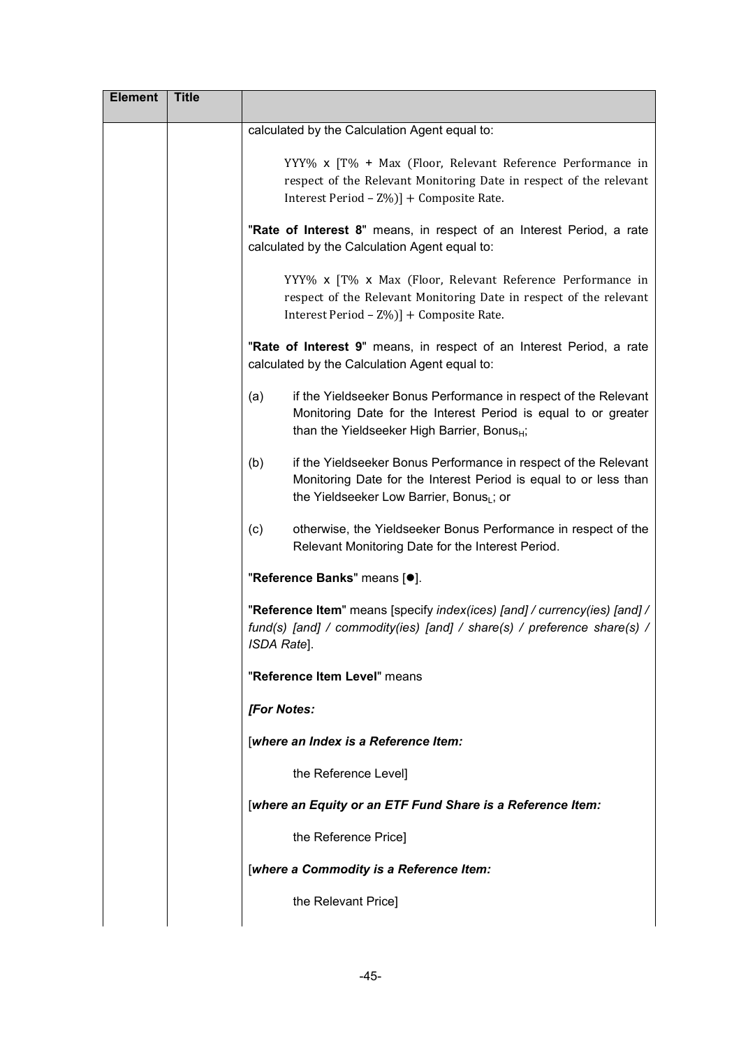| <b>Element</b> | <b>Title</b> |                                                                                                                                                                                                     |
|----------------|--------------|-----------------------------------------------------------------------------------------------------------------------------------------------------------------------------------------------------|
|                |              | calculated by the Calculation Agent equal to:                                                                                                                                                       |
|                |              | YYY% x [T% + Max (Floor, Relevant Reference Performance in<br>respect of the Relevant Monitoring Date in respect of the relevant<br>Interest Period - Z%)] + Composite Rate.                        |
|                |              | "Rate of Interest 8" means, in respect of an Interest Period, a rate<br>calculated by the Calculation Agent equal to:                                                                               |
|                |              | YYY% x [T% x Max (Floor, Relevant Reference Performance in<br>respect of the Relevant Monitoring Date in respect of the relevant<br>Interest Period - Z%)] + Composite Rate.                        |
|                |              | "Rate of Interest 9" means, in respect of an Interest Period, a rate<br>calculated by the Calculation Agent equal to:                                                                               |
|                |              | (a)<br>if the Yieldseeker Bonus Performance in respect of the Relevant<br>Monitoring Date for the Interest Period is equal to or greater<br>than the Yieldseeker High Barrier, Bonus <sub>H</sub> ; |
|                |              | (b)<br>if the Yieldseeker Bonus Performance in respect of the Relevant<br>Monitoring Date for the Interest Period is equal to or less than<br>the Yieldseeker Low Barrier, Bonus <sub>L</sub> ; or  |
|                |              | (c)<br>otherwise, the Yieldseeker Bonus Performance in respect of the<br>Relevant Monitoring Date for the Interest Period.                                                                          |
|                |              | "Reference Banks" means [ <sup>o</sup> ].                                                                                                                                                           |
|                |              | "Reference Item" means [specify index(ices) [and] / currency(ies) [and] /<br>fund(s) [and] / commodity(ies) [and] / share(s) / preference share(s) /<br>ISDA Rate].                                 |
|                |              | "Reference Item Level" means                                                                                                                                                                        |
|                |              | <b>[For Notes:</b>                                                                                                                                                                                  |
|                |              | [where an Index is a Reference Item:                                                                                                                                                                |
|                |              | the Reference Level]                                                                                                                                                                                |
|                |              | [where an Equity or an ETF Fund Share is a Reference Item:                                                                                                                                          |
|                |              | the Reference Price]                                                                                                                                                                                |
|                |              | [where a Commodity is a Reference Item:                                                                                                                                                             |
|                |              | the Relevant Price]                                                                                                                                                                                 |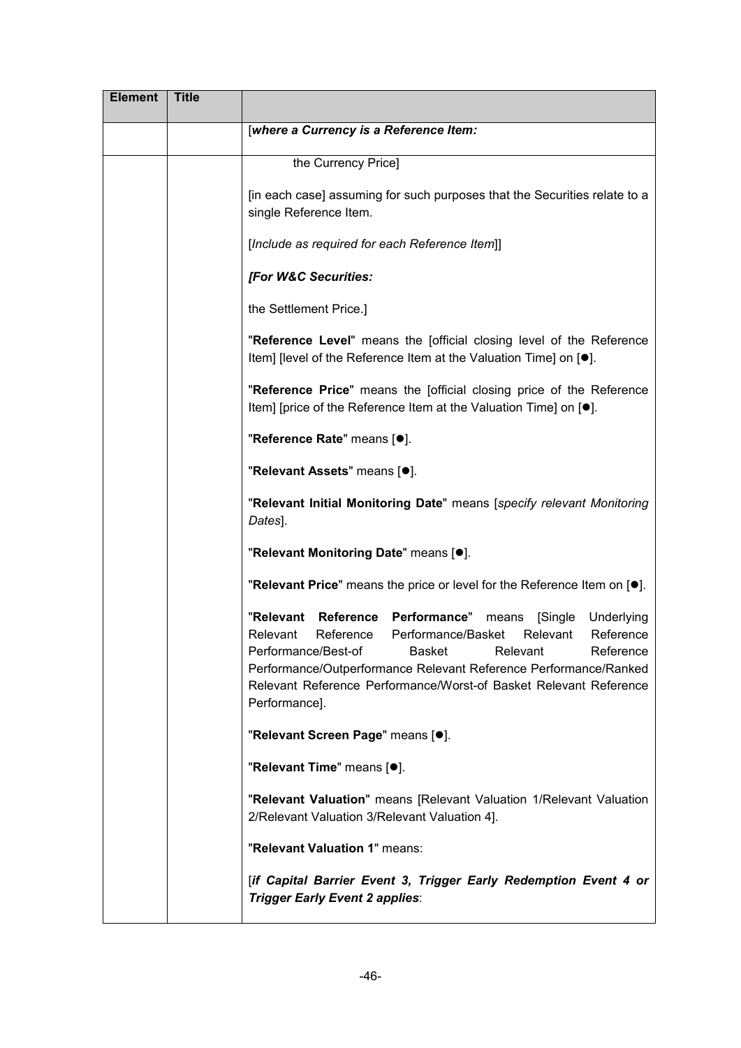| <b>Element</b> | <b>Title</b> |                                                                                                                                                                                                                                                                                                                                                                       |
|----------------|--------------|-----------------------------------------------------------------------------------------------------------------------------------------------------------------------------------------------------------------------------------------------------------------------------------------------------------------------------------------------------------------------|
|                |              | [where a Currency is a Reference Item:                                                                                                                                                                                                                                                                                                                                |
|                |              | the Currency Price]                                                                                                                                                                                                                                                                                                                                                   |
|                |              | [in each case] assuming for such purposes that the Securities relate to a<br>single Reference Item.                                                                                                                                                                                                                                                                   |
|                |              | [Include as required for each Reference Item]]                                                                                                                                                                                                                                                                                                                        |
|                |              | [For W&C Securities:                                                                                                                                                                                                                                                                                                                                                  |
|                |              | the Settlement Price.]                                                                                                                                                                                                                                                                                                                                                |
|                |              | "Reference Level" means the [official closing level of the Reference<br>Item] [level of the Reference Item at the Valuation Time] on [●].                                                                                                                                                                                                                             |
|                |              | "Reference Price" means the [official closing price of the Reference<br>Item] [price of the Reference Item at the Valuation Time] on [●].                                                                                                                                                                                                                             |
|                |              | "Reference Rate" means [ $\bullet$ ].                                                                                                                                                                                                                                                                                                                                 |
|                |              | "Relevant Assets" means [.].                                                                                                                                                                                                                                                                                                                                          |
|                |              | "Relevant Initial Monitoring Date" means [specify relevant Monitoring<br>Dates].                                                                                                                                                                                                                                                                                      |
|                |              | "Relevant Monitoring Date" means [.].                                                                                                                                                                                                                                                                                                                                 |
|                |              | "Relevant Price" means the price or level for the Reference Item on [ $\bullet$ ].                                                                                                                                                                                                                                                                                    |
|                |              | "Relevant Reference Performance"<br>[Single<br>Underlying<br>means<br>Reference<br>Relevant<br>Reference<br>Relevant<br>Performance/Basket<br>Performance/Best-of<br><b>Basket</b><br>Relevant<br>Reference<br>Performance/Outperformance Relevant Reference Performance/Ranked<br>Relevant Reference Performance/Worst-of Basket Relevant Reference<br>Performance]. |
|                |              | "Relevant Screen Page" means [ <sup>o</sup> ].                                                                                                                                                                                                                                                                                                                        |
|                |              | "Relevant Time" means [ <sup>o</sup> ].                                                                                                                                                                                                                                                                                                                               |
|                |              | "Relevant Valuation" means [Relevant Valuation 1/Relevant Valuation<br>2/Relevant Valuation 3/Relevant Valuation 4].                                                                                                                                                                                                                                                  |
|                |              | "Relevant Valuation 1" means:                                                                                                                                                                                                                                                                                                                                         |
|                |              | [if Capital Barrier Event 3, Trigger Early Redemption Event 4 or<br>Trigger Early Event 2 applies:                                                                                                                                                                                                                                                                    |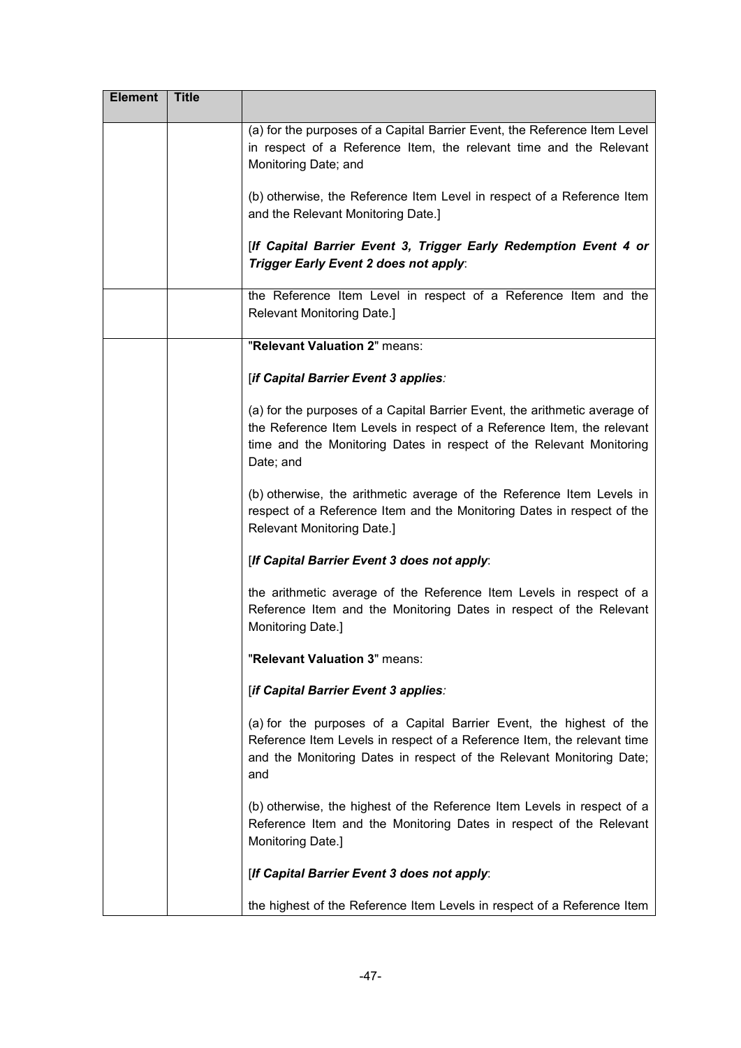| <b>Element</b> | <b>Title</b> |                                                                                                                                                                                                                                          |
|----------------|--------------|------------------------------------------------------------------------------------------------------------------------------------------------------------------------------------------------------------------------------------------|
|                |              | (a) for the purposes of a Capital Barrier Event, the Reference Item Level<br>in respect of a Reference Item, the relevant time and the Relevant<br>Monitoring Date; and                                                                  |
|                |              | (b) otherwise, the Reference Item Level in respect of a Reference Item<br>and the Relevant Monitoring Date.]                                                                                                                             |
|                |              | [If Capital Barrier Event 3, Trigger Early Redemption Event 4 or<br>Trigger Early Event 2 does not apply:                                                                                                                                |
|                |              | the Reference Item Level in respect of a Reference Item and the<br>Relevant Monitoring Date.]                                                                                                                                            |
|                |              | "Relevant Valuation 2" means:                                                                                                                                                                                                            |
|                |              | [if Capital Barrier Event 3 applies:                                                                                                                                                                                                     |
|                |              | (a) for the purposes of a Capital Barrier Event, the arithmetic average of<br>the Reference Item Levels in respect of a Reference Item, the relevant<br>time and the Monitoring Dates in respect of the Relevant Monitoring<br>Date; and |
|                |              | (b) otherwise, the arithmetic average of the Reference Item Levels in<br>respect of a Reference Item and the Monitoring Dates in respect of the<br>Relevant Monitoring Date.]                                                            |
|                |              | [If Capital Barrier Event 3 does not apply:                                                                                                                                                                                              |
|                |              | the arithmetic average of the Reference Item Levels in respect of a<br>Reference Item and the Monitoring Dates in respect of the Relevant<br>Monitoring Date.]                                                                           |
|                |              | "Relevant Valuation 3" means:                                                                                                                                                                                                            |
|                |              | [if Capital Barrier Event 3 applies:                                                                                                                                                                                                     |
|                |              | (a) for the purposes of a Capital Barrier Event, the highest of the<br>Reference Item Levels in respect of a Reference Item, the relevant time<br>and the Monitoring Dates in respect of the Relevant Monitoring Date;<br>and            |
|                |              | (b) otherwise, the highest of the Reference Item Levels in respect of a<br>Reference Item and the Monitoring Dates in respect of the Relevant<br>Monitoring Date.]                                                                       |
|                |              | [If Capital Barrier Event 3 does not apply:                                                                                                                                                                                              |
|                |              | the highest of the Reference Item Levels in respect of a Reference Item                                                                                                                                                                  |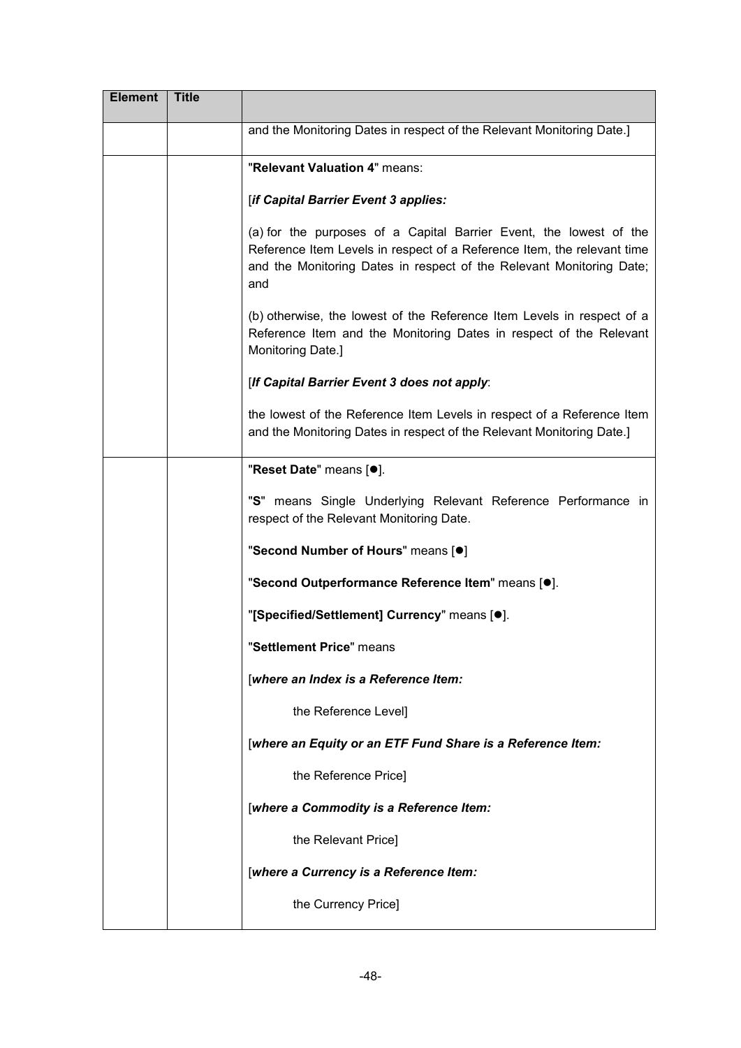| <b>Element</b> | <b>Title</b> |                                                                                                                                                                                                                              |
|----------------|--------------|------------------------------------------------------------------------------------------------------------------------------------------------------------------------------------------------------------------------------|
|                |              | and the Monitoring Dates in respect of the Relevant Monitoring Date.]                                                                                                                                                        |
|                |              | "Relevant Valuation 4" means:                                                                                                                                                                                                |
|                |              | [if Capital Barrier Event 3 applies:                                                                                                                                                                                         |
|                |              | (a) for the purposes of a Capital Barrier Event, the lowest of the<br>Reference Item Levels in respect of a Reference Item, the relevant time<br>and the Monitoring Dates in respect of the Relevant Monitoring Date;<br>and |
|                |              | (b) otherwise, the lowest of the Reference Item Levels in respect of a<br>Reference Item and the Monitoring Dates in respect of the Relevant<br>Monitoring Date.]                                                            |
|                |              | [If Capital Barrier Event 3 does not apply:                                                                                                                                                                                  |
|                |              | the lowest of the Reference Item Levels in respect of a Reference Item<br>and the Monitoring Dates in respect of the Relevant Monitoring Date.]                                                                              |
|                |              | "Reset Date" means [ <sup>o</sup> ].                                                                                                                                                                                         |
|                |              | "S" means Single Underlying Relevant Reference Performance in<br>respect of the Relevant Monitoring Date.                                                                                                                    |
|                |              | "Second Number of Hours" means [ <sup>o</sup> ]                                                                                                                                                                              |
|                |              | "Second Outperformance Reference Item" means [.].                                                                                                                                                                            |
|                |              | "[Specified/Settlement] Currency" means [.].                                                                                                                                                                                 |
|                |              | "Settlement Price" means                                                                                                                                                                                                     |
|                |              | [where an Index is a Reference Item:                                                                                                                                                                                         |
|                |              | the Reference Level]                                                                                                                                                                                                         |
|                |              | [where an Equity or an ETF Fund Share is a Reference Item:                                                                                                                                                                   |
|                |              | the Reference Price]                                                                                                                                                                                                         |
|                |              | [where a Commodity is a Reference Item:                                                                                                                                                                                      |
|                |              | the Relevant Price]                                                                                                                                                                                                          |
|                |              | [where a Currency is a Reference Item:                                                                                                                                                                                       |
|                |              | the Currency Price]                                                                                                                                                                                                          |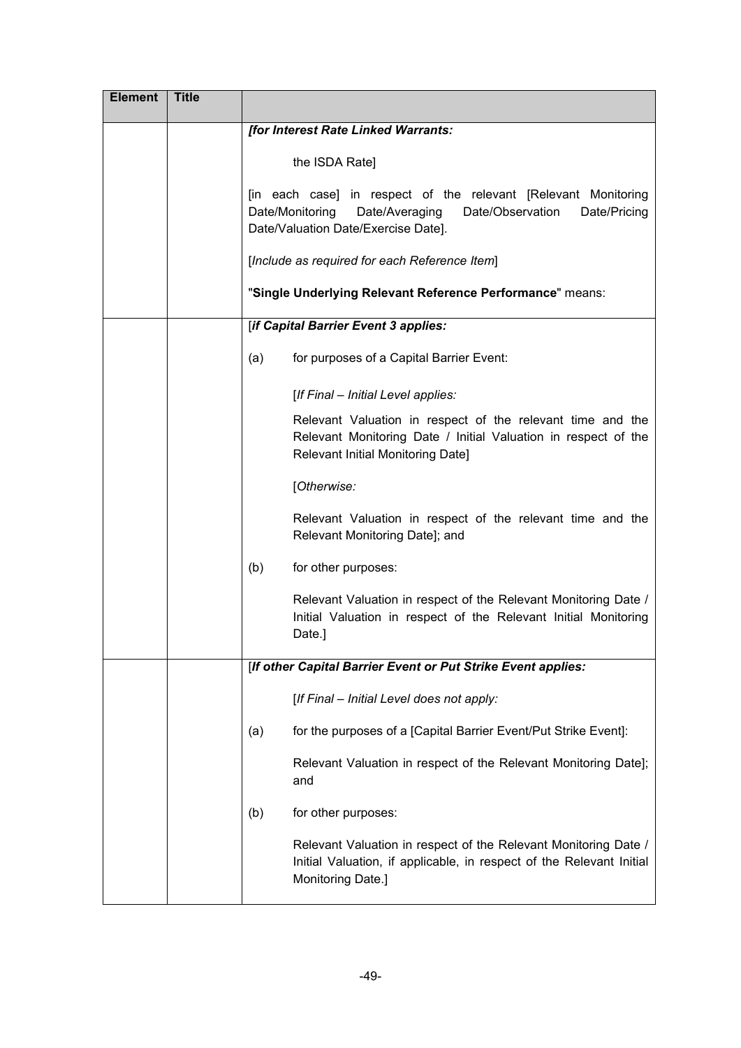| <b>Element</b> | <b>Title</b> |                                                                                                                                                                                |
|----------------|--------------|--------------------------------------------------------------------------------------------------------------------------------------------------------------------------------|
|                |              | [for Interest Rate Linked Warrants:                                                                                                                                            |
|                |              | the ISDA Rate]                                                                                                                                                                 |
|                |              | [in each case] in respect of the relevant [Relevant Monitoring<br>Date/Monitoring<br>Date/Observation<br>Date/Averaging<br>Date/Pricing<br>Date/Valuation Date/Exercise Date]. |
|                |              | [Include as required for each Reference Item]                                                                                                                                  |
|                |              | "Single Underlying Relevant Reference Performance" means:                                                                                                                      |
|                |              | [if Capital Barrier Event 3 applies:                                                                                                                                           |
|                |              | for purposes of a Capital Barrier Event:<br>(a)                                                                                                                                |
|                |              | [If Final - Initial Level applies:                                                                                                                                             |
|                |              | Relevant Valuation in respect of the relevant time and the<br>Relevant Monitoring Date / Initial Valuation in respect of the<br>Relevant Initial Monitoring Date]              |
|                |              | [Otherwise:                                                                                                                                                                    |
|                |              | Relevant Valuation in respect of the relevant time and the<br>Relevant Monitoring Date]; and                                                                                   |
|                |              | for other purposes:<br>(b)                                                                                                                                                     |
|                |              | Relevant Valuation in respect of the Relevant Monitoring Date /<br>Initial Valuation in respect of the Relevant Initial Monitoring<br>Date.]                                   |
|                |              | [If other Capital Barrier Event or Put Strike Event applies:                                                                                                                   |
|                |              | [If Final - Initial Level does not apply:                                                                                                                                      |
|                |              | for the purposes of a [Capital Barrier Event/Put Strike Event]:<br>(a)                                                                                                         |
|                |              | Relevant Valuation in respect of the Relevant Monitoring Date];<br>and                                                                                                         |
|                |              | (b)<br>for other purposes:                                                                                                                                                     |
|                |              | Relevant Valuation in respect of the Relevant Monitoring Date /<br>Initial Valuation, if applicable, in respect of the Relevant Initial<br>Monitoring Date.]                   |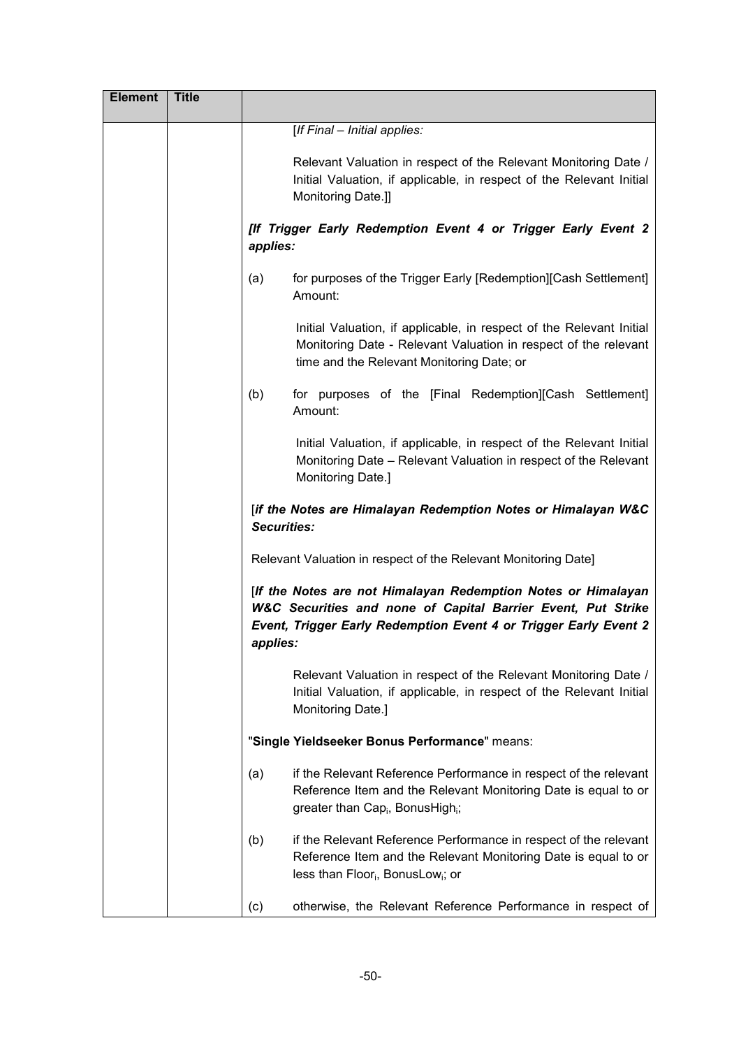| <b>Element</b> | <b>Title</b> |                                                                                                                                                                                                               |
|----------------|--------------|---------------------------------------------------------------------------------------------------------------------------------------------------------------------------------------------------------------|
|                |              | [If Final - Initial applies:                                                                                                                                                                                  |
|                |              | Relevant Valuation in respect of the Relevant Monitoring Date /<br>Initial Valuation, if applicable, in respect of the Relevant Initial<br>Monitoring Date.]]                                                 |
|                |              | [If Trigger Early Redemption Event 4 or Trigger Early Event 2<br>applies:                                                                                                                                     |
|                |              | for purposes of the Trigger Early [Redemption][Cash Settlement]<br>(a)<br>Amount:                                                                                                                             |
|                |              | Initial Valuation, if applicable, in respect of the Relevant Initial<br>Monitoring Date - Relevant Valuation in respect of the relevant<br>time and the Relevant Monitoring Date; or                          |
|                |              | for purposes of the [Final Redemption][Cash Settlement]<br>(b)<br>Amount:                                                                                                                                     |
|                |              | Initial Valuation, if applicable, in respect of the Relevant Initial<br>Monitoring Date – Relevant Valuation in respect of the Relevant<br>Monitoring Date.]                                                  |
|                |              | [if the Notes are Himalayan Redemption Notes or Himalayan W&C<br><b>Securities:</b>                                                                                                                           |
|                |              | Relevant Valuation in respect of the Relevant Monitoring Date]                                                                                                                                                |
|                |              | [If the Notes are not Himalayan Redemption Notes or Himalayan<br>W&C Securities and none of Capital Barrier Event, Put Strike<br>Event, Trigger Early Redemption Event 4 or Trigger Early Event 2<br>applies: |
|                |              | Relevant Valuation in respect of the Relevant Monitoring Date /<br>Initial Valuation, if applicable, in respect of the Relevant Initial<br>Monitoring Date.]                                                  |
|                |              | "Single Yieldseeker Bonus Performance" means:                                                                                                                                                                 |
|                |              | if the Relevant Reference Performance in respect of the relevant<br>(a)<br>Reference Item and the Relevant Monitoring Date is equal to or<br>greater than Cap <sub>i</sub> , BonusHigh <sub>i</sub> ;         |
|                |              | if the Relevant Reference Performance in respect of the relevant<br>(b)<br>Reference Item and the Relevant Monitoring Date is equal to or<br>less than Floor <sub>i</sub> , BonusLow <sub>i</sub> ; or        |
|                |              | otherwise, the Relevant Reference Performance in respect of<br>(c)                                                                                                                                            |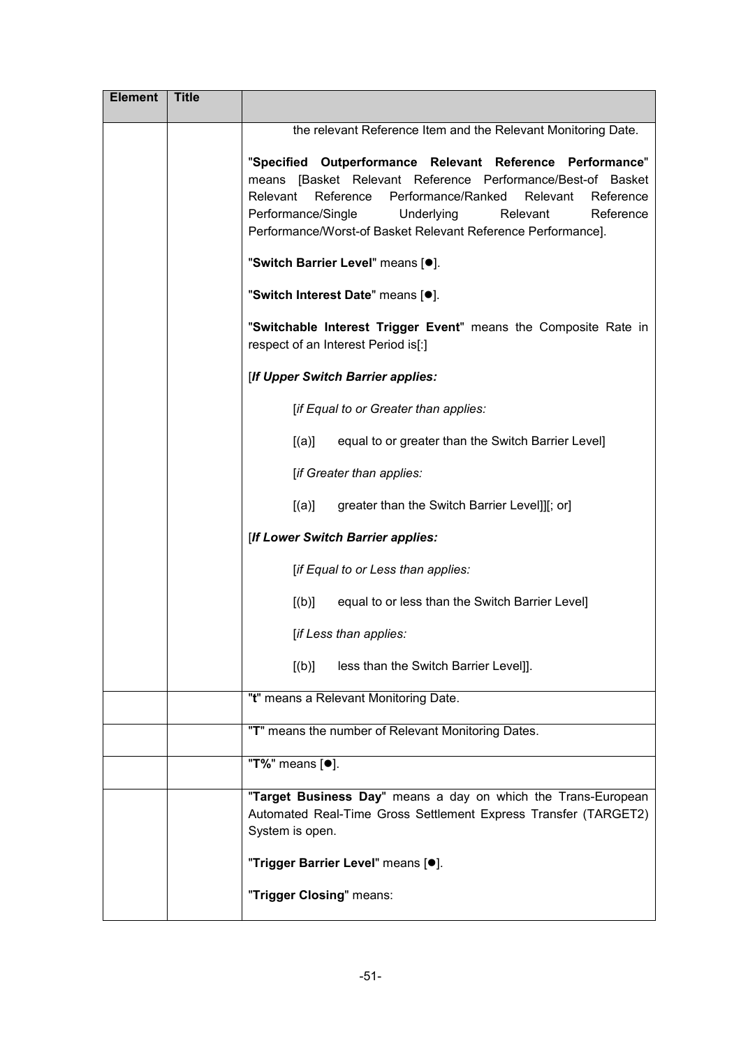| <b>Element</b> | <b>Title</b> |                                                                                                                                                                                                                                                                                                                               |
|----------------|--------------|-------------------------------------------------------------------------------------------------------------------------------------------------------------------------------------------------------------------------------------------------------------------------------------------------------------------------------|
|                |              | the relevant Reference Item and the Relevant Monitoring Date.                                                                                                                                                                                                                                                                 |
|                |              | "Specified Outperformance Relevant Reference Performance"<br>means [Basket Relevant Reference Performance/Best-of Basket<br>Relevant<br>Reference<br>Performance/Ranked<br>Relevant<br>Reference<br>Performance/Single<br>Underlying<br>Relevant<br>Reference<br>Performance/Worst-of Basket Relevant Reference Performance]. |
|                |              | "Switch Barrier Level" means [ <sup>o</sup> ].                                                                                                                                                                                                                                                                                |
|                |              | "Switch Interest Date" means [ <sup>o</sup> ].                                                                                                                                                                                                                                                                                |
|                |              | "Switchable Interest Trigger Event" means the Composite Rate in<br>respect of an Interest Period is[:]                                                                                                                                                                                                                        |
|                |              | [If Upper Switch Barrier applies:                                                                                                                                                                                                                                                                                             |
|                |              | [if Equal to or Greater than applies:                                                                                                                                                                                                                                                                                         |
|                |              | [(a)]<br>equal to or greater than the Switch Barrier Level]                                                                                                                                                                                                                                                                   |
|                |              | [if Greater than applies:                                                                                                                                                                                                                                                                                                     |
|                |              | [(a)]<br>greater than the Switch Barrier Level]][; or]                                                                                                                                                                                                                                                                        |
|                |              | [If Lower Switch Barrier applies:                                                                                                                                                                                                                                                                                             |
|                |              | [if Equal to or Less than applies:                                                                                                                                                                                                                                                                                            |
|                |              | [(b)]<br>equal to or less than the Switch Barrier Level]                                                                                                                                                                                                                                                                      |
|                |              | [if Less than applies:                                                                                                                                                                                                                                                                                                        |
|                |              | [(b)]<br>less than the Switch Barrier Level]].                                                                                                                                                                                                                                                                                |
|                |              | "t" means a Relevant Monitoring Date.                                                                                                                                                                                                                                                                                         |
|                |              | "T" means the number of Relevant Monitoring Dates.                                                                                                                                                                                                                                                                            |
|                |              | "T%" means [ <sup>●</sup> ].                                                                                                                                                                                                                                                                                                  |
|                |              | "Target Business Day" means a day on which the Trans-European<br>Automated Real-Time Gross Settlement Express Transfer (TARGET2)<br>System is open.                                                                                                                                                                           |
|                |              | "Trigger Barrier Level" means [ <sup>o</sup> ].                                                                                                                                                                                                                                                                               |
|                |              | "Trigger Closing" means:                                                                                                                                                                                                                                                                                                      |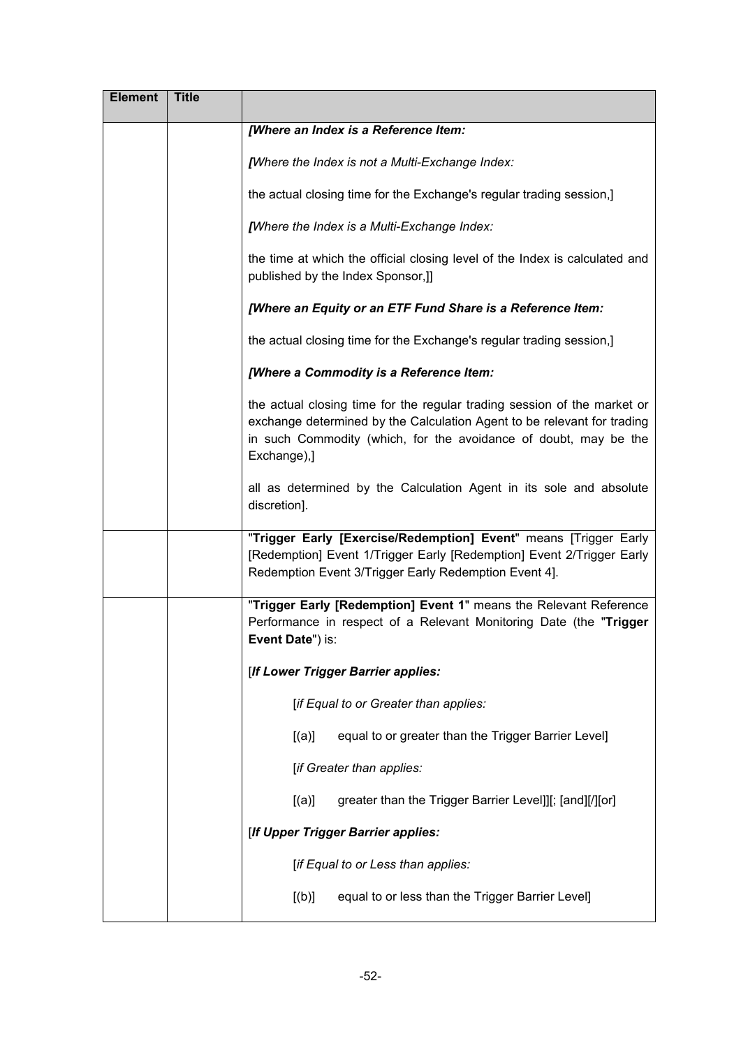| <b>Element</b> | <b>Title</b> |                                                                                                                                                                                                                                        |
|----------------|--------------|----------------------------------------------------------------------------------------------------------------------------------------------------------------------------------------------------------------------------------------|
|                |              | [Where an Index is a Reference Item:                                                                                                                                                                                                   |
|                |              | [Where the Index is not a Multi-Exchange Index:                                                                                                                                                                                        |
|                |              | the actual closing time for the Exchange's regular trading session,]                                                                                                                                                                   |
|                |              | [Where the Index is a Multi-Exchange Index:                                                                                                                                                                                            |
|                |              | the time at which the official closing level of the Index is calculated and<br>published by the Index Sponsor,]]                                                                                                                       |
|                |              | [Where an Equity or an ETF Fund Share is a Reference Item:                                                                                                                                                                             |
|                |              | the actual closing time for the Exchange's regular trading session,]                                                                                                                                                                   |
|                |              | [Where a Commodity is a Reference Item:                                                                                                                                                                                                |
|                |              | the actual closing time for the regular trading session of the market or<br>exchange determined by the Calculation Agent to be relevant for trading<br>in such Commodity (which, for the avoidance of doubt, may be the<br>Exchange),] |
|                |              | all as determined by the Calculation Agent in its sole and absolute<br>discretion].                                                                                                                                                    |
|                |              | "Trigger Early [Exercise/Redemption] Event" means [Trigger Early<br>[Redemption] Event 1/Trigger Early [Redemption] Event 2/Trigger Early<br>Redemption Event 3/Trigger Early Redemption Event 4].                                     |
|                |              | "Trigger Early [Redemption] Event 1" means the Relevant Reference<br>Performance in respect of a Relevant Monitoring Date (the "Trigger<br>Event Date") is:                                                                            |
|                |              | [If Lower Trigger Barrier applies:                                                                                                                                                                                                     |
|                |              | [if Equal to or Greater than applies:                                                                                                                                                                                                  |
|                |              | equal to or greater than the Trigger Barrier Level]<br>[(a)]                                                                                                                                                                           |
|                |              | [if Greater than applies:                                                                                                                                                                                                              |
|                |              | greater than the Trigger Barrier Level]][; [and][/][or]<br>[(a)]                                                                                                                                                                       |
|                |              | [If Upper Trigger Barrier applies:                                                                                                                                                                                                     |
|                |              | [if Equal to or Less than applies:                                                                                                                                                                                                     |
|                |              | equal to or less than the Trigger Barrier Level]<br>[(b)]                                                                                                                                                                              |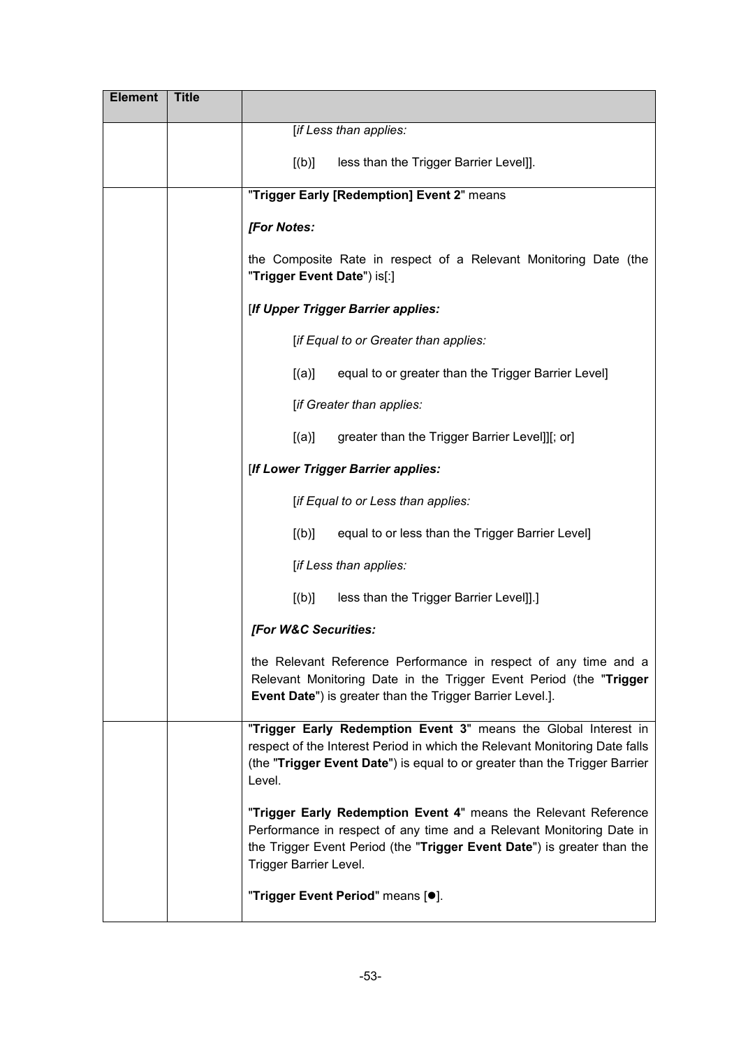| <b>Element</b> | <b>Title</b> |                                                                                                                                                                                                                                              |
|----------------|--------------|----------------------------------------------------------------------------------------------------------------------------------------------------------------------------------------------------------------------------------------------|
|                |              | [if Less than applies:                                                                                                                                                                                                                       |
|                |              | less than the Trigger Barrier Level]].<br>[(b)]                                                                                                                                                                                              |
|                |              | "Trigger Early [Redemption] Event 2" means                                                                                                                                                                                                   |
|                |              | [For Notes:                                                                                                                                                                                                                                  |
|                |              | the Composite Rate in respect of a Relevant Monitoring Date (the<br>"Trigger Event Date") is[:]                                                                                                                                              |
|                |              | [If Upper Trigger Barrier applies:                                                                                                                                                                                                           |
|                |              | [if Equal to or Greater than applies:                                                                                                                                                                                                        |
|                |              | [(a)]<br>equal to or greater than the Trigger Barrier Level]                                                                                                                                                                                 |
|                |              | [if Greater than applies:                                                                                                                                                                                                                    |
|                |              | [(a)]<br>greater than the Trigger Barrier Level]][; or]                                                                                                                                                                                      |
|                |              | [If Lower Trigger Barrier applies:                                                                                                                                                                                                           |
|                |              | [if Equal to or Less than applies:                                                                                                                                                                                                           |
|                |              | [(b)]<br>equal to or less than the Trigger Barrier Level]                                                                                                                                                                                    |
|                |              | [if Less than applies:                                                                                                                                                                                                                       |
|                |              | [(b)]<br>less than the Trigger Barrier Level]].]                                                                                                                                                                                             |
|                |              | [For W&C Securities:                                                                                                                                                                                                                         |
|                |              | the Relevant Reference Performance in respect of any time and a<br>Relevant Monitoring Date in the Trigger Event Period (the "Trigger<br>Event Date") is greater than the Trigger Barrier Level.].                                           |
|                |              | "Trigger Early Redemption Event 3" means the Global Interest in<br>respect of the Interest Period in which the Relevant Monitoring Date falls<br>(the "Trigger Event Date") is equal to or greater than the Trigger Barrier<br>Level.        |
|                |              | "Trigger Early Redemption Event 4" means the Relevant Reference<br>Performance in respect of any time and a Relevant Monitoring Date in<br>the Trigger Event Period (the "Trigger Event Date") is greater than the<br>Trigger Barrier Level. |
|                |              | "Trigger Event Period" means [ <sup>o</sup> ].                                                                                                                                                                                               |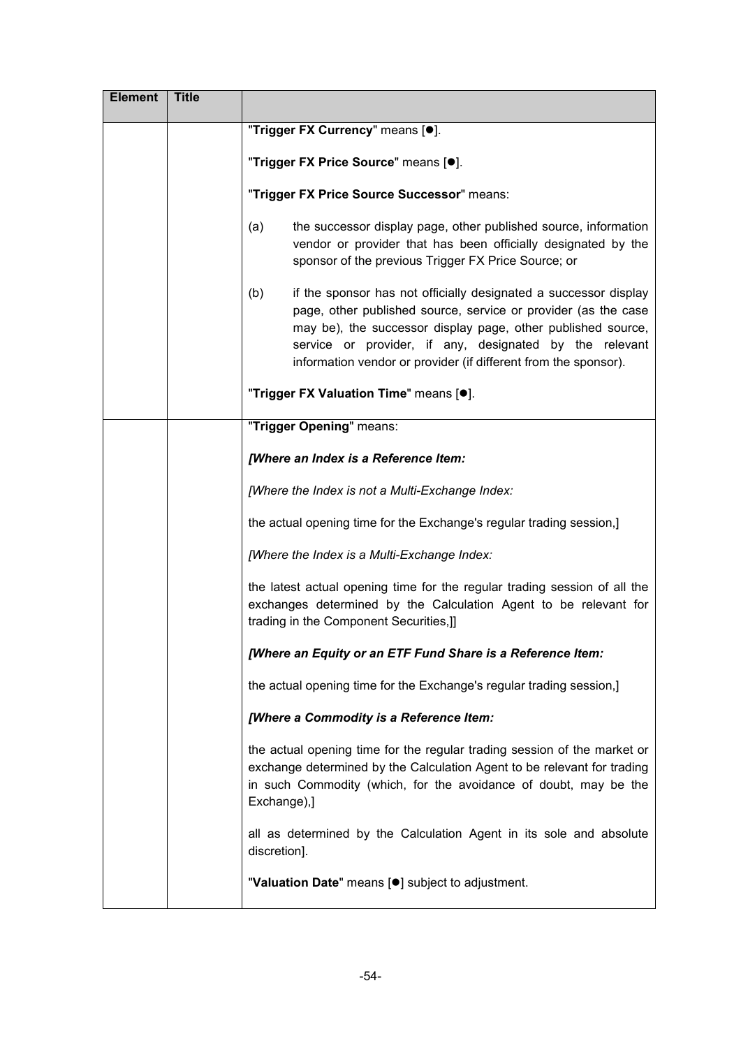| <b>Element</b> | <b>Title</b> |                                                                                                                                                                                                                                                                                                                                         |
|----------------|--------------|-----------------------------------------------------------------------------------------------------------------------------------------------------------------------------------------------------------------------------------------------------------------------------------------------------------------------------------------|
|                |              | "Trigger FX Currency" means [ <sup>o</sup> ].                                                                                                                                                                                                                                                                                           |
|                |              | "Trigger FX Price Source" means [.].                                                                                                                                                                                                                                                                                                    |
|                |              | "Trigger FX Price Source Successor" means:                                                                                                                                                                                                                                                                                              |
|                |              | (a)<br>the successor display page, other published source, information<br>vendor or provider that has been officially designated by the<br>sponsor of the previous Trigger FX Price Source; or                                                                                                                                          |
|                |              | (b)<br>if the sponsor has not officially designated a successor display<br>page, other published source, service or provider (as the case<br>may be), the successor display page, other published source,<br>service or provider, if any, designated by the relevant<br>information vendor or provider (if different from the sponsor). |
|                |              | "Trigger FX Valuation Time" means [.].                                                                                                                                                                                                                                                                                                  |
|                |              | "Trigger Opening" means:                                                                                                                                                                                                                                                                                                                |
|                |              | [Where an Index is a Reference Item:                                                                                                                                                                                                                                                                                                    |
|                |              | [Where the Index is not a Multi-Exchange Index:                                                                                                                                                                                                                                                                                         |
|                |              | the actual opening time for the Exchange's regular trading session,]                                                                                                                                                                                                                                                                    |
|                |              | [Where the Index is a Multi-Exchange Index:                                                                                                                                                                                                                                                                                             |
|                |              | the latest actual opening time for the regular trading session of all the<br>exchanges determined by the Calculation Agent to be relevant for<br>trading in the Component Securities,]]                                                                                                                                                 |
|                |              | [Where an Equity or an ETF Fund Share is a Reference Item:                                                                                                                                                                                                                                                                              |
|                |              | the actual opening time for the Exchange's regular trading session,]                                                                                                                                                                                                                                                                    |
|                |              | [Where a Commodity is a Reference Item:                                                                                                                                                                                                                                                                                                 |
|                |              | the actual opening time for the regular trading session of the market or<br>exchange determined by the Calculation Agent to be relevant for trading<br>in such Commodity (which, for the avoidance of doubt, may be the<br>Exchange),]                                                                                                  |
|                |              | all as determined by the Calculation Agent in its sole and absolute<br>discretion].                                                                                                                                                                                                                                                     |
|                |              | "Valuation Date" means [ <sup>•</sup> ] subject to adjustment.                                                                                                                                                                                                                                                                          |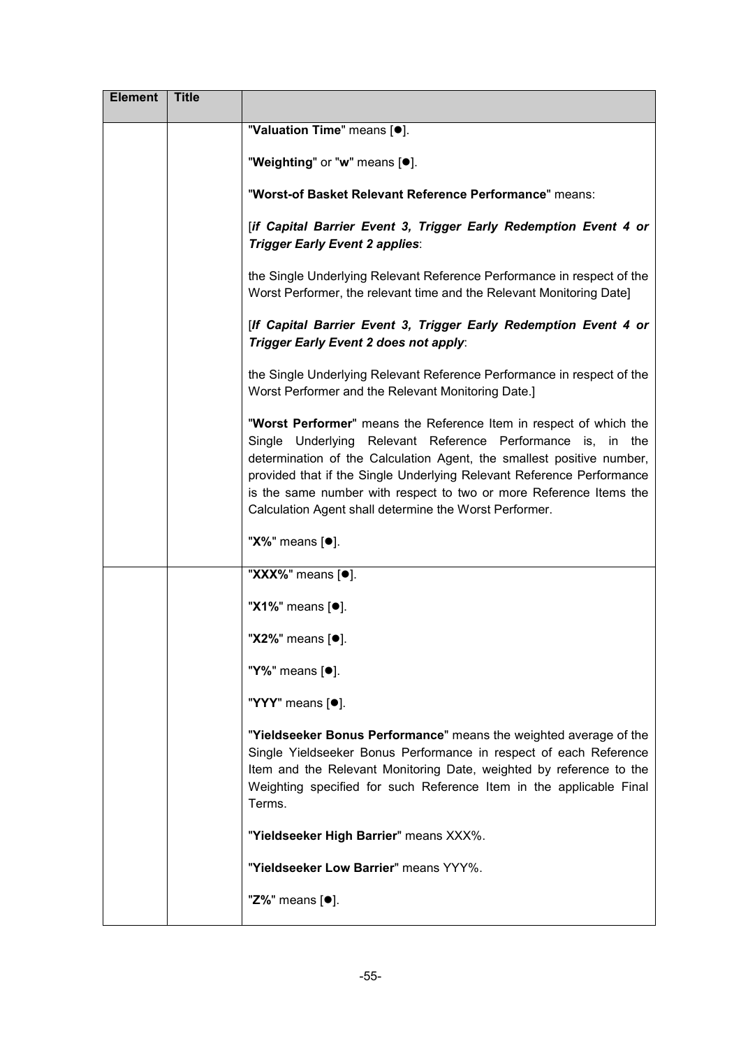| <b>Element</b> | <b>Title</b> |                                                                                                                                                                                                                                                                                                                                                                                                                     |
|----------------|--------------|---------------------------------------------------------------------------------------------------------------------------------------------------------------------------------------------------------------------------------------------------------------------------------------------------------------------------------------------------------------------------------------------------------------------|
|                |              | "Valuation Time" means [.].                                                                                                                                                                                                                                                                                                                                                                                         |
|                |              | "Weighting" or "w" means [ $\bullet$ ].                                                                                                                                                                                                                                                                                                                                                                             |
|                |              | "Worst-of Basket Relevant Reference Performance" means:                                                                                                                                                                                                                                                                                                                                                             |
|                |              | [if Capital Barrier Event 3, Trigger Early Redemption Event 4 or<br>Trigger Early Event 2 applies:                                                                                                                                                                                                                                                                                                                  |
|                |              | the Single Underlying Relevant Reference Performance in respect of the<br>Worst Performer, the relevant time and the Relevant Monitoring Date]                                                                                                                                                                                                                                                                      |
|                |              | [If Capital Barrier Event 3, Trigger Early Redemption Event 4 or<br>Trigger Early Event 2 does not apply:                                                                                                                                                                                                                                                                                                           |
|                |              | the Single Underlying Relevant Reference Performance in respect of the<br>Worst Performer and the Relevant Monitoring Date.]                                                                                                                                                                                                                                                                                        |
|                |              | "Worst Performer" means the Reference Item in respect of which the<br>Single Underlying Relevant Reference Performance is, in the<br>determination of the Calculation Agent, the smallest positive number,<br>provided that if the Single Underlying Relevant Reference Performance<br>is the same number with respect to two or more Reference Items the<br>Calculation Agent shall determine the Worst Performer. |
|                |              | "X%" means [ <sup>●</sup> ].                                                                                                                                                                                                                                                                                                                                                                                        |
|                |              | " $\overline{\text{XXX}\%}$ " means [ $\bullet$ ].                                                                                                                                                                                                                                                                                                                                                                  |
|                |              | "X1%" means [ <sup>●</sup> ].                                                                                                                                                                                                                                                                                                                                                                                       |
|                |              | "X2%" means [ <sup>●</sup> ].                                                                                                                                                                                                                                                                                                                                                                                       |
|                |              | "Y%" means [ <sup>●</sup> ].                                                                                                                                                                                                                                                                                                                                                                                        |
|                |              | "YYY" means [ <sup>•</sup> ].                                                                                                                                                                                                                                                                                                                                                                                       |
|                |              | "Yieldseeker Bonus Performance" means the weighted average of the<br>Single Yieldseeker Bonus Performance in respect of each Reference<br>Item and the Relevant Monitoring Date, weighted by reference to the<br>Weighting specified for such Reference Item in the applicable Final<br>Terms.                                                                                                                      |
|                |              | "Yieldseeker High Barrier" means XXX%.                                                                                                                                                                                                                                                                                                                                                                              |
|                |              | "Yieldseeker Low Barrier" means YYY%.                                                                                                                                                                                                                                                                                                                                                                               |
|                |              | "Z%" means [ <sup>●</sup> ].                                                                                                                                                                                                                                                                                                                                                                                        |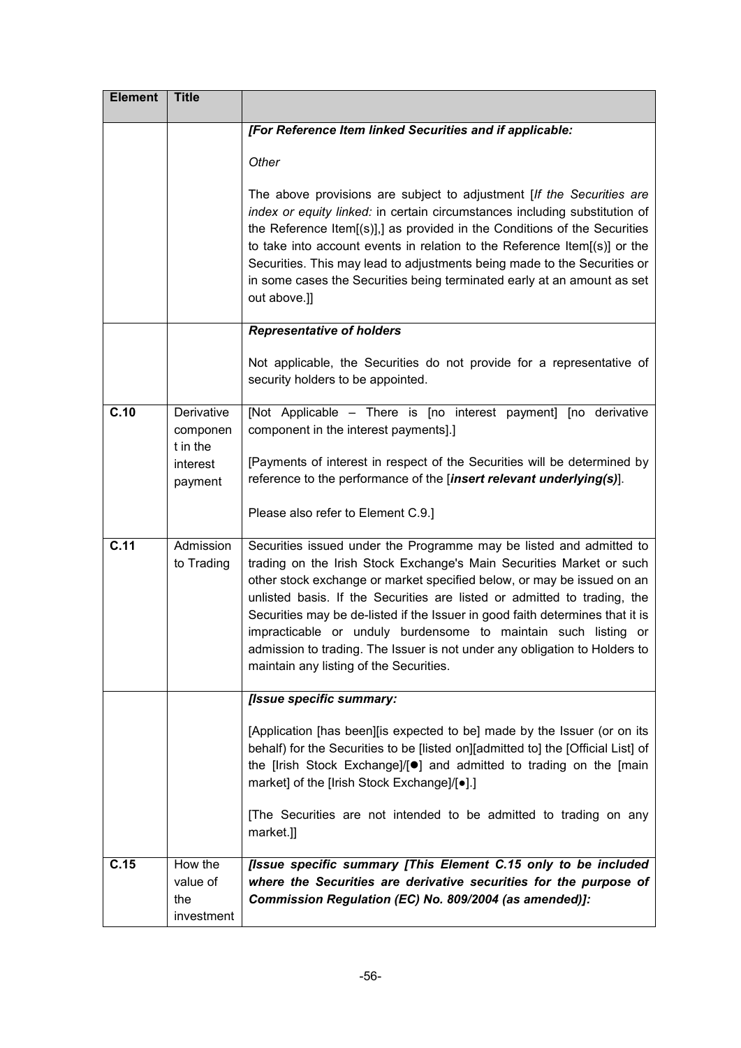| <b>Element</b> | <b>Title</b>                             |                                                                                                                                                                                                                                                                                                                                                                                                                                                                                                                                                                               |
|----------------|------------------------------------------|-------------------------------------------------------------------------------------------------------------------------------------------------------------------------------------------------------------------------------------------------------------------------------------------------------------------------------------------------------------------------------------------------------------------------------------------------------------------------------------------------------------------------------------------------------------------------------|
|                |                                          | [For Reference Item linked Securities and if applicable:                                                                                                                                                                                                                                                                                                                                                                                                                                                                                                                      |
|                |                                          | Other                                                                                                                                                                                                                                                                                                                                                                                                                                                                                                                                                                         |
|                |                                          | The above provisions are subject to adjustment [If the Securities are<br>index or equity linked: in certain circumstances including substitution of<br>the Reference Item[(s)],] as provided in the Conditions of the Securities<br>to take into account events in relation to the Reference Item[(s)] or the<br>Securities. This may lead to adjustments being made to the Securities or<br>in some cases the Securities being terminated early at an amount as set<br>out above.]]                                                                                          |
|                |                                          | <b>Representative of holders</b>                                                                                                                                                                                                                                                                                                                                                                                                                                                                                                                                              |
|                |                                          | Not applicable, the Securities do not provide for a representative of<br>security holders to be appointed.                                                                                                                                                                                                                                                                                                                                                                                                                                                                    |
| C.10           | Derivative<br>componen<br>t in the       | [Not Applicable – There is [no interest payment] [no derivative<br>component in the interest payments].]                                                                                                                                                                                                                                                                                                                                                                                                                                                                      |
|                | interest<br>payment                      | [Payments of interest in respect of the Securities will be determined by<br>reference to the performance of the [insert relevant underlying(s)].                                                                                                                                                                                                                                                                                                                                                                                                                              |
|                |                                          | Please also refer to Element C.9.]                                                                                                                                                                                                                                                                                                                                                                                                                                                                                                                                            |
| C.11           | Admission<br>to Trading                  | Securities issued under the Programme may be listed and admitted to<br>trading on the Irish Stock Exchange's Main Securities Market or such<br>other stock exchange or market specified below, or may be issued on an<br>unlisted basis. If the Securities are listed or admitted to trading, the<br>Securities may be de-listed if the Issuer in good faith determines that it is<br>impracticable or unduly burdensome to maintain such listing or<br>admission to trading. The Issuer is not under any obligation to Holders to<br>maintain any listing of the Securities. |
|                |                                          | [Issue specific summary:                                                                                                                                                                                                                                                                                                                                                                                                                                                                                                                                                      |
|                |                                          | [Application [has been][is expected to be] made by the Issuer (or on its<br>behalf) for the Securities to be [listed on][admitted to] the [Official List] of<br>the [Irish Stock Exchange]/[ <sup>o</sup> ] and admitted to trading on the [main<br>market] of the [Irish Stock Exchange]/[ $\bullet$ ].]                                                                                                                                                                                                                                                                     |
|                |                                          | [The Securities are not intended to be admitted to trading on any<br>market.]]                                                                                                                                                                                                                                                                                                                                                                                                                                                                                                |
| C.15           | How the<br>value of<br>the<br>investment | [Issue specific summary [This Element C.15 only to be included<br>where the Securities are derivative securities for the purpose of<br>Commission Regulation (EC) No. 809/2004 (as amended)]:                                                                                                                                                                                                                                                                                                                                                                                 |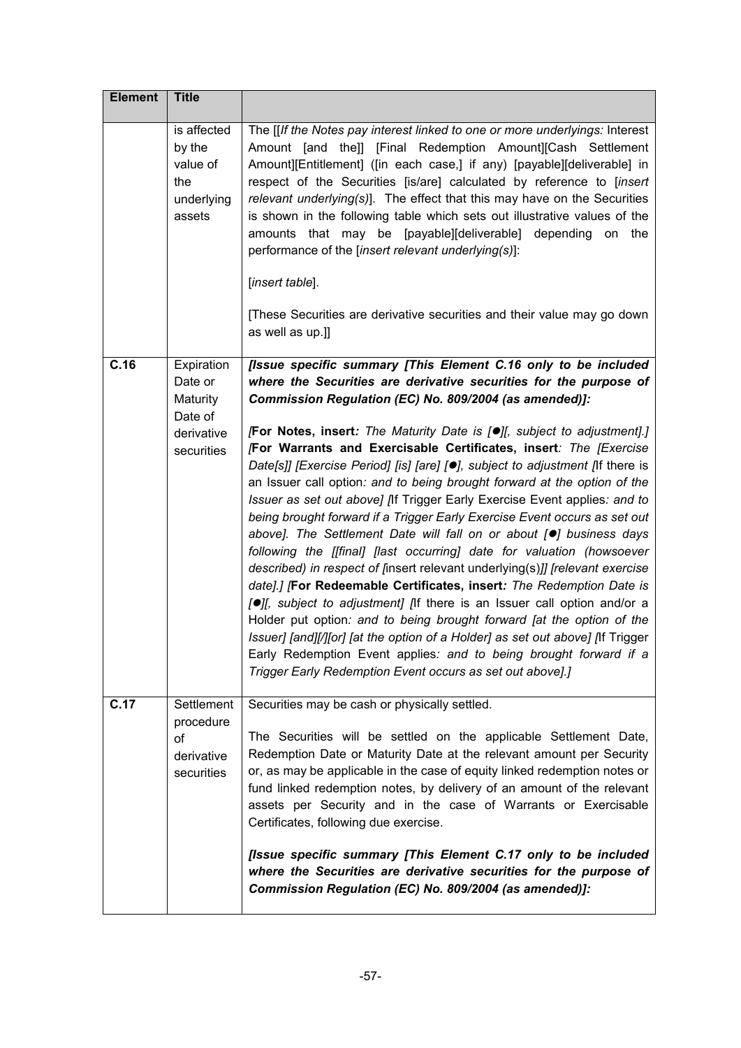| <b>Element</b> | <b>Title</b>                                                     |                                                                                                                                                                                                                                                                                                                                                                                                                                                                                                                                                                                                                                                                                                                                                                                                                                                                                                                                                                                                                                                                                                                                                                   |
|----------------|------------------------------------------------------------------|-------------------------------------------------------------------------------------------------------------------------------------------------------------------------------------------------------------------------------------------------------------------------------------------------------------------------------------------------------------------------------------------------------------------------------------------------------------------------------------------------------------------------------------------------------------------------------------------------------------------------------------------------------------------------------------------------------------------------------------------------------------------------------------------------------------------------------------------------------------------------------------------------------------------------------------------------------------------------------------------------------------------------------------------------------------------------------------------------------------------------------------------------------------------|
|                | is affected<br>by the<br>value of<br>the<br>underlying<br>assets | The [[If the Notes pay interest linked to one or more underlyings: Interest<br>Amount [and the]] [Final Redemption Amount][Cash Settlement<br>Amount][Entitlement] ([in each case,] if any) [payable][deliverable] in<br>respect of the Securities [is/are] calculated by reference to [insert<br>relevant underlying(s)]. The effect that this may have on the Securities<br>is shown in the following table which sets out illustrative values of the<br>amounts that may be [payable][deliverable] depending on the<br>performance of the [insert relevant underlying(s)]:<br>[insert table].<br>[These Securities are derivative securities and their value may go down                                                                                                                                                                                                                                                                                                                                                                                                                                                                                       |
|                |                                                                  | as well as up.]]                                                                                                                                                                                                                                                                                                                                                                                                                                                                                                                                                                                                                                                                                                                                                                                                                                                                                                                                                                                                                                                                                                                                                  |
| C.16           | Expiration<br>Date or<br>Maturity<br>Date of                     | [Issue specific summary [This Element C.16 only to be included<br>where the Securities are derivative securities for the purpose of<br>Commission Regulation (EC) No. 809/2004 (as amended)]:                                                                                                                                                                                                                                                                                                                                                                                                                                                                                                                                                                                                                                                                                                                                                                                                                                                                                                                                                                     |
|                | derivative<br>securities                                         | [For Notes, insert: The Maturity Date is [O][, subject to adjustment].]<br>[For Warrants and Exercisable Certificates, insert: The [Exercise<br>Date[s]] [Exercise Period] [is] [are] [ <sup>o</sup> ], subject to adjustment [If there is<br>an Issuer call option: and to being brought forward at the option of the<br>Issuer as set out above] [If Trigger Early Exercise Event applies: and to<br>being brought forward if a Trigger Early Exercise Event occurs as set out<br>above]. The Settlement Date will fall on or about [.] business days<br>following the [[final] [last occurring] date for valuation (howsoever<br>described) in respect of [insert relevant underlying(s)]] [relevant exercise<br>date].] [For Redeemable Certificates, insert: The Redemption Date is<br>[O][, subject to adjustment] [If there is an Issuer call option and/or a<br>Holder put option: and to being brought forward [at the option of the<br>Issuer] [and][/][or] [at the option of a Holder] as set out above] [If Trigger<br>Early Redemption Event applies: and to being brought forward if a<br>Trigger Early Redemption Event occurs as set out above].] |
| C.17           | Settlement<br>procedure<br>οf<br>derivative<br>securities        | Securities may be cash or physically settled.<br>The Securities will be settled on the applicable Settlement Date,<br>Redemption Date or Maturity Date at the relevant amount per Security<br>or, as may be applicable in the case of equity linked redemption notes or<br>fund linked redemption notes, by delivery of an amount of the relevant<br>assets per Security and in the case of Warrants or Exercisable<br>Certificates, following due exercise.                                                                                                                                                                                                                                                                                                                                                                                                                                                                                                                                                                                                                                                                                                      |
|                |                                                                  | [Issue specific summary [This Element C.17 only to be included<br>where the Securities are derivative securities for the purpose of<br>Commission Regulation (EC) No. 809/2004 (as amended)]:                                                                                                                                                                                                                                                                                                                                                                                                                                                                                                                                                                                                                                                                                                                                                                                                                                                                                                                                                                     |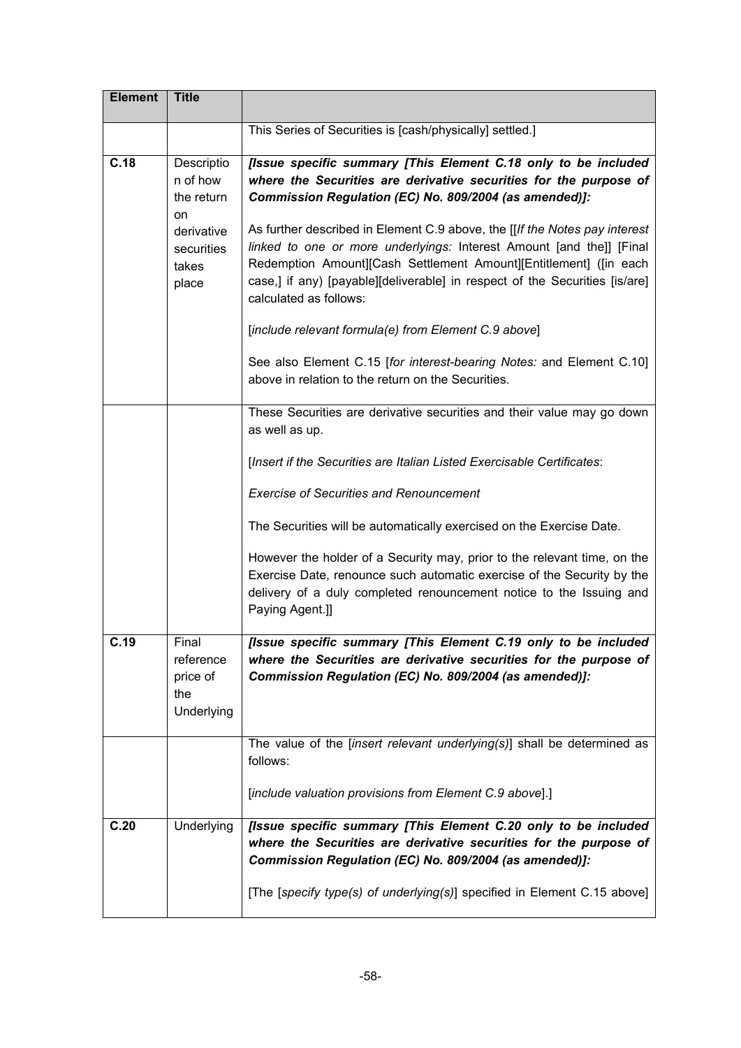| This Series of Securities is [cash/physically] settled.]<br>C.18<br>Descriptio<br>n of how<br>the return<br>Commission Regulation (EC) No. 809/2004 (as amended)]:<br>on<br>derivative<br>securities<br>takes<br>place<br>calculated as follows:<br>[include relevant formula(e) from Element C.9 above]<br>above in relation to the return on the Securities.<br>as well as up.<br>[Insert if the Securities are Italian Listed Exercisable Certificates:<br><b>Exercise of Securities and Renouncement</b><br>The Securities will be automatically exercised on the Exercise Date.<br>Paying Agent.]<br>C.19<br>Final<br>reference<br>Commission Regulation (EC) No. 809/2004 (as amended)]:<br>price of<br>the<br>Underlying | <b>Element</b> | <b>Title</b> |                                                                                                                                                                                                                                                                                                                                                                                                                                               |
|---------------------------------------------------------------------------------------------------------------------------------------------------------------------------------------------------------------------------------------------------------------------------------------------------------------------------------------------------------------------------------------------------------------------------------------------------------------------------------------------------------------------------------------------------------------------------------------------------------------------------------------------------------------------------------------------------------------------------------|----------------|--------------|-----------------------------------------------------------------------------------------------------------------------------------------------------------------------------------------------------------------------------------------------------------------------------------------------------------------------------------------------------------------------------------------------------------------------------------------------|
|                                                                                                                                                                                                                                                                                                                                                                                                                                                                                                                                                                                                                                                                                                                                 |                |              |                                                                                                                                                                                                                                                                                                                                                                                                                                               |
|                                                                                                                                                                                                                                                                                                                                                                                                                                                                                                                                                                                                                                                                                                                                 |                |              | [Issue specific summary [This Element C.18 only to be included<br>where the Securities are derivative securities for the purpose of<br>As further described in Element C.9 above, the [[If the Notes pay interest<br>linked to one or more underlyings: Interest Amount [and the]] [Final<br>Redemption Amount][Cash Settlement Amount][Entitlement] ([in each<br>case,] if any) [payable][deliverable] in respect of the Securities [is/are] |
|                                                                                                                                                                                                                                                                                                                                                                                                                                                                                                                                                                                                                                                                                                                                 |                |              | See also Element C.15 [for interest-bearing Notes: and Element C.10]                                                                                                                                                                                                                                                                                                                                                                          |
|                                                                                                                                                                                                                                                                                                                                                                                                                                                                                                                                                                                                                                                                                                                                 |                |              | These Securities are derivative securities and their value may go down                                                                                                                                                                                                                                                                                                                                                                        |
|                                                                                                                                                                                                                                                                                                                                                                                                                                                                                                                                                                                                                                                                                                                                 |                |              |                                                                                                                                                                                                                                                                                                                                                                                                                                               |
|                                                                                                                                                                                                                                                                                                                                                                                                                                                                                                                                                                                                                                                                                                                                 |                |              |                                                                                                                                                                                                                                                                                                                                                                                                                                               |
|                                                                                                                                                                                                                                                                                                                                                                                                                                                                                                                                                                                                                                                                                                                                 |                |              |                                                                                                                                                                                                                                                                                                                                                                                                                                               |
|                                                                                                                                                                                                                                                                                                                                                                                                                                                                                                                                                                                                                                                                                                                                 |                |              | However the holder of a Security may, prior to the relevant time, on the<br>Exercise Date, renounce such automatic exercise of the Security by the<br>delivery of a duly completed renouncement notice to the Issuing and                                                                                                                                                                                                                     |
|                                                                                                                                                                                                                                                                                                                                                                                                                                                                                                                                                                                                                                                                                                                                 |                |              | [Issue specific summary [This Element C.19 only to be included<br>where the Securities are derivative securities for the purpose of                                                                                                                                                                                                                                                                                                           |
| follows:<br>[include valuation provisions from Element C.9 above].]                                                                                                                                                                                                                                                                                                                                                                                                                                                                                                                                                                                                                                                             |                |              | The value of the [insert relevant underlying $(s)$ ] shall be determined as                                                                                                                                                                                                                                                                                                                                                                   |
|                                                                                                                                                                                                                                                                                                                                                                                                                                                                                                                                                                                                                                                                                                                                 |                |              |                                                                                                                                                                                                                                                                                                                                                                                                                                               |
| C.20<br>Underlying<br>Commission Regulation (EC) No. 809/2004 (as amended)]:                                                                                                                                                                                                                                                                                                                                                                                                                                                                                                                                                                                                                                                    |                |              | [Issue specific summary [This Element C.20 only to be included<br>where the Securities are derivative securities for the purpose of<br>[The [specify type(s) of underlying(s)] specified in Element C.15 above]                                                                                                                                                                                                                               |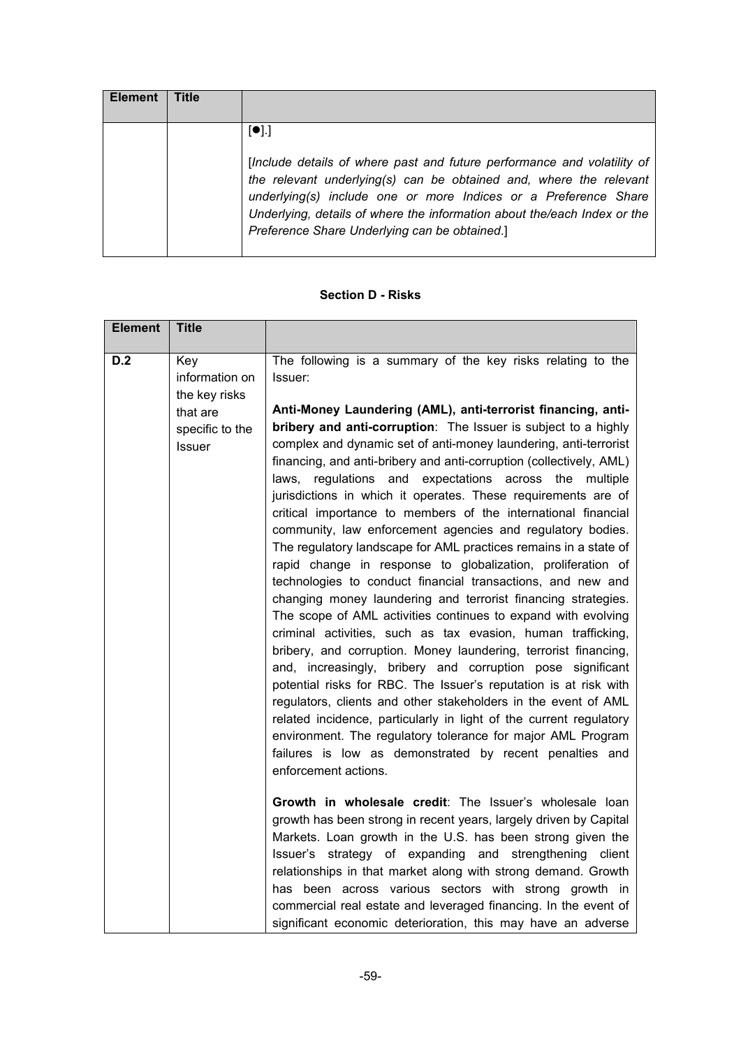| [•]<br>[Include details of where past and future performance and volatility of<br>the relevant underlying(s) can be obtained and, where the relevant<br>underlying(s) include one or more Indices or a Preference Share<br>Underlying, details of where the information about the/each Index or the<br>Preference Share Underlying can be obtained.] |  |
|------------------------------------------------------------------------------------------------------------------------------------------------------------------------------------------------------------------------------------------------------------------------------------------------------------------------------------------------------|--|

## **Section D - Risks**

| <b>Element</b> | <b>Title</b>                                                                    |                                                                                                                                                                                                                                                                                                                                                                                                                                                                                                                                                                                                                                                                                                                                                                                                                                                                                                                                                                                                                                                                                                                                                                                                                                                                                                                                                                                                                                                                                                                  |
|----------------|---------------------------------------------------------------------------------|------------------------------------------------------------------------------------------------------------------------------------------------------------------------------------------------------------------------------------------------------------------------------------------------------------------------------------------------------------------------------------------------------------------------------------------------------------------------------------------------------------------------------------------------------------------------------------------------------------------------------------------------------------------------------------------------------------------------------------------------------------------------------------------------------------------------------------------------------------------------------------------------------------------------------------------------------------------------------------------------------------------------------------------------------------------------------------------------------------------------------------------------------------------------------------------------------------------------------------------------------------------------------------------------------------------------------------------------------------------------------------------------------------------------------------------------------------------------------------------------------------------|
| D.2            | Key<br>information on<br>the key risks<br>that are<br>specific to the<br>Issuer | The following is a summary of the key risks relating to the<br>Issuer:<br>Anti-Money Laundering (AML), anti-terrorist financing, anti-<br>bribery and anti-corruption: The Issuer is subject to a highly<br>complex and dynamic set of anti-money laundering, anti-terrorist<br>financing, and anti-bribery and anti-corruption (collectively, AML)<br>laws, regulations and expectations across the multiple<br>jurisdictions in which it operates. These requirements are of<br>critical importance to members of the international financial<br>community, law enforcement agencies and regulatory bodies.<br>The regulatory landscape for AML practices remains in a state of<br>rapid change in response to globalization, proliferation of<br>technologies to conduct financial transactions, and new and<br>changing money laundering and terrorist financing strategies.<br>The scope of AML activities continues to expand with evolving<br>criminal activities, such as tax evasion, human trafficking,<br>bribery, and corruption. Money laundering, terrorist financing,<br>and, increasingly, bribery and corruption pose significant<br>potential risks for RBC. The Issuer's reputation is at risk with<br>regulators, clients and other stakeholders in the event of AML<br>related incidence, particularly in light of the current regulatory<br>environment. The regulatory tolerance for major AML Program<br>failures is low as demonstrated by recent penalties and<br>enforcement actions. |
|                |                                                                                 | Growth in wholesale credit: The Issuer's wholesale loan<br>growth has been strong in recent years, largely driven by Capital<br>Markets. Loan growth in the U.S. has been strong given the<br>Issuer's strategy of expanding and strengthening client<br>relationships in that market along with strong demand. Growth<br>has been across various sectors with strong growth in<br>commercial real estate and leveraged financing. In the event of<br>significant economic deterioration, this may have an adverse                                                                                                                                                                                                                                                                                                                                                                                                                                                                                                                                                                                                                                                                                                                                                                                                                                                                                                                                                                                               |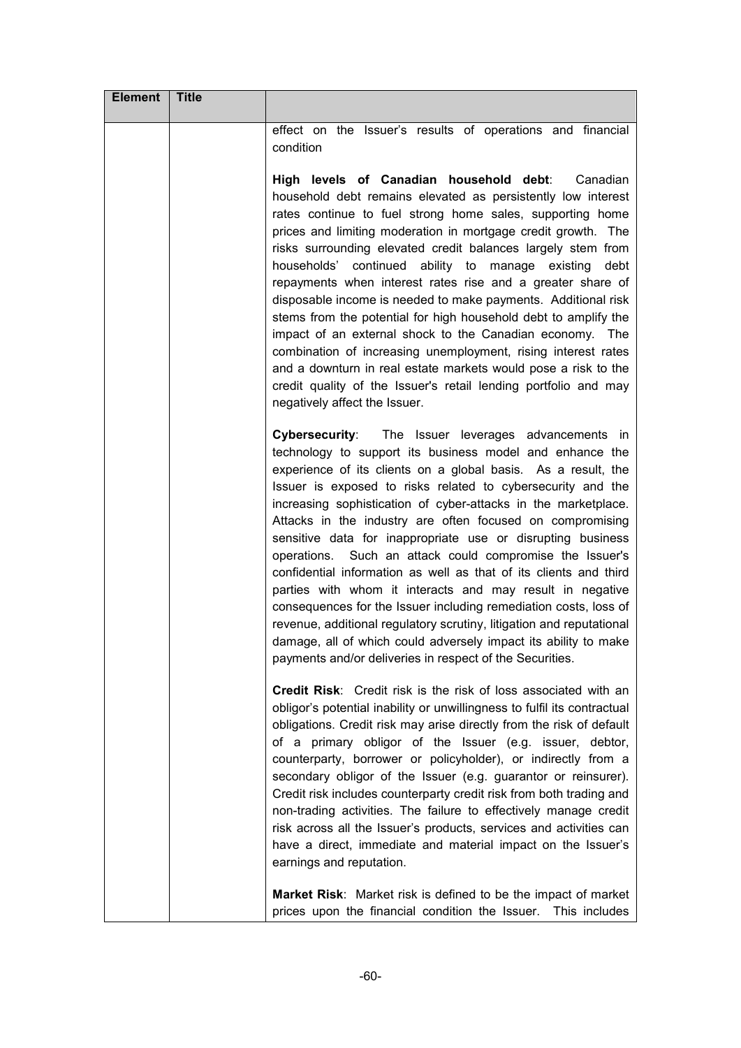| <b>Element</b> | <b>Title</b> |                                                                                                                                                                                                                                                                                                                                                                                                                                                                                                                                                                                                                                                                                                                                                                                                                                                                                                                                  |
|----------------|--------------|----------------------------------------------------------------------------------------------------------------------------------------------------------------------------------------------------------------------------------------------------------------------------------------------------------------------------------------------------------------------------------------------------------------------------------------------------------------------------------------------------------------------------------------------------------------------------------------------------------------------------------------------------------------------------------------------------------------------------------------------------------------------------------------------------------------------------------------------------------------------------------------------------------------------------------|
|                |              | effect on the Issuer's results of operations and financial<br>condition                                                                                                                                                                                                                                                                                                                                                                                                                                                                                                                                                                                                                                                                                                                                                                                                                                                          |
|                |              | High levels of Canadian household debt:<br>Canadian<br>household debt remains elevated as persistently low interest<br>rates continue to fuel strong home sales, supporting home<br>prices and limiting moderation in mortgage credit growth. The<br>risks surrounding elevated credit balances largely stem from<br>households' continued ability to manage existing<br>debt<br>repayments when interest rates rise and a greater share of<br>disposable income is needed to make payments. Additional risk<br>stems from the potential for high household debt to amplify the<br>impact of an external shock to the Canadian economy. The<br>combination of increasing unemployment, rising interest rates<br>and a downturn in real estate markets would pose a risk to the<br>credit quality of the Issuer's retail lending portfolio and may<br>negatively affect the Issuer.                                               |
|                |              | <b>Cybersecurity:</b><br>The Issuer leverages advancements in<br>technology to support its business model and enhance the<br>experience of its clients on a global basis. As a result, the<br>Issuer is exposed to risks related to cybersecurity and the<br>increasing sophistication of cyber-attacks in the marketplace.<br>Attacks in the industry are often focused on compromising<br>sensitive data for inappropriate use or disrupting business<br>operations. Such an attack could compromise the Issuer's<br>confidential information as well as that of its clients and third<br>parties with whom it interacts and may result in negative<br>consequences for the Issuer including remediation costs, loss of<br>revenue, additional regulatory scrutiny, litigation and reputational<br>damage, all of which could adversely impact its ability to make<br>payments and/or deliveries in respect of the Securities. |
|                |              | <b>Credit Risk:</b> Credit risk is the risk of loss associated with an<br>obligor's potential inability or unwillingness to fulfil its contractual<br>obligations. Credit risk may arise directly from the risk of default<br>of a primary obligor of the Issuer (e.g. issuer, debtor,<br>counterparty, borrower or policyholder), or indirectly from a<br>secondary obligor of the Issuer (e.g. guarantor or reinsurer).<br>Credit risk includes counterparty credit risk from both trading and<br>non-trading activities. The failure to effectively manage credit<br>risk across all the Issuer's products, services and activities can<br>have a direct, immediate and material impact on the Issuer's<br>earnings and reputation.                                                                                                                                                                                           |
|                |              | Market Risk: Market risk is defined to be the impact of market<br>prices upon the financial condition the Issuer. This includes                                                                                                                                                                                                                                                                                                                                                                                                                                                                                                                                                                                                                                                                                                                                                                                                  |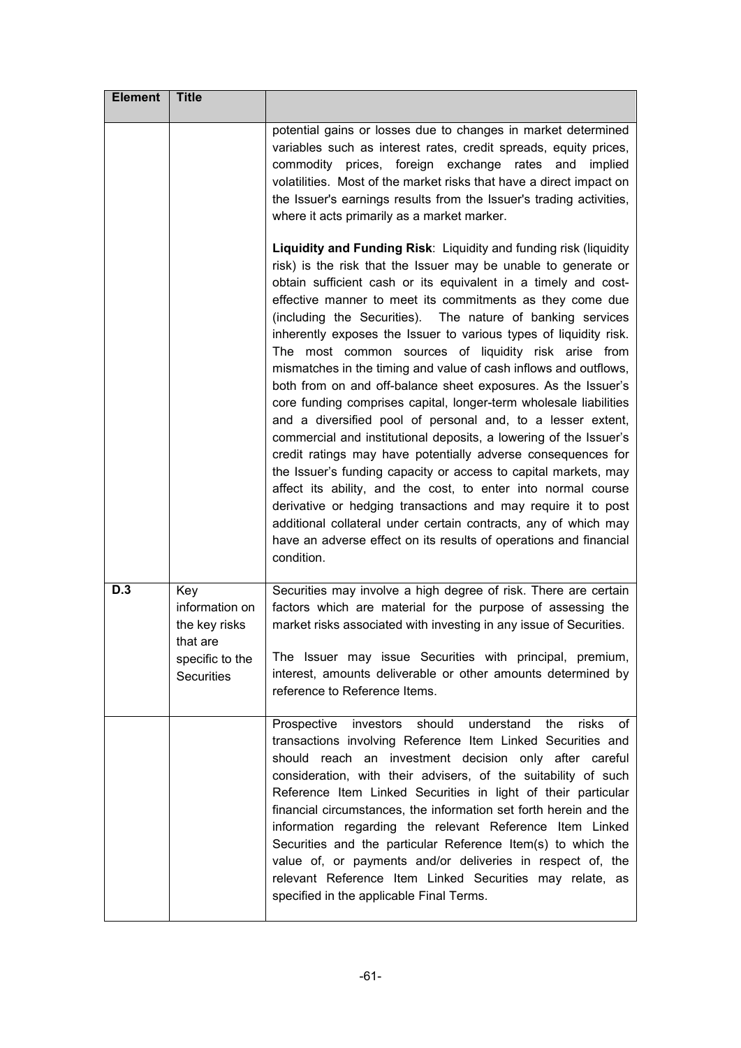| <b>Element</b> | <b>Title</b>                                                                               |                                                                                                                                                                                                                                                                                                                                                                                                                                                                                                                                                                                                                                                                                                                                                                                                                                                                                                                                                                                                                                                                                                                                                                                                                                        |
|----------------|--------------------------------------------------------------------------------------------|----------------------------------------------------------------------------------------------------------------------------------------------------------------------------------------------------------------------------------------------------------------------------------------------------------------------------------------------------------------------------------------------------------------------------------------------------------------------------------------------------------------------------------------------------------------------------------------------------------------------------------------------------------------------------------------------------------------------------------------------------------------------------------------------------------------------------------------------------------------------------------------------------------------------------------------------------------------------------------------------------------------------------------------------------------------------------------------------------------------------------------------------------------------------------------------------------------------------------------------|
|                |                                                                                            | potential gains or losses due to changes in market determined<br>variables such as interest rates, credit spreads, equity prices,<br>commodity prices, foreign exchange rates and implied<br>volatilities. Most of the market risks that have a direct impact on<br>the Issuer's earnings results from the Issuer's trading activities,<br>where it acts primarily as a market marker.                                                                                                                                                                                                                                                                                                                                                                                                                                                                                                                                                                                                                                                                                                                                                                                                                                                 |
|                |                                                                                            | Liquidity and Funding Risk: Liquidity and funding risk (liquidity<br>risk) is the risk that the Issuer may be unable to generate or<br>obtain sufficient cash or its equivalent in a timely and cost-<br>effective manner to meet its commitments as they come due<br>(including the Securities). The nature of banking services<br>inherently exposes the Issuer to various types of liquidity risk.<br>The most common sources of liquidity risk arise from<br>mismatches in the timing and value of cash inflows and outflows,<br>both from on and off-balance sheet exposures. As the Issuer's<br>core funding comprises capital, longer-term wholesale liabilities<br>and a diversified pool of personal and, to a lesser extent,<br>commercial and institutional deposits, a lowering of the Issuer's<br>credit ratings may have potentially adverse consequences for<br>the Issuer's funding capacity or access to capital markets, may<br>affect its ability, and the cost, to enter into normal course<br>derivative or hedging transactions and may require it to post<br>additional collateral under certain contracts, any of which may<br>have an adverse effect on its results of operations and financial<br>condition. |
| D.3            | Key<br>information on<br>the key risks<br>that are<br>specific to the<br><b>Securities</b> | Securities may involve a high degree of risk. There are certain<br>factors which are material for the purpose of assessing the<br>market risks associated with investing in any issue of Securities.<br>The Issuer may issue Securities with principal, premium,<br>interest, amounts deliverable or other amounts determined by<br>reference to Reference Items.                                                                                                                                                                                                                                                                                                                                                                                                                                                                                                                                                                                                                                                                                                                                                                                                                                                                      |
|                |                                                                                            | should<br>understand<br>risks<br>Prospective<br>investors<br>the<br>of<br>transactions involving Reference Item Linked Securities and<br>should reach an investment decision only after careful<br>consideration, with their advisers, of the suitability of such<br>Reference Item Linked Securities in light of their particular<br>financial circumstances, the information set forth herein and the<br>information regarding the relevant Reference Item Linked<br>Securities and the particular Reference Item(s) to which the<br>value of, or payments and/or deliveries in respect of, the<br>relevant Reference Item Linked Securities may relate, as<br>specified in the applicable Final Terms.                                                                                                                                                                                                                                                                                                                                                                                                                                                                                                                              |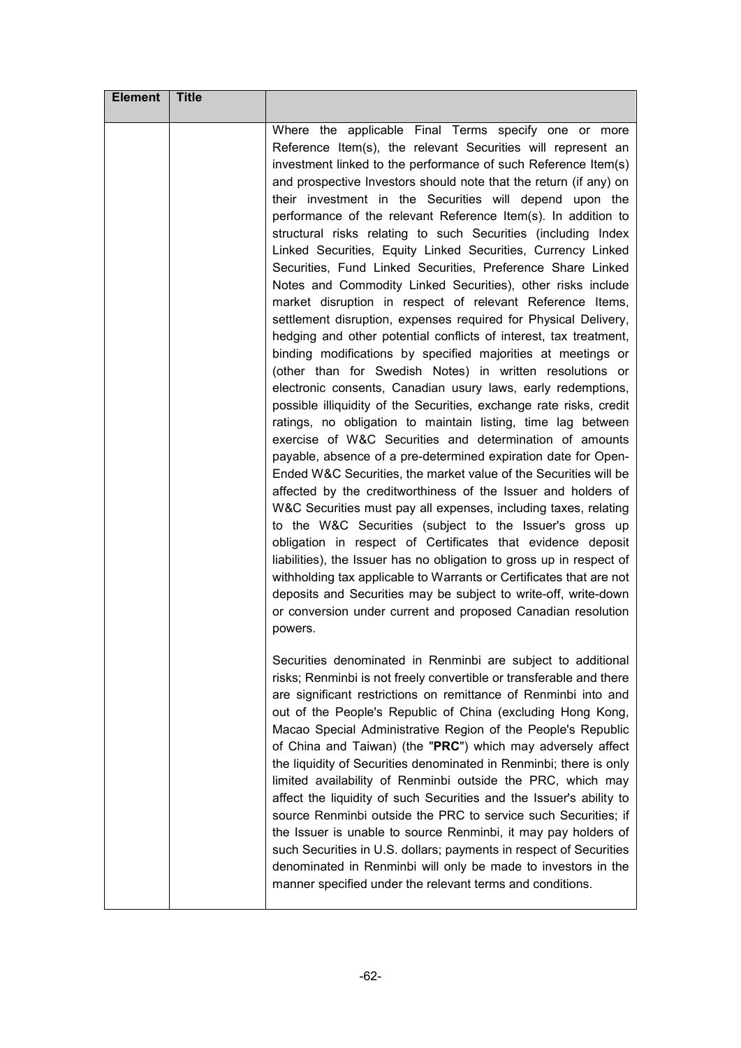| <b>Element</b> | <b>Title</b> |                                                                                                                                                                                                                                                                                                                                                                                                                                                                                                                                                                                                                                                                                                                                                                                                                                                                                                                                                                                                                                                                                                                                                                                                                                                                                                                                                                                                                                                                                                                                                                                                                                                                                                                                                                                                                                                                                                                                                            |
|----------------|--------------|------------------------------------------------------------------------------------------------------------------------------------------------------------------------------------------------------------------------------------------------------------------------------------------------------------------------------------------------------------------------------------------------------------------------------------------------------------------------------------------------------------------------------------------------------------------------------------------------------------------------------------------------------------------------------------------------------------------------------------------------------------------------------------------------------------------------------------------------------------------------------------------------------------------------------------------------------------------------------------------------------------------------------------------------------------------------------------------------------------------------------------------------------------------------------------------------------------------------------------------------------------------------------------------------------------------------------------------------------------------------------------------------------------------------------------------------------------------------------------------------------------------------------------------------------------------------------------------------------------------------------------------------------------------------------------------------------------------------------------------------------------------------------------------------------------------------------------------------------------------------------------------------------------------------------------------------------------|
|                |              | Where the applicable Final Terms specify one or more<br>Reference Item(s), the relevant Securities will represent an<br>investment linked to the performance of such Reference Item(s)<br>and prospective Investors should note that the return (if any) on<br>their investment in the Securities will depend upon the<br>performance of the relevant Reference Item(s). In addition to<br>structural risks relating to such Securities (including Index<br>Linked Securities, Equity Linked Securities, Currency Linked<br>Securities, Fund Linked Securities, Preference Share Linked<br>Notes and Commodity Linked Securities), other risks include<br>market disruption in respect of relevant Reference Items,<br>settlement disruption, expenses required for Physical Delivery,<br>hedging and other potential conflicts of interest, tax treatment,<br>binding modifications by specified majorities at meetings or<br>(other than for Swedish Notes) in written resolutions or<br>electronic consents, Canadian usury laws, early redemptions,<br>possible illiquidity of the Securities, exchange rate risks, credit<br>ratings, no obligation to maintain listing, time lag between<br>exercise of W&C Securities and determination of amounts<br>payable, absence of a pre-determined expiration date for Open-<br>Ended W&C Securities, the market value of the Securities will be<br>affected by the creditworthiness of the Issuer and holders of<br>W&C Securities must pay all expenses, including taxes, relating<br>to the W&C Securities (subject to the Issuer's gross up<br>obligation in respect of Certificates that evidence deposit<br>liabilities), the Issuer has no obligation to gross up in respect of<br>withholding tax applicable to Warrants or Certificates that are not<br>deposits and Securities may be subject to write-off, write-down<br>or conversion under current and proposed Canadian resolution<br>powers. |
|                |              | Securities denominated in Renminbi are subject to additional<br>risks; Renminbi is not freely convertible or transferable and there<br>are significant restrictions on remittance of Renminbi into and<br>out of the People's Republic of China (excluding Hong Kong,<br>Macao Special Administrative Region of the People's Republic<br>of China and Taiwan) (the "PRC") which may adversely affect<br>the liquidity of Securities denominated in Renminbi; there is only<br>limited availability of Renminbi outside the PRC, which may<br>affect the liquidity of such Securities and the Issuer's ability to<br>source Renminbi outside the PRC to service such Securities; if<br>the Issuer is unable to source Renminbi, it may pay holders of<br>such Securities in U.S. dollars; payments in respect of Securities<br>denominated in Renminbi will only be made to investors in the<br>manner specified under the relevant terms and conditions.                                                                                                                                                                                                                                                                                                                                                                                                                                                                                                                                                                                                                                                                                                                                                                                                                                                                                                                                                                                                   |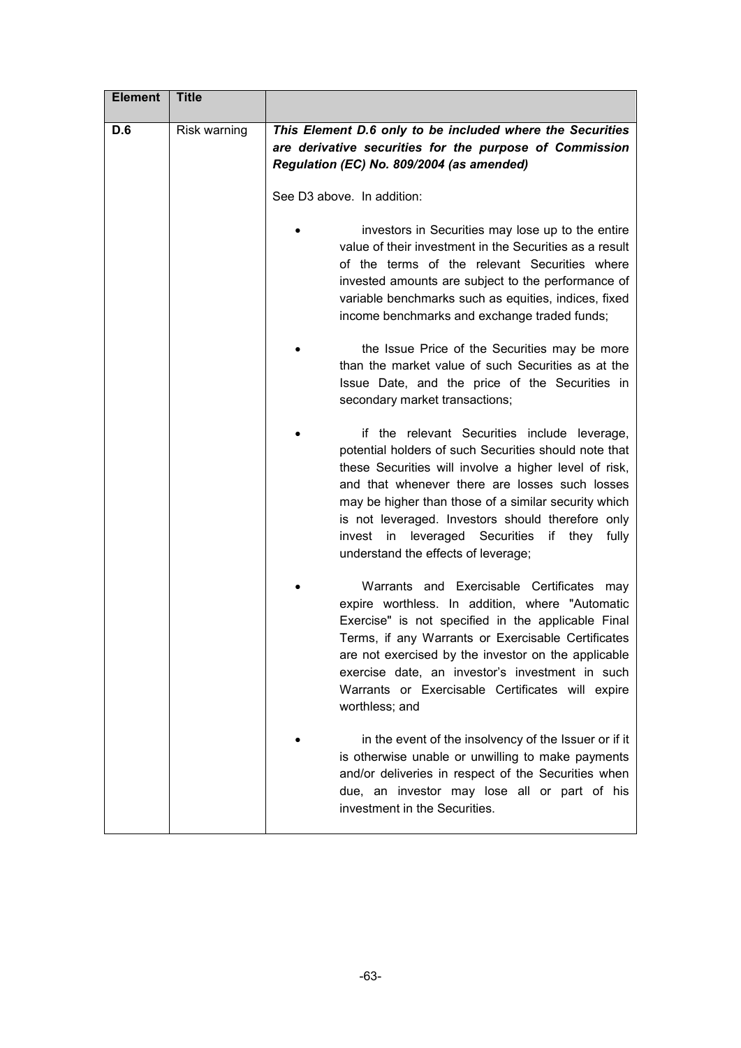| <b>Element</b> | <b>Title</b> |                                                                                                                                                                                                                                                                                                                                                                                                                            |
|----------------|--------------|----------------------------------------------------------------------------------------------------------------------------------------------------------------------------------------------------------------------------------------------------------------------------------------------------------------------------------------------------------------------------------------------------------------------------|
| D.6            | Risk warning | This Element D.6 only to be included where the Securities<br>are derivative securities for the purpose of Commission<br>Regulation (EC) No. 809/2004 (as amended)                                                                                                                                                                                                                                                          |
|                |              | See D3 above. In addition:                                                                                                                                                                                                                                                                                                                                                                                                 |
|                |              | investors in Securities may lose up to the entire<br>value of their investment in the Securities as a result<br>of the terms of the relevant Securities where<br>invested amounts are subject to the performance of<br>variable benchmarks such as equities, indices, fixed<br>income benchmarks and exchange traded funds;                                                                                                |
|                |              | the Issue Price of the Securities may be more<br>than the market value of such Securities as at the<br>Issue Date, and the price of the Securities in<br>secondary market transactions;                                                                                                                                                                                                                                    |
|                |              | if the relevant Securities include leverage,<br>potential holders of such Securities should note that<br>these Securities will involve a higher level of risk,<br>and that whenever there are losses such losses<br>may be higher than those of a similar security which<br>is not leveraged. Investors should therefore only<br>leveraged Securities if they<br>invest in<br>fully<br>understand the effects of leverage; |
|                |              | Warrants and Exercisable Certificates<br>may<br>expire worthless. In addition, where "Automatic<br>Exercise" is not specified in the applicable Final<br>Terms, if any Warrants or Exercisable Certificates<br>are not exercised by the investor on the applicable<br>exercise date, an investor's investment in such<br>Warrants or Exercisable Certificates will expire<br>worthless; and                                |
|                |              | in the event of the insolvency of the Issuer or if it<br>is otherwise unable or unwilling to make payments<br>and/or deliveries in respect of the Securities when<br>due, an investor may lose all or part of his<br>investment in the Securities.                                                                                                                                                                         |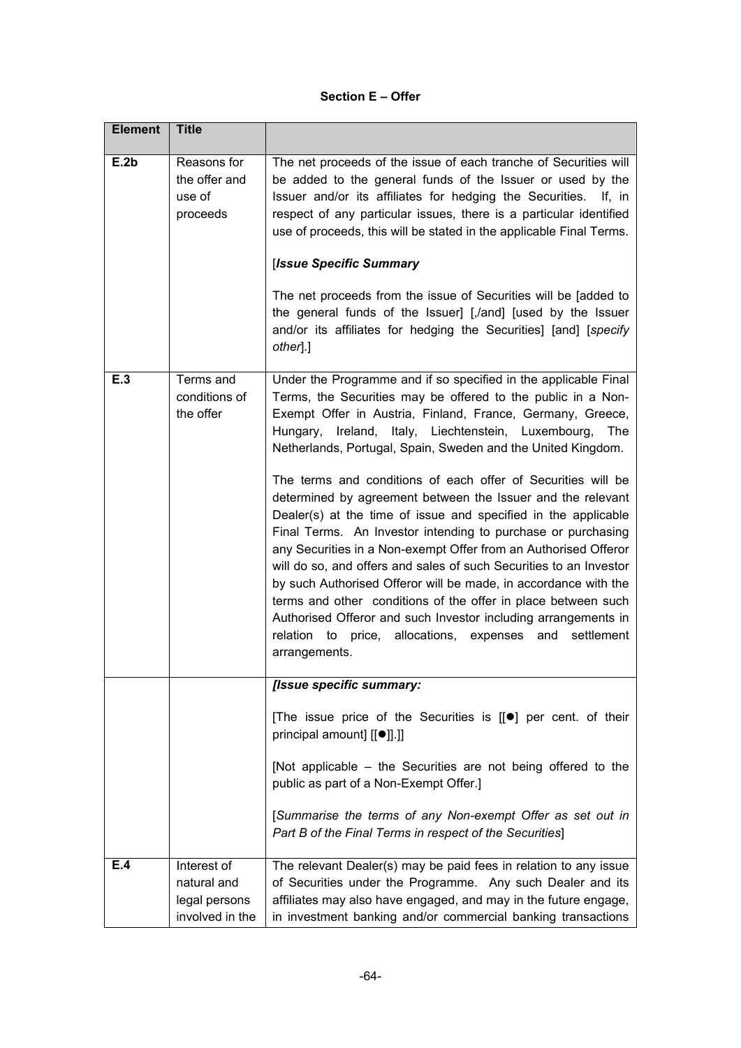#### **Section E – Offer**

| <b>Element</b> | <b>Title</b>                                                   |                                                                                                                                                                                                                                                                                                                                                                                                                                                                                                                                                                                                                                                                                                                                                                                                                                                                                                                                                                                                                         |
|----------------|----------------------------------------------------------------|-------------------------------------------------------------------------------------------------------------------------------------------------------------------------------------------------------------------------------------------------------------------------------------------------------------------------------------------------------------------------------------------------------------------------------------------------------------------------------------------------------------------------------------------------------------------------------------------------------------------------------------------------------------------------------------------------------------------------------------------------------------------------------------------------------------------------------------------------------------------------------------------------------------------------------------------------------------------------------------------------------------------------|
| E.2b           | Reasons for<br>the offer and<br>use of<br>proceeds             | The net proceeds of the issue of each tranche of Securities will<br>be added to the general funds of the Issuer or used by the<br>Issuer and/or its affiliates for hedging the Securities. If, in<br>respect of any particular issues, there is a particular identified<br>use of proceeds, this will be stated in the applicable Final Terms.<br>[Issue Specific Summary<br>The net proceeds from the issue of Securities will be [added to<br>the general funds of the Issuer] [,/and] [used by the Issuer<br>and/or its affiliates for hedging the Securities] [and] [specify<br>other.]                                                                                                                                                                                                                                                                                                                                                                                                                             |
| E.3            | Terms and<br>conditions of<br>the offer                        | Under the Programme and if so specified in the applicable Final<br>Terms, the Securities may be offered to the public in a Non-<br>Exempt Offer in Austria, Finland, France, Germany, Greece,<br>Hungary, Ireland, Italy, Liechtenstein, Luxembourg,<br>The<br>Netherlands, Portugal, Spain, Sweden and the United Kingdom.<br>The terms and conditions of each offer of Securities will be<br>determined by agreement between the Issuer and the relevant<br>Dealer(s) at the time of issue and specified in the applicable<br>Final Terms. An Investor intending to purchase or purchasing<br>any Securities in a Non-exempt Offer from an Authorised Offeror<br>will do so, and offers and sales of such Securities to an Investor<br>by such Authorised Offeror will be made, in accordance with the<br>terms and other conditions of the offer in place between such<br>Authorised Offeror and such Investor including arrangements in<br>relation to price, allocations, expenses and settlement<br>arrangements. |
|                |                                                                | [Issue specific summary:                                                                                                                                                                                                                                                                                                                                                                                                                                                                                                                                                                                                                                                                                                                                                                                                                                                                                                                                                                                                |
|                |                                                                | [The issue price of the Securities is [[ <sup>●</sup> ] per cent. of their<br>principal amount] [[ <sup>●</sup> ]].]]<br>[Not applicable – the Securities are not being offered to the                                                                                                                                                                                                                                                                                                                                                                                                                                                                                                                                                                                                                                                                                                                                                                                                                                  |
|                |                                                                | public as part of a Non-Exempt Offer.]                                                                                                                                                                                                                                                                                                                                                                                                                                                                                                                                                                                                                                                                                                                                                                                                                                                                                                                                                                                  |
|                |                                                                | [Summarise the terms of any Non-exempt Offer as set out in<br>Part B of the Final Terms in respect of the Securities]                                                                                                                                                                                                                                                                                                                                                                                                                                                                                                                                                                                                                                                                                                                                                                                                                                                                                                   |
| E.4            | Interest of<br>natural and<br>legal persons<br>involved in the | The relevant Dealer(s) may be paid fees in relation to any issue<br>of Securities under the Programme. Any such Dealer and its<br>affiliates may also have engaged, and may in the future engage,<br>in investment banking and/or commercial banking transactions                                                                                                                                                                                                                                                                                                                                                                                                                                                                                                                                                                                                                                                                                                                                                       |